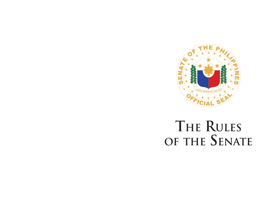

# **THE RULES OF THE SENATE**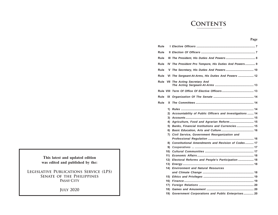# **CONTENTS**

| Rule     |                                                                                                                                                                                                                                                                                                                                                                                                                                                                                                                                                                                   |
|----------|-----------------------------------------------------------------------------------------------------------------------------------------------------------------------------------------------------------------------------------------------------------------------------------------------------------------------------------------------------------------------------------------------------------------------------------------------------------------------------------------------------------------------------------------------------------------------------------|
|          |                                                                                                                                                                                                                                                                                                                                                                                                                                                                                                                                                                                   |
|          |                                                                                                                                                                                                                                                                                                                                                                                                                                                                                                                                                                                   |
|          |                                                                                                                                                                                                                                                                                                                                                                                                                                                                                                                                                                                   |
|          |                                                                                                                                                                                                                                                                                                                                                                                                                                                                                                                                                                                   |
| <b>X</b> |                                                                                                                                                                                                                                                                                                                                                                                                                                                                                                                                                                                   |
|          |                                                                                                                                                                                                                                                                                                                                                                                                                                                                                                                                                                                   |
| 2)       |                                                                                                                                                                                                                                                                                                                                                                                                                                                                                                                                                                                   |
| 3)       |                                                                                                                                                                                                                                                                                                                                                                                                                                                                                                                                                                                   |
| 4)       |                                                                                                                                                                                                                                                                                                                                                                                                                                                                                                                                                                                   |
| 5)       |                                                                                                                                                                                                                                                                                                                                                                                                                                                                                                                                                                                   |
| 6)       |                                                                                                                                                                                                                                                                                                                                                                                                                                                                                                                                                                                   |
|          |                                                                                                                                                                                                                                                                                                                                                                                                                                                                                                                                                                                   |
|          |                                                                                                                                                                                                                                                                                                                                                                                                                                                                                                                                                                                   |
|          |                                                                                                                                                                                                                                                                                                                                                                                                                                                                                                                                                                                   |
| 9)       |                                                                                                                                                                                                                                                                                                                                                                                                                                                                                                                                                                                   |
|          |                                                                                                                                                                                                                                                                                                                                                                                                                                                                                                                                                                                   |
| 11)      |                                                                                                                                                                                                                                                                                                                                                                                                                                                                                                                                                                                   |
|          |                                                                                                                                                                                                                                                                                                                                                                                                                                                                                                                                                                                   |
| 13)      |                                                                                                                                                                                                                                                                                                                                                                                                                                                                                                                                                                                   |
|          |                                                                                                                                                                                                                                                                                                                                                                                                                                                                                                                                                                                   |
|          |                                                                                                                                                                                                                                                                                                                                                                                                                                                                                                                                                                                   |
|          |                                                                                                                                                                                                                                                                                                                                                                                                                                                                                                                                                                                   |
|          |                                                                                                                                                                                                                                                                                                                                                                                                                                                                                                                                                                                   |
|          |                                                                                                                                                                                                                                                                                                                                                                                                                                                                                                                                                                                   |
|          |                                                                                                                                                                                                                                                                                                                                                                                                                                                                                                                                                                                   |
|          |                                                                                                                                                                                                                                                                                                                                                                                                                                                                                                                                                                                   |
|          | IV The President Pro Tempore, His Duties And Powers 9<br>VI The Sergeant-At-Arms, His Duties And Powers  12<br>Rule VII The Acting Secretary And<br>Accountability of Public Officers and Investigations  14<br>Agriculture, Food and Agrarian Reform 15<br>Banks, Financial Institutions and Currencies 15<br>7) Civil Service, Government Reorganization and<br>8) Constitutional Amendments and Revision of Codes 17<br>12) Electoral Reforms and People's Participation  18<br>14) Environment and Natural Resources<br>19) Government Corporations and Public Enterprises 20 |

**This latest and updated edition was edited and published by the:**

**Legislative Publications Service (LPS) Senate of the Philippines Pasay City**

**July 2020**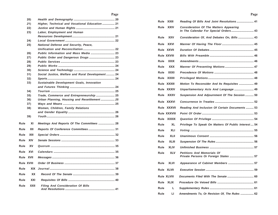| 20)                  |                                                                                                                                           |                                                                                                                                                                                                                                                                                                                                                                                                                  |
|----------------------|-------------------------------------------------------------------------------------------------------------------------------------------|------------------------------------------------------------------------------------------------------------------------------------------------------------------------------------------------------------------------------------------------------------------------------------------------------------------------------------------------------------------------------------------------------------------|
| 21)                  |                                                                                                                                           |                                                                                                                                                                                                                                                                                                                                                                                                                  |
| 22)                  |                                                                                                                                           |                                                                                                                                                                                                                                                                                                                                                                                                                  |
| 23)                  | <b>Labor, Employment and Human</b>                                                                                                        |                                                                                                                                                                                                                                                                                                                                                                                                                  |
|                      |                                                                                                                                           |                                                                                                                                                                                                                                                                                                                                                                                                                  |
| 24)                  |                                                                                                                                           |                                                                                                                                                                                                                                                                                                                                                                                                                  |
| 25)                  |                                                                                                                                           |                                                                                                                                                                                                                                                                                                                                                                                                                  |
|                      |                                                                                                                                           |                                                                                                                                                                                                                                                                                                                                                                                                                  |
| 26)                  |                                                                                                                                           |                                                                                                                                                                                                                                                                                                                                                                                                                  |
| 27)                  |                                                                                                                                           |                                                                                                                                                                                                                                                                                                                                                                                                                  |
| 28)                  |                                                                                                                                           |                                                                                                                                                                                                                                                                                                                                                                                                                  |
| 29)                  |                                                                                                                                           |                                                                                                                                                                                                                                                                                                                                                                                                                  |
| 30)                  |                                                                                                                                           |                                                                                                                                                                                                                                                                                                                                                                                                                  |
|                      |                                                                                                                                           |                                                                                                                                                                                                                                                                                                                                                                                                                  |
|                      |                                                                                                                                           |                                                                                                                                                                                                                                                                                                                                                                                                                  |
|                      |                                                                                                                                           |                                                                                                                                                                                                                                                                                                                                                                                                                  |
|                      |                                                                                                                                           |                                                                                                                                                                                                                                                                                                                                                                                                                  |
|                      |                                                                                                                                           |                                                                                                                                                                                                                                                                                                                                                                                                                  |
|                      |                                                                                                                                           |                                                                                                                                                                                                                                                                                                                                                                                                                  |
|                      |                                                                                                                                           |                                                                                                                                                                                                                                                                                                                                                                                                                  |
|                      |                                                                                                                                           |                                                                                                                                                                                                                                                                                                                                                                                                                  |
|                      |                                                                                                                                           |                                                                                                                                                                                                                                                                                                                                                                                                                  |
|                      |                                                                                                                                           |                                                                                                                                                                                                                                                                                                                                                                                                                  |
|                      |                                                                                                                                           |                                                                                                                                                                                                                                                                                                                                                                                                                  |
| XI                   |                                                                                                                                           |                                                                                                                                                                                                                                                                                                                                                                                                                  |
| XII                  |                                                                                                                                           |                                                                                                                                                                                                                                                                                                                                                                                                                  |
| XIII                 |                                                                                                                                           |                                                                                                                                                                                                                                                                                                                                                                                                                  |
| <b>XIV</b>           |                                                                                                                                           |                                                                                                                                                                                                                                                                                                                                                                                                                  |
| XV                   |                                                                                                                                           |                                                                                                                                                                                                                                                                                                                                                                                                                  |
| <b>XVI</b>           |                                                                                                                                           |                                                                                                                                                                                                                                                                                                                                                                                                                  |
| <b>XVII</b>          |                                                                                                                                           |                                                                                                                                                                                                                                                                                                                                                                                                                  |
|                      |                                                                                                                                           |                                                                                                                                                                                                                                                                                                                                                                                                                  |
| <b>XIX</b>           |                                                                                                                                           |                                                                                                                                                                                                                                                                                                                                                                                                                  |
| XX                   |                                                                                                                                           |                                                                                                                                                                                                                                                                                                                                                                                                                  |
| XXI                  |                                                                                                                                           |                                                                                                                                                                                                                                                                                                                                                                                                                  |
| <b>XXII</b>          | <b>Filing And Consideration Of Bills</b>                                                                                                  |                                                                                                                                                                                                                                                                                                                                                                                                                  |
| Rule<br>Rule<br>Rule | 31)<br>32)<br>33)<br>34)<br>35)<br>36)<br>37)<br>38)<br>39)<br>Rule<br>Rule<br>Rule<br>Rule<br>Rule<br>Rule XVIII<br>Rule<br>Rule<br>Rule | Higher, Technical and Vocational Education  21<br>National Defense and Security, Peace,<br>Public Order and Dangerous Drugs  23<br>Social Justice, Welfare and Rural Development  24<br>Sustainable Development Goals, Innovation<br>Trade, Commerce and Entrepreneurship  25<br>Urban Planning, Housing and Resettlement  25<br>Women, Children, Family Relations<br>Meetings And Reports Of The Committees  28 |

| Rule | <b>XXIII</b>       | Reading Of Bills And Joint Resolutions  41                                 |  |
|------|--------------------|----------------------------------------------------------------------------|--|
| Rule | <b>XXIV</b>        | <b>Consideration Of The Matters Appearing</b>                              |  |
| Rule | <b>XXV</b>         | Consideration Of, And Debates On, Bills  43                                |  |
| Rule | <b>XXVI</b>        |                                                                            |  |
| Rule | <b>XXVII</b>       |                                                                            |  |
|      | Rule XXVIII        |                                                                            |  |
| Rule | <b>XXIX</b>        |                                                                            |  |
| Rule | <b>XXX</b>         |                                                                            |  |
| Rule | <b>XXXI</b>        |                                                                            |  |
| Rule | <b>XXXII</b>       |                                                                            |  |
| Rule | <b>XXXIII</b>      | Motion To Reconsider And Its Requisites  49                                |  |
| Rule | <b>XXXIV</b>       | Unparliamentary Acts And Language  49                                      |  |
| Rule | <b>XXXV</b>        | Suspension And Adjournment Of The Session  50                              |  |
| Rule | <b>XXXVI</b>       |                                                                            |  |
|      | Rule XXXVII        | Reading And Inclusion Of Certain Documents  53                             |  |
|      | Rule XXXVIII       |                                                                            |  |
| Rule | <b>XXXIX</b>       |                                                                            |  |
| Rule | <b>XL</b>          | Privilege To Speak On Matters Of Public Interest 54                        |  |
| Rule | <b>XLI</b>         |                                                                            |  |
| Rule | <b>XLII</b>        |                                                                            |  |
| Rule | <b>XLIII</b>       |                                                                            |  |
| Rule | <b>XLIV</b>        |                                                                            |  |
| Rule | <b>XLV</b>         | <b>Petitions And Memorials Of</b><br>Private Persons Or Foreign States  57 |  |
| Rule | <b>XLVI</b>        | Appearance of Cabinet Members  57                                          |  |
|      | Rule XLVII         |                                                                            |  |
|      | <b>Rule XLVIII</b> |                                                                            |  |
| Rule | <b>XLIX</b>        |                                                                            |  |
| Rule | L                  |                                                                            |  |
| Rule | ш                  | Amendments To, Or Revision Of, The Rules  62                               |  |
|      |                    |                                                                            |  |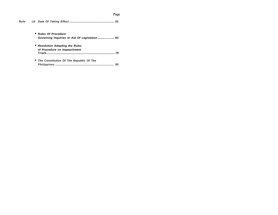|      |  | Page |
|------|--|------|
| Rule |  |      |

| <b>Rules Of Procedure</b>                 |    |
|-------------------------------------------|----|
|                                           |    |
| • Resolution Adopting the Rules           |    |
| of Procedure on Impeachment               |    |
|                                           | 70 |
| • The Constitution Of The Republic Of The |    |
|                                           |    |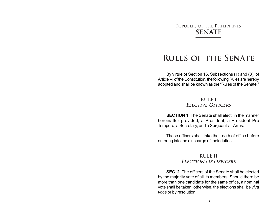Republic of the Philippines **SENATE**

# **Rules of the Senate**

By virtue of Section 16, Subsections (1) and (3), of Article VI of the Constitution, the following Rules are hereby adopted and shall be known as the "Rules of the Senate."

#### **RULE I Elective Officers**

**SECTION 1.** The Senate shall elect, in the manner hereinafter provided, a President, a President Pro Tempore, a Secretary, and a Sergeant-at-Arms.

These officers shall take their oath of office before entering into the discharge of their duties.

#### **RULE II Election Of Officers**

**SEC. 2.** The officers of the Senate shall be elected by the majority vote of all its members. Should there be more than one candidate for the same office, a nominal vote shall be taken; otherwise, the elections shall be *viva voce* or by resolution.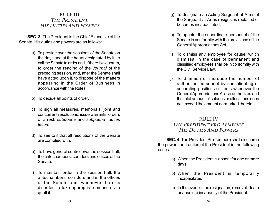#### **RULE III The President, His Duties And Powers**

**SEC. 3.** The President is the Chief Executive of the Senate. His duties and powers are as follows:

- a) To preside over the sessions of the Senate on the days and at the hours designated by it; to call the Senate to order and, if there is a quorum, to order the reading of the *Journal* of the preceding session, and, after the Senate shall have acted upon it, to dispose of the matters appearing in the Order of Business in accordance with the Rules.
- b) To decide all points of order.
- c) To sign all measures, memorials, joint and concurrent resolutions; issue warrants, orders of arrest, *subpoena* and *subpoena duces tecum*.
- d) To see to it that all resolutions of the Senate are complied with.
- e) To have general control over the session hall, the antechambers, corridors and offices of the Senate.
- f) To maintain order in the session hall, the antechambers, corridors and in the offices of the Senate and, whenever there is disorder, to take appropriate measures to quell it.
- g) To designate an Acting Sergeant-at-Arms, if the Sergeant-at-Arms resigns, is replaced or becomes incapacitated.
- h) To appoint the subordinate personnel of the Senate in conformity with the provisions of the General Appropriations Act.
- i) To dismiss any employee for cause, which dismissal in the case of permanent and classified employees shall be in conformity with the Civil Service Law.
- To diminish or increase the number of authorized personnel by consolidating or separating positions or items whenever the General Appropriations Act so authorizes and the total amount of salaries or allocations does not exceed the amount earmarked therein.

#### **RULE IV The President Pro Tempore, His Duties And Powers**

**SEC. 4.** The President Pro Tempore shall discharge the powers and duties of the President in the following cases:

- a) When the President is absent for one or more days.
- b) When the President is temporarily incapacitated.
- c) In the event of the resignation, removal, death or absolute incapacity of the President.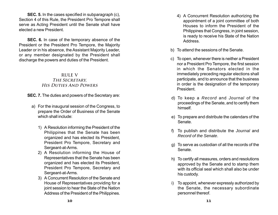**SEC. 5.** In the cases specified in subparagraph (c), Section 4 of this Rule, the President Pro Tempore shall serve as Acting President until the Senate shall have elected a new President.

**SEC. 6.** In case of the temporary absence of the President or the President Pro Tempore, the Majority Leader or in his absence, the Assistant Majority Leader, or any member designated by the President shall discharge the powers and duties of the President.

#### **RULE V The Secretary, His Duties And Powers**

- **SEC. 7.** The duties and powers of the Secretary are:
	- a) For the inaugural session of the Congress, to prepare the Order of Business of the Senate which shall include:
		- 1) A Resolution informing the President of the Philippines that the Senate has been organized and has elected its President, President Pro Tempore, Secretary and Sergeant-at-Arms.
		- 2) A Resolution informing the House of Representatives that the Senate has been organized and has elected its President, President Pro Tempore, Secretary and Sergeant-at-Arms.
		- 3) A Concurrent Resolution of the Senate and House of Representatives providing for a joint session to hear the State of the Nation Address of the President of the Philippines.
- 4) A Concurrent Resolution authorizing the appointment of a joint committee of both Houses to inform the President of the Philippines that Congress, in joint session, is ready to receive his State of the Nation Address.
- b) To attend the sessions of the Senate.
- c) To open, whenever there is neither a President nor a President Pro Tempore, the first session in which the Senators elected in the immediately preceding regular elections shall participate, and to announce that the business in order is the designation of the temporary President.
- d) To keep a *Record* and *Journal* of the proceedings of the Senate, and to certify them himself.
- e) To prepare and distribute the calendars of the Senate.
- f) To publish and distribute the *Journal* and *Record of the Senate*.
- g) To serve as custodian of all the records of the Senate.
- h) To certify all measures, orders and resolutions approved by the Senate and to stamp them with its official seal which shall also be under his custody.
- i) To appoint, whenever expressly authorized by the Senate, the necessary subordinate personnel thereof.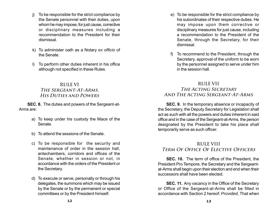- To be responsible for the strict compliance by the Senate personnel with their duties, upon whom he may impose, for just cause, corrective or disciplinary measures including a recommendation to the President for their dismissal.
- k) To administer oath as a Notary *ex officio* of the Senate.
- l) To perform other duties inherent in his office although not specified in these Rules.

#### **RULE VI The Sergeant-At-Arms, His Duties and Powers**

**SEC. 8.** The duties and powers of the Sergeant-at-Arms are:

- a) To keep under his custody the Mace of the Senate.
- b) To attend the sessions of the Senate.
- c) To be responsible for the security and maintenance of order in the session hall, antechambers, corridors and offices of the Senate, whether in session or not, in accordance with the orders of the President or the Secretary.
- d) To execute or serve, personally or through his delegates, the summons which may be issued by the Senate or by the permanent or special committees or by the President himself.
- e) To be responsible for the strict compliance by his subordinates of their respective duties. He may impose upon them corrective or disciplinary measures for just cause, including a recommendation to the President of the Senate, through the Secretary, for their dismissal.
- To recommend to the President, through the Secretary, approval of the uniform to be worn by the personnel assigned to serve under him in the session hall.

#### **RULE VII The Acting Secretary And The Acting Sergeant-At-Arms**

**SEC. 9.** In the temporary absence or incapacity of the Secretary, the Deputy Secretary for Legislation shall act as such with all the powers and duties inherent in said office and in the case of the Sergeant-at-Arms, the person designated by the President to take his place shall temporarily serve as such officer.

#### **RULE VIII Term Of Office Of Elective Officers**

**SEC. 10.** The term of office of the President, the President Pro Tempore, the Secretary and the Sergeantat-Arms shall begin upon their election and end when their successors shall have been elected.

**SEC. 11.** Any vacancy in the Office of the Secretary or Office of the Sergeant-at-Arms shall be filled in accordance with Section 2 hereof: *Provided*, That when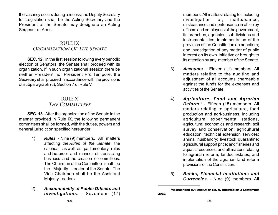the vacancy occurs during a recess, the Deputy Secretary for Legislation shall be the Acting Secretary and the President of the Senate may designate an Acting Sergeant-at-Arms.

#### **RULE IX Organization Of The Senate**

**SEC. 12.** In the first session following every periodic election of Senators, the Senate shall proceed with its organization. If in such organizational session there be neither President nor President Pro Tempore, the Secretary shall proceed in accordance with the provisions of subparagraph (c), Section 7 of Rule V.

#### **RULE X The Committees**

**SEC. 13.** After the organization of the Senate in the manner provided in Rule IX, the following permanent committees shall be formed, with the duties, powers and general jurisdiction specified hereunder:

- 1) *Rules.* Nine (9) members. All matters affecting the *Rules of the Senate*; the calendar as well as parliamentary rules and the order and manner of transacting business and the creation of committees. The Chairman of the Committee shall be the Majority Leader of the Senate. The Vice Chairmen shall be the Assistant Majority Leaders.
- 2) *Accountability of Public Officers and Investigations.* - Seventeen (17)

members. All matters relating to, including investigation of, malfeasance, misfeasance and nonfeasance in office by officers and employees of the government, its branches, agencies, subdivisions and instrumentalities; implementation of the provision of the Constitution on nepotism; and investigation of any matter of public interest on its own initiative or brought to its attention by any member of the Senate.

- 3) *Accounts.* Eleven (11) members. All matters relating to the auditing and adjustment of all accounts chargeable against the funds for the expenses and activities of the Senate.
- 4) *Agriculture, Food and Agrarian Reform.* 1 - Fifteen (15) members. All matters relating to agriculture, food production and agri-business, including agricultural experimental stations, agricultural economics and research; soil survey and conservation; agricultural education; technical extension services; animal husbandry; livestock quarantine; agricultural support price; and fisheries and aquatic resources; and all matters relating to agrarian reform, landed estates, and implentation of the agrarian land reform provisions of the Constitution.
- 5) *Banks, Financial Institutions and Currencies.* - Nine (9) members. All

**<sup>1</sup>As amended by Resolution No. 9, adopted on 3 September 2019.**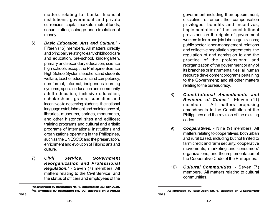matters relating to banks, financial institutions, government and private currencies, capital markets, mutual funds, securitization, coinage and circulation of money.

- 6) *Basic Education, Arts and Culture.* 2 Fifteen (15) members. All matters directly and principally relating to early childhood care and education, pre-school, kindergarten, primary and secondary education, science high schools except the Philippine Science High School System, teachers and students welfare, teacher education and competency, non-formal, informal, indigenous learning systems, special education and community adult education; inclusive education, scholarships, grants, subsidies and incentives to deserving students; the national language establishment and maintenance of, libraries, museums, shrines, monuments, and other historical sites and edifices; training programs and cultural and artistic programs of international institutions and organizations operating in the Philippines, such as the UNESCO; and the preservation, enrichment and evolution of Filipino arts and culture.
- 7) *Civil Service, Government Reorganization and Professional Regulation.* 3 - Seven (7) members. All matters relating to the Civil Service and the status of officers and employees of the

government including their appointment, discipline, retirement; their compensation privileges, benefits and incentives; implementation of the constitutional provisions on the rights of government workers to form and join labor organizations; public sector labor-management relations and collective negotiation agreements; the regulation of and admission to and the practice of the professions; and reorganization of the government or any of its branches or instrumentalities; all human resource development programs pertaining to the Government; and all other matters relating to the bureaucracy.

- 8) *Constitutional Amendments and Revision of Codes.* 4*-* Eleven (11) members. All matters proposing amendments to the Constitution of the Philippines and the revision of the existing codes.
- 9) *Cooperatives.* Nine (9) members. All matters relating to cooperatives, both urban and rural based, including but not limited to farm credit and farm security, cooperative movements, marketing and consumers' organizations; and the implementation of the Cooperative Code of the Philippines.
- 10) *Cultural Communities.* Seven (7) members. All matters relating to cultural communities.

**2015.**

**<sup>2</sup>As amended by Resolution No. 6, adopted on 31 July 2019. 3As amended by Resolution No. 92, adopted on 3 August**

**<sup>4</sup>As amended by Resolution No. 6, adopted on 2 September 2013.**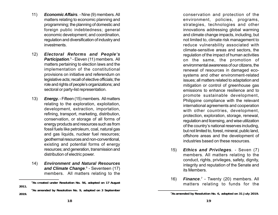- 11) *Economic Affairs.* Nine (9) members. All matters relating to economic planning and programming; the planning of domestic and foreign public indebtedness; general economic development; and coordination, regulation and diversification of industry and investments.
- 12) *Electoral Reforms and People's Participation.* 5 - Eleven (11) members. All matters pertaining to election laws and the implementation of the constitutional provisions on initiative and referendum on legislative acts; recall of elective officials; the role and rights of people's organizations; and sectoral or party-list representation.
- 13) *Energy.* Fifteen (15) members. All matters relating to the exploration, exploitation, development, extraction, importation, refining, transport, marketing, distribution, conservation, or storage of all forms of energy products and resources such as from fossil fuels like petroleum, coal, natural gas and gas liquids, nuclear fuel resources; geothermal resources and non-conventional, existing and potential forms of energy resources; and generation, transmission and distribution of electric power.
- 14) *Environment and Natural Resources and Climate Change.* $^6$  **- Seventeen (17)** members. All matters relating to the
- **5As created under Resolution No. 56, adopted on 17 August 2011.**
- **6As amended by Resolution No. 9, adopted on 3 September 2019. 7As amended by Resolution No. 6, adopted on 31 July 2019.**

conservation and protection of the environment, policies, programs, strategies, technologies and other innovations addressing global warming and climate change impacts, including, but not limited to, climate risk management to reduce vulnerability associated with climate-sensitive areas and sectors, the regulation of the impact of human activities on the same, the promotion of environmental awareness of our citizens, the renewal of resources in damaged ecosystems and other environment-related issues; all matters related to adaptation and mitigation or control of greenhouse gas emissions to enhance resilience and to promote sustainable development, Philippine compliance with the relevant international agreements and cooperation with other countries, development, protection, exploration, storage, renewal, regulation and licensing, and wise utilization of the country's national reserves including, but not limited to, forest, mineral, public land, offshore areas and the development of industries based on these resources.

- 15) *Ethics and Privileges.* Seven (7) members. All matters relating to the conduct, rights, privileges, safety, dignity, integrity and reputation of the Senate and its Members.
- 16) *Finance*. 7 Twenty (20) members. All matters relating to funds for the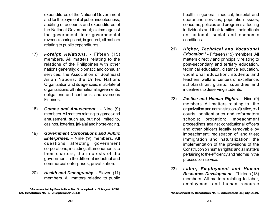expenditures of the National Government and for the payment of public indebtedness; auditing of accounts and expenditures of the National Government; claims against the government; inter-governmental revenue sharing; and, in general, all matters relating to public expenditures.

- 17) *Foreign Relations.*  Fifteen (15) members. All matters relating to the relations of the Philippines with other nations generally; diplomatic and consular services; the Association of Southeast Asian Nations; the United Nations Organization and its agencies; multi-lateral organizations; all international agreements, obligations and contracts; and overseas Filipinos.
- 18) *Games and Amusement.* 8 Nine (9) members. All matters relating to games and amusement, such as, but not limited to, casinos, lotteries, jai-alai and horse-racing.
- 19) *Government Corporations and Public Enterprises.* - Nine (9) members. All questions affecting government corporations, including all amendments to their charters; the interests of the government in the different industrial and commercial enterprises; privatization.
- 20) *Health and Demography.*  Eleven (11) members. All matters relating to public

health in general, medical, hospital and quarantine services; population issues, concerns, policies and programs affecting individuals and their families, their effects on national, social and economic conditions.

- 21) *Higher, Technical and Vocational Education.* 9 - Fifteeen (15) members. All matters directly and principally relating to post-secondary and tertiary education, technical education, distance education, vocational education, students and teachers' welfare, centers of excellence, scholarships, grants, subsidies and incentives to deserving students.
- 22) *Justice and Human Rights.* Nine (9) members. All matters relating to the organization and administration of justice, civil courts, penitentiaries and reformatory schools; probation; impeachment proceedings against constitutional officers and other officers legally removable by impeachment; registration of land titles; immigration and naturalization; the implementation of the provisions of the Constitution on human rights; and all matters pertaining to the efficiency and reforms in the prosecution service.
- 23) *Labor, Employment and Human Resources Development.* - Thirteen (13) members. All matters relating to labor, employment and human resource

**<sup>8</sup>As amended by Resolution No. 3, adopted on 1 August 2016. (cf. Resolution No. 6, 2 September 2013) 9As amended by Resolution No. 6, adopted on 31 July 2019.**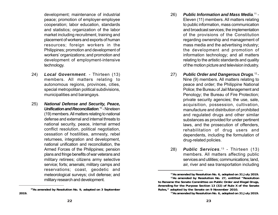development; maintenance of industrial peace; promotion of employer-employee cooperation; labor education, standards and statistics; organization of the labor market including recruitment, training and placement of workers and exports of human resources; foreign workers in the Philippines; promotion and development of workers' organizations; and promotion and development of employment-intensive technology.

- 24) *Local Government.* Thirteen (13) members. All matters relating to autonomous regions, provinces, cities, special metropolitan political subdivisions, municipalities and barangays.
- 25) *National Defense and Security, Peace, Unification and Reconciliation.*<sup>10</sup> - Nineteen (19) members. All matters relating to national defense and external and internal threats to national security, peace, internal armed conflict resolution, political negotiation, cessation of hostilities, amnesty, rebel returnees, integration and development, national unification and reconciliation, the Armed Forces of the Philippines; pension plans and fringe benefits of war veterans and military retirees; citizens army selective service; forts; arsenals; military camps and reservations; coast, geodetic and meteorological surveys; civil defense; and military research and development.
- 26) *Public Information and Mass Media.*11 Eleven (11) members. All matters relating to public information, mass communication and broadcast services; the implementation of the provisions of the Constitution regarding ownership and management of mass media and the advertising industry; the development and promotion of information technology; and all matters relating to the artistic standards and quality of the motion picture and television industry.
- 27) *Public Order and Dangerous Drugs.*12 Nine (9) members. All matters relating to peace and order; the Philippine National Police; the Bureau of Jail Management and Penology; the Bureau of Fire Protection; private security agencies; the use, sale, acquisition, possession, cultivation, manufacture and distribution of prohibited and regulated drugs and other similar substances as provided for under pertinent laws, and the prosecution of offenders, rehabilitation of drug users and dependents, including the formulation of drug-related policies.
- 28) *Public Services.*13 Thirteen (13) members. All matters affecting public services and utilities; communications; land, air, river and sea transportation including

**<sup>10</sup>As amended by Resolution No. 9, adopted on 3 September 2019.**

**<sup>11</sup>As amended by Resolution No. 6, adopted on 31 July 2019. 12As amended by Resolution No. 27, entitled "Resolution to Rename the Senate Committee on Public Order and Illegal Drugs, Amending for the Purpose Section 13 (32) of Rule X of the Senate Rules," adopted by the Senate on 9 November 2010.**

**<sup>13</sup>As amended by Resolution No. 6, adopted on 31 July 2019.**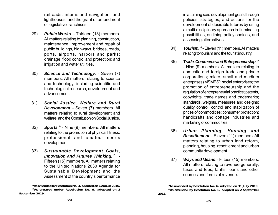railroads, inter-island navigation, and lighthouses; and the grant or amendment of legislative franchises.

- 29) *Public Works.* Thirteen (13) members. All matters relating to planning, construction, maintenance, improvement and repair of public buildings, highways, bridges, roads, ports, airports, harbors and parks; drainage, flood control and protection; and irrigation and water utilities.
- 30) *Science and Technology.* Seven (7) members. All matters relating to science and technology, including scientific and technological research, development and advancement.
- 31) *Social Justice, Welfare and Rural Development.* - Seven (7) members. All matters relating to rural development and welfare, and the Constitution on Social Justice.
- 32) *Sports.*14 Nine (9) members. All matters relating to the promotion of physical fitness, professional and amateur sports development.
- 33) *Sustainable Development Goals, Innovation and Futures Thinking.*<sup>15</sup> - Fifteen (15) members. All matters relating to the United Nations 2030 Agenda for Sustainable Development and the Assessment of the country's performance

in attaining said development goals through policies, strategies, and actions for the development of desirable futures by using a multi-disciplinary approach in illuminating possibilities, outlining policy choices, and assessing alternatives.

- 34) *Tourism.*16 Eleven (11) members. All matters relating to tourism and the tourist industry.
- 35) *Trade, Commerce and Entrepreneurship.*<sup>17</sup> - Nine (9) members. All matters relating to domestic and foreign trade and private corporations; micro, small and medium enterprises (MSMES); social enterprises; the promotion of entrepreneurship and the regulation of entrepreneurial practice; patents, copyrights, trade names and trademarks; standards, weights, measures and designs; quality control, control and stabilization of prices of commodities; consumer protection; handicrafts and cottage industries and marketing of commodities.
- 36) *Urban Planning, Housing and Resettlement.* - Eleven (11) members. All matters relating to urban land reform, planning, housing, resettlement and urban community development.
- 37) *Ways and Means*. Fifteen (15) members. All matters relating to revenue generally; taxes and fees; tariffs; loans and other sources and forms of revenue.

**<sup>14</sup>As amended by Resolution No. 3, adopted on 1 August 2016. 15As created under Resolution No. 9, adopted on 3 September 2019.**

**<sup>16</sup>As amended by Resolution No. 6, adopted on 31 July 2019. 17As amended by Resolution No. 6, adopted on 2 September 2013.**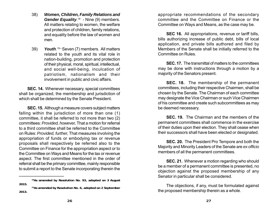- 38) *Women, Children, Family Relations and Gender Equality.*<sup>18</sup> - Nine (9) members. All matters relating to women, the welfare and protection of children, family relations, and equality before the law of women and men.
- 39) *Youth*.19Seven (7) members. All matters related to the youth and its vital role in nation-building, promotion and protection of their physical, moral, spiritual, intellectual, and social well-being, inculcation of patriotism, nationalism and their involvement in public and civic affairs.

**SEC. 14.** Whenever necessary, special committees shall be organized, the membership and jurisdiction of which shall be determined by the Senate President.

**SEC. 15.** Although a measure covers subject matters falling within the jurisdiction of more than one (1) committee, it shall be referred to not more than two (2) committees: *Provided, however,* That a motion for referral to a third committee shall be referred to the Committee on Rules: *Provided, further,* That measures involving the appropriation of funds or embodying tax or revenue proposals shall respectively be referred also to the Committee on Finance for the appropriation aspect or to the Committee on Ways and Means for the tax or revenue aspect. The first committee mentioned in the order of referral shall be the primary committee, mainly responsible to submit a report to the Senate incorporating therein the

**18As amended by Resolution No. 93, adopted on 3 August 2015.**

**19As amended by Resolution No. 6, adopted on 2 September 2013.**

appropriate recommendations of the secondary committee and the Committee on Finance or the Committee on Ways and Means, as the case may be.

**SEC 16.** All appropriations, revenue or tariff bills, bills authorizing increase of public debt, bills of local application, and private bills authored and filed by Members of the Senate shall be initially referred to the Committee on Rules.

**SEC. 17.** The transmittal of matters to the committees may be done with instructions through a motion by a majority of the Senators present.

**SEC. 18.** The membership of the permanent committees, including their respective Chairmen, shall be chosen by the Senate. The Chairman of each committee may designate the Vice Chairman or such Vice Chairmen of his committee and create such subcommittees as may be deemed necessary.

**SEC. 19.** The Chairman and the members of the permanent committees shall commence in the exercise of their duties upon their election. They shall cease when their successors shall have been elected or designated.

**SEC. 20.** The President Pro Tempore and both the Majority and Minority Leaders of the Senate are *ex officio* members of all the permanent committees.

**SEC. 21.** Whenever a motion regarding who should be a member of a permanent committee is presented, no objection against the proposed membership of any Senator in particular shall be considered.

The objections, if any, must be formulated against the proposed membership therein as a whole.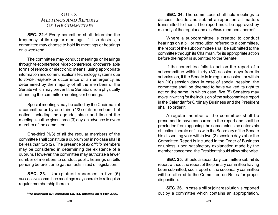#### **RULE XI Meetings And Reports OF THE COMMITTEES**

**SEC. 22.***20* Every committee shall determine the frequency of its regular meetings. If it so desires, a committee may choose to hold its meetings or hearings on a weekend.

The committee may conduct meetings or hearings through teleconference, video conference, or other reliable forms of remote or electronic means, using appropriate information and communications technology systems due to *force majeure* or occurrence of an emergency as determined by the majority of all the members of the Senate which may prevent the Senators from physically attending the committee meetings or hearings.

Special meetings may be called by the Chairman of a committee or by one-third (1/3) of its members, but notice, including the agenda, place and time of the meeting, shall be given three (3) days in advance to every member of the committee.

One-third (1/3) of all the regular members of the committee shall constitute a quorum but in no case shall it be less than two (2). The presence of *ex officio* members may be considered in determining the existence of a quorum. However, the committee may authorize a fewer number of members to conduct public hearings on bills pending before it or to gather facts in aid of legislation.

**SEC. 23.** Unexplained absences in five (5) successive committee meetings may operate to relinquish regular membership therein.

**SEC. 24.** The committees shall hold meetings to discuss, decide and submit a report on all matters transmitted to them. The report must be approved by majority of the regular and *ex officio* members thereof.

Where a subcommittee is created to conduct hearings on a bill or resolution referred to a committee, the report of the subcommittee shall be submitted to the committee through its Chairman, for its appropriate action before the report is submitted to the Senate.

If the committee fails to act on the report of a subcommittee within thirty (30) session days from its submission, if the Senate is in regular session, or within ten (10) session days in case of special session, the committee shall be deemed to have waived its right to act on the same, in which case, five (5) Senators may move in writing for the inclusion of the subcommittee report in the Calendar for Ordinary Business and the President shall so order it.

A regular member of the committee shall be presumed to have concurred in the report and shall be precluded from opposing the same unless he enters his objection thereto or files with the Secretary of the Senate his dissenting vote within two (2) session days after the Committee Report is included in the Order of Business or unless, upon satisfactory explanation made by the member concerned, the President should allow otherwise.

**SEC. 25.** Should a secondary committee submit its report without the report of the primary committee having been submitted, such report of the secondary committee will be referred to the Committee on Rules for proper disposition.

**SEC. 26.** In case a bill or joint resolution is reported out by a committee which contains an appropriation,

**<sup>20</sup>As amended by Resolution No. 43, adopted on 4 May 2020.**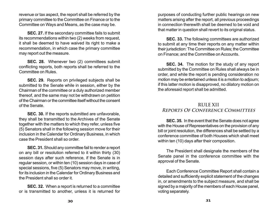revenue or tax aspect, the report shall be referred by the primary committee to the Committee on Finance or to the Committee on Ways and Means, as the case may be.

**SEC. 27.** If the secondary committee fails to submit its recommendations within two (2) weeks from request, it shall be deemed to have waived its right to make a recommendation, in which case the primary committee may report out the measure.

**SEC. 28.** Whenever two (2) committees submit conflicting reports, both reports shall be referred to the Committee on Rules.

**SEC. 29.** Reports on privileged subjects shall be submitted to the Senate while in session, either by the Chairman of the committee or a duly authorized member thereof, and the same may not be withdrawn on petition of the Chairman or the committee itself without the consent of the Senate.

**SEC. 30.** If the reports submitted are unfavorable, they shall be transmitted to the Archives of the Senate together with the matters to which they refer, unless five (5) Senators shall in the following session move for their inclusion in the Calendar for Ordinary Business, in which case the President shall so order.

**SEC. 31.** Should any committee fail to render a report on any bill or resolution referred to it within thirty (30) session days after such reference, if the Senate is in regular session, or within ten (10) session days in case of special sessions, five (5) Senators may move, in writing, for its inclusion in the Calendar for Ordinary Business and the President shall so order it.

**SEC. 32.** When a report is returned to a committee or is transmitted to another, unless it is returned for

purposes of conducting further public hearings on new matters arising after the report, all previous proceedings in connection therewith shall be deemed to be void and that matter in question shall revert to its original status.

**SEC. 33.** The following committees are authorized to submit at any time their reports on any matter within their jurisdiction: The Committee on Rules; the Committee on Finance; and the Committee on Accounts.

**SEC. 34.** The motion for the study of any report submitted by the Committee on Rules shall always be in order, and while the report is pending consideration no motion may be entertained unless it is a motion to adjourn; if this latter motion is disapproved, no dilatory motion on the aforesaid report shall be admitted.

#### **RULE XII Reports Of Conference Committees**

**SEC. 35.** In the event that the Senate does not agree with the House of Representatives on the provision of any bill or joint resolution, the differences shall be settled by a conference committee of both Houses which shall meet within ten (10) days after their composition.

The President shall designate the members of the Senate panel in the conference committee with the approval of the Senate.

Each Conference Committee Report shall contain a detailed and sufficiently explicit statement of the changes in, or amendments to the subject measure, and shall be signed by a majority of the members of each House panel, voting separately.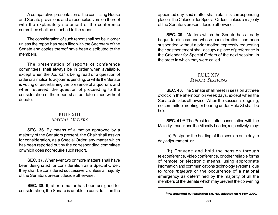A comparative presentation of the conflicting House and Senate provisions and a reconciled version thereof with the explanatory statement of the conference committee shall be attached to the report.

The consideration of such report shall not be in order unless the report has been filed with the Secretary of the Senate and copies thereof have been distributed to the members.

The presentation of reports of conference committees shall always be in order when available, except when the *Journal* is being read or a question of order or a motion to adjourn is pending, or while the Senate is voting or ascertaining the presence of a quorum; and when received, the question of proceeding to the consideration of the report shall be determined without debate.

#### **RULE XIII Special Orders**

**SEC. 36.** By means of a motion approved by a majority of the Senators present, the Chair shall assign for consideration, as a Special Order, any matter which has been reported out by the corresponding committee or which does not require such report.

**SEC. 37.** Whenever two or more matters shall have been designated for consideration as a Special Order, they shall be considered successively, unless a majority of the Senators present decide otherwise.

**SEC. 38.** If, after a matter has been assigned for consideration, the Senate is unable to consider it on the appointed day, said matter shall retain its corresponding place in the Calendar for Special Orders, unless a majority of the Senators present decide otherwise.

**SEC. 39.** Matters which the Senate has already begun to discuss and whose consideration has been suspended without a prior motion expressly requesting their postponement shall occupy a place of preference in the Calendar for Special Orders of the next session, in the order in which they were called.

#### **RULE XIV Senate Sessions**

**SEC. 40.** The Senate shall meet in session at three <sup>o</sup>'clock in the afternoon on week days, except when the Senate decides otherwise. When the session is ongoing, no committee meeting or hearing under Rule XI shall be held.

**SEC. 41.**<sup>21</sup> The President, after consultation with the Majority Leader and the Minority Leader, respectively, may:

(a) Postpone the holding of the session on a day to day adjournment, or

(b) Convene and hold the session through teleconference, video conference, or other reliable forms of remote or electronic means, using appropriate information and communications technology systems, due to *force majeure* or the occurrence of a national emergency as determined by the majority of all the members of the Senate which may prevent the convening

**<sup>21</sup>As amended by Resolution No. 43, adopted on 4 May 2020.**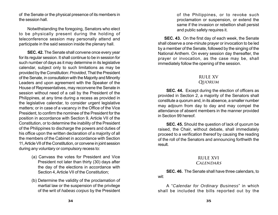of the Senate or the physical presence of its members in the session hall.

Notwithstanding the foregoing, Senators who elect to be physically present during the holding of teleconference session may personally attend and participate in the said session inside the plenary hall.

**SEC. 42.** The Senate shall convene once every year for its regular session. It shall continue to be in session for such number of days as it may determine in its legislative calendar, subject only to such limitations as may be provided by the Constitution: *Provided*, That the President of the Senate, in consultation with the Majority and Minority Leaders and upon agreement with the Speaker of the House of Representatives, may reconvene the Senate in session without need of a call by the President of the Philippines, at any time during a recess as provided in the legislative calendar, to consider urgent legislative matters; or in case of a vacancy in the Office of the Vice President, to confirm the nominee of the President for the position in accordance with Section 9, Article VII of the Constitution, or to determine the inability of the President of the Philippines to discharge the powers and duties of his office upon the written declaration of a majority of all the members of the Cabinet in accordance with Section 11, Article VII of the Constitution, or convene in joint sessio n during any voluntary or compulsory recess to:

- (a) Canvass the votes for President and Vice President not later than thirty (30) days after the day of the elections in accordance with Section 4, Article VII of the Constitution;
- (b) Determine the validity of the proclamation of martial law or the suspension of the privilege of the writ of *habeas corpus* by the President

of the Philippines, or to revoke such proclamation or suspension, or extend the same if the invasion or rebellion shall persist and public safety requires it.

**SEC. 43.** On the first day of each week, the Senate shall observe a one-minute prayer or invocation to be led by a member of the Senate, followed by the singing of the National Anthem. On every session day thereafter, the prayer or invocation, as the case may be, shall immediately follow the opening of the session.

#### **RULE XV Quorum**

**SEC. 44.** Except during the election of officers as provided in Section 2, a majority of the Senators shall constitute a quorum and, in its absence, a smaller number may adjourn from day to day and may compel the attendance of absent members in the manner provided in Section 99 hereof.

**SEC. 45.** Should the question of lack of quorum be raised, the Chair, without debate, shall immediately proceed to a verification thereof by causing the reading of the roll of the Senators and announcing forthwith the result.

#### **RULE XVI Calendars**

**SEC. 46.** The Senate shall have three calendars, to wit:

A "*Calendar for Ordinary Business*" in which shall be included the bills reported out by the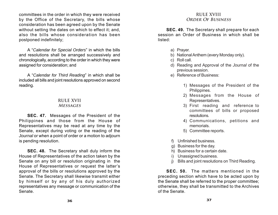committees in the order in which they were received by the Office of the Secretary, the bills whose consideration has been agreed upon by the Senate without setting the dates on which to effect it; and, also the bills whose consideration has been postponed indefinitely;

A "*Calendar for Special Orders*" in which the bills and resolutions shall be arranged successively and chronologically, according to the order in which they were assigned for consideration; and

A "*Calendar for Third Reading*" in which shall be included all bills and joint resolutions approved on second reading.

#### **RULE XVII Messages**

**SEC. 47.** Messages of the President of the Philippines and those from the House of Representatives may be read at any time by the Senate, except during voting or the reading of the *Journal* or when a point of order or a motion to adjourn is pending resolution.

**SEC. 48.** The Secretary shall duly inform the House of Representatives of the action taken by the Senate on any bill or resolution originating in the House of Representatives or request the latter's approval of the bills or resolutions approved by the Senate. The Secretary shall likewise transmit either by himself or by any of his duly authorized representatives any message or communication of the Senate.

#### **RULE XVIII ORDER OF BUSINESS**

**SEC. 49.** The Secretary shall prepare for each session an Order of Business in which shall be listed:

- a) Prayer.
- b) National Anthem (every Monday only).
- c) Roll call.
- d) Reading and Approval of the *Journal* of the previous session.
- e) Reference of Business:
	- 1) Messages of the President of the Philippines.
	- 2) Messages from the House of Representatives.
	- 3) First reading and reference to committees of bills or proposed resolutions.
	- 4) Communications, petitions and memorials.
	- 5) Committee reports.
- f) Unfinished business.
- g) Business for the day.
- h) Business for a certain date.
- i) Unassigned business.
- j) Bills and joint resolutions on Third Reading.

**SEC. 50.** The matters mentioned in the preceding section which have to be acted upon by the Senate shall be referred to the proper committee; otherwise, they shall be transmitted to the Archives of the Senate.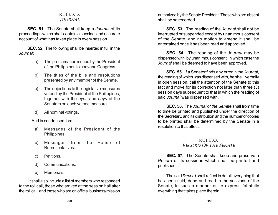#### **RULE XIX Journal**

**SEC. 51.** The Senate shall keep a *Journal* of its proceedings which shall contain a succinct and accurate account of what has taken place in every session.

**SEC. 52.** The following shall be inserted in full in the *Journal*:

- a) The proclamation issued by the President of the Philippines to convene Congress.
- b) The titles of the bills and resolutions presented by any member of the Senate.
- c) The objections to the legislative measures vetoed by the President of the Philippines, together with the *ayes* and *nays* of the Senators on each vetoed measure.
- d) All nominal votings.

And in condensed form:

- a) Messages of the President of the Philippines.
- b) Messages from the House of Representatives.
- c) Petitions.
- d) Communications.
- e) Memorials.

It shall also include a list of members who responded to the roll call, those who arrived at the session hall after the roll call, and those who are on official business/mission

authorized by the Senate President. Those who are absent shall be so recorded.

**SEC. 53.** The reading of the *Journal* shall not be interrupted or suspended except by unanimous consent of the Senate, and no motion to amend it shall be entertained once it has been read and approved.

**SEC. 54.** The reading of the *Journal* may be dispensed with by unanimous consent, in which case the *Journal* shall be deemed to have been approved.

**SEC. 55.** If a Senator finds any error in the *Journal*, the reading of which was dispensed with, he shall, verbally in open session, call the attention of the Senate to this fact and move for its correction not later than three (3) session days subsequent to that in which the reading of said *Journal* was dispensed with.

**SEC. 56.** The *Journal of the Senate* shall from time to time be printed and published under the direction of the Secretary, and its distribution and the number of copies to be printed shall be determined by the Senate in a resolution to that effect.

#### **RULE XX Record Of The Senate**

**SEC. 57.** The Senate shall keep and preserve a *Record* of its sessions which shall be printed and published.

The said *Record* shall reflect in detail everything that has been said, done and read in the sessions of the Senate, in such a manner as to express faithfully everything that takes place therein.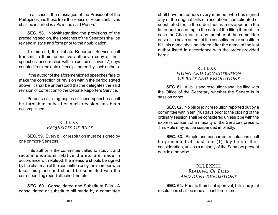In all cases, the messages of the President of the Philippines and those from the House of Representatives shall be inserted *in toto* in the said *Record*.

**SEC. 58.** Notwithstanding the provisions of the preceding section, the speeches of the Senators shall be revised in style and form prior to their publication.

To this end, the Debate Reporters Service shall transmit to their respective authors a copy of their speeches for correction within a period of seven (7) days counted from the date of receipt thereof by such authors.

If the author of the aforementioned speeches fails to make the correction or revision within the period stated above, it shall be understood that he delegates the said revision or correction to the Debate Reporters Service.

Persons soliciting copies of these speeches shall be furnished only after such revision has been accomplished.

#### **RULE XXI Requisites Of Bills**

**SEC. 59.** Every bill or resolution must be signed by one or more Senators.

If its author is the committee called to study it and recommendations relative thereto are made in accordance with Rule XI, the measure should be signed by the chairman of the committee or by the member who takes his place and should be submitted with the corresponding report attached thereto.

**SEC. 60.** Consolidated and Substitute Bills - A consolidated or substitute bill made by a committee

shall have as authors every member who has signed any of the original bills or resolutions consolidated or substituted for, in the order their names appear in the latter and according to the date of the filing thereof. In case the Chairman or any member of the committee desires to be an author of the consolidated or substitute bill, his name shall be added after the name of the last author listed in accordance with the order provided herein.

#### **RULE XXII Filing And Consideration Of Bills And Resolutions**

**SEC. 61.** All bills and resolutions shall be filed with the Office of the Secretary whether the Senate is in session or not.

**SEC. 62.** No bill or joint resolution reported out by a committee within ten (10) days prior to the closing of the ordinary session shall be considered unless it be with the express consent of a majority of the Senators present. This Rule may not be suspended impliedly.

**SEC. 63.** Simple and concurrent resolutions shall be presented at least one (1) day before their consideration, unless a majority of the Senators present decide otherwise.

#### **RULE XXIII Reading Of Bills And Joint Resolutions**

**SEC. 64.** Prior to their final approval, bills and joint resolutions shall be read at least three times.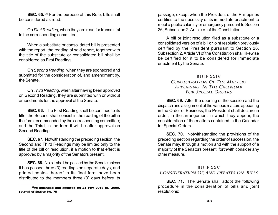**SEC. 65.** *<sup>22</sup>* For the purpose of this Rule, bills shall be considered as read:

On *First Reading*, when they are read for transmittal to the corresponding committee.

When a substitute or consolidated bill is presented with the report, the reading of said report, together with the title of the substitute or consolidated bill shall be considered as First Reading.

On *Second Reading*, when they are sponsored and submitted for the consideration of, and amendment by, the Senate.

On *Third Reading*, when after having been approved on Second Reading, they are submitted with or without amendments for the approval of the Senate.

**SEC. 66.** The First Reading shall be confined to its title; the Second shall consist in the reading of the bill in the form recommended by the corresponding committee; and the Third, in the form it will be after approval on Second Reading.

**SEC. 67.** Notwithstanding the preceding section, the Second and Third Readings may be limited only to the title of the bill or resolution, if a motion to that effect is approved by a majority of the Senators present.

**SEC. 68.** No bill shall be passed by the Senate unless it has passed three (3) readings on separate days, and printed copies thereof in its final form have been distributed to the members three (3) days before its

passage, except when the President of the Philippines certifies to the necessity of its immediate enactment to meet a public calamity or emergency pursuant to Section 26, Subsection 2, Article VI of the Constitution.

A bill or joint resolution filed as a substitute or a consolidated version of a bill or joint resolution previously certified by the President pursuant to Section 26, Subsection 2, Article VI of the Constitution shall likewise be certified for it to be considered for immediate enactment by the Senate.

#### **RULE XXIV Consideration Of The Matters Appearing In The Calendar For Special Orders**

**SEC. 69.** After the opening of the session and the dispatch and assignment of the various matters appearing in the Order of Business, the President shall declare in order, in the arrangement in which they appear, the consideration of the matters contained in the Calendar for Special Orders.

**SEC. 70.** Notwithstanding the provisions of the preceding section regarding the order of succession, the Senate may, through a motion and with the support of a majority of the Senators present, forthwith consider any other measure.

#### **RULE XXV**

#### **Consideration Of, And Debates On, Bills**

**SEC. 71.** The Senate shall adopt the following procedure in the consideration of bills and joint resolutions:

**<sup>22</sup>As amended and adopted on 21 May 2018 (p. 2000,** *Journal* **of Session No. 75**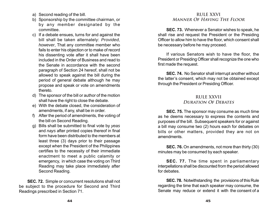- a) Second reading of the bill.
- b) Sponsorship by the committee chairman, or by any member designated by the committee.
- c) If a debate ensues, turns for and against the bill shall be taken alternately: *Provided, however*, That any committee member who fails to enter his objection or to make of record his dissenting vote after it shall have been included in the Order of Business and read to the Senate in accordance with the second paragraph of Section 24 hereof, shall not be allowed to speak against the bill during the period of general debate although he may propose and speak or vote on amendments thereto.
- d) The sponsor of the bill or author of the motion shall have the right to close the debate.
- e) With the debate closed, the consideration of amendments, if any, shall be in order.
- f) After the period of amendments, the voting of the bill on Second Reading.
- g) Bills shall be submitted to final vote by *yeas* and *nays* after printed copies thereof in final form have been distributed to the members at least three (3) days prior to their passage except when the President of the Philippines certifies to the necessity of their immediate enactment to meet a public calamity or emergency, in which case the voting on Third Reading may take place immediately after Second Reading.

**SEC. 72.** Simple or concurrent resolutions shall not be subject to the procedure for Second and Third Readings prescribed in Section 71.

#### **RULE XXVI Manner Of Having The Floor**

**SEC. 73.** Whenever a Senator wishes to speak, he shall rise and request the President or the Presiding Officer to allow him to have the floor, which consent shall be necessary before he may proceed.

If various Senators wish to have the floor, the President or Presiding Officer shall recognize the one who first made the request.

**SEC. 74.** No Senator shall interrupt another without the latter's consent, which may not be obtained except through the President or Presiding Officer.

#### **RULE XXVII Duration Of Debates**

**SEC. 75.** The sponsor may consume as much time as he deems necessary to express the contents and purposes of the bill. Subsequent speakers for or against a bill may consume two (2) hours each for debates on bills or other matters, provided they are not on amendments.

**SEC. 76.** On amendments, not more than thirty (30) minutes may be consumed by each speaker.

**SEC. 77.** The time spent in parliamentary interpellations shall be discounted from the period allowed for debates.

**SEC. 78.** Notwithstanding the provisions of this Rule regarding the time that each speaker may consume, the Senate may reduce or extend it with the consent of a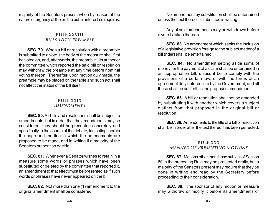majority of the Senators present when by reason of the nature or urgency of the bill the public interest so requires.

#### **RULE XXVIII Bills With Preamble**

**SEC. 79.** When a bill or resolution with a preamble is submitted to a vote, the body of the measure shall first be voted on, and, afterwards, the preamble. Its author or the committee which reported the said bill or resolution may withdraw the preamble at any time before nominal voting thereon. Thereafter, upon motion duly made, the preamble may be placed on the table and such act shall not affect the status of the bill itself.

#### **RULE XXIX Amendments**

**SEC. 80.** All bills and resolutions shall be subject to amendments; but in order that the amendments may be considered, they should be presented concretely and specifically in the course of the debate, indicating therein the page and the line in which the amendments are proposed to be made, and in writing if a majority of the Senators present so decide.

**SEC. 81.** Whenever a Senator wishes to retain in a measure some words or phrases which have been substituted or deleted by the committee that reported it, an amendment to that effect must be presented as if such words or phrases have never appeared on the bill.

**SEC. 82.** Not more than one (1) amendment to the original amendment shall be considered.

No amendment by substitution shall be entertained unless the text thereof is submitted in writing.

Any of said amendments may be withdrawn before a vote is taken thereon.

**SEC. 83.** No amendment which seeks the inclusion of a legislative provision foreign to the subject matter of a bill (rider) shall be entertained.

**SEC. 84.** No amendment setting aside sums of money for the payment of a claim shall be entertained in an appropriation bill, unless it be to comply with the provisions of a certain law, or with the terms of an agreement duly entered into by the Government, and all these shall be set forth in the proposed amendment.

**SEC. 85.** A bill or resolution shall not be amended by substituting it with another which covers a subject distinct from that proposed in the original bill or resolution.

**SEC. 86.** Amendments to the title of a bill or resolution shall be in order after the text thereof has been perfected.

#### **RULE XXX Manner Of Presenting Motions**

**SEC. 87.** Motions other than those subject of Section 80 in the preceding Rule may be presented orally, but a majority of the Senators present may require that they be done in writing and read by the Secretary before proceeding to their consideration.

**SEC. 88.** The sponsor of any motion or measure may withdraw or modify it before its amendments or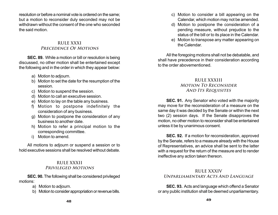resolution or before a nominal vote is ordered on the same; but a motion to reconsider duly seconded may not be withdrawn without the consent of the one who seconded the said motion.

#### **RULE XXXI Precedence Of Motions**

**SEC. 89.** While a motion or bill or resolution is being discussed, no other motion shall be entertained except the following and in the order in which they appear below:

- a) Motion to adjourn.
- b) Motion to set the date for the resumption of the session.
- c) Motion to suspend the session.
- d) Motion to call an executive session.
- e) Motion to lay on the table any business.
- f) Motion to postpone indefinitely the consideration of any business.
- g) Motion to postpone the consideration of any business to another date.
- h) Motion to refer a principal motion to the corresponding committee.
- i) Motion to amend.

All motions to adjourn or suspend a session or to hold executive sessions shall be resolved without debate.

#### **RULE XXXII Privileged Motions**

**SEC. 90.** The following shall be considered privileged motions:

- a) Motion to adjourn.
- b) Motion to consider appropriation or revenue bills.
- c) Motion to consider a bill appearing on the Calendar, which motion may not be amended.
- d) Motion to postpone the consideration of a pending measure, without prejudice to the status of the bill or to its place in the Calendar.
- e) Motion to transpose any matter appearing on the Calendar.

All the foregoing motions shall not be debatable, and shall have precedence in their consideration according to the order abovementioned.

#### **RULE XXXIII Motion To Reconsider And Its Requisites**

**SEC. 91.** Any Senator who voted with the majority may move for the reconsideration of a measure on the same day it was decided by the Senate or within the next two (2) session days. If the Senate disapproves the motion, no other motion to reconsider shall be entertained unless it be by unanimous consent.

**SEC. 92.** If a motion for reconsideration, approved by the Senate, refers to a measure already with the House of Representatives, an advice shall be sent to the latter with a request for the return of the measure and to render ineffective any action taken thereon.

#### **RULE XXXIV Unparliamentary Acts And Language**

**SEC. 93.** Acts and language which offend a Senator or any public institution shall be deemed unparliamentary.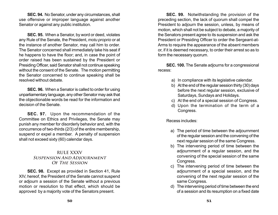**SEC. 94.** No Senator, under any circumstances, shall use offensive or improper language against another Senator or against any public institution.

**SEC. 95.** When a Senator, by word or deed, violates any Rule of the Senate, the President, *motu proprio* or at the instance of another Senator, may call him to order. The Senator concerned shall immediately take his seat if he happens to have the floor; and, in case the point of order raised has been sustained by the President or Presiding Officer, said Senator shall not continue speaking without the consent of the Senate. The motion permitting the Senator concerned to continue speaking shall be resolved without debate.

**SEC. 96.** When a Senator is called to order for using unparliamentary language, any other Senator may ask that the objectionable words be read for the information and decision of the Senate.

**SEC. 97.** Upon the recommendation of the Committee on Ethics and Privileges, the Senate may punish any member for disorderly behavior and, with the concurrence of two-thirds (2/3) of the entire membership, suspend or expel a member. A penalty of suspension shall not exceed sixty (60) calendar days.

#### **RULE XXXV Suspension And Adjournment Of The Session**

**SEC. 98.** Except as provided in Section 41, Rule XIV, hereof, the President of the Senate cannot suspend or adjourn a session of the Senate without a previous motion or resolution to that effect, which should be approved by a majority vote of the Senators present.

**SEC. 99.** Notwithstanding the provision of the preceding section, the lack of quorum shall compel the President to adjourn the session, unless, by means of motion, which shall not be subject to debate, a majority of the Senators present agree to its suspension and ask the President or Presiding Officer to order the Sergeant-at-Arms to require the appearance of the absent members or, if it is deemed necessary, to order their arrest so as to form the necessary quorum.

**SEC. 100.** The Senate adjourns for a congressional recess:

- a) In compliance with its legislative calendar.
- b) At the end of the regular session thirty (30) days before the next regular session, exclusive of Saturdays, Sundays and Holidays.
- c) At the end of a special session of Congress.
- d) Upon the termination of the term of a Congress.

Recess includes:

- a) The period of time between the adjournment of the regular session and the convening of the next regular session of the same Congress.
- b) The intervening period of time between the adjournment of a regular session, and the convening of the special session of the same Congress.
- c) The intervening period of time between the adjournment of a special session, and the convening of the next regular session of the same Congress.
- d) The intervening period of time between the end of a session and its resumption on a fixed date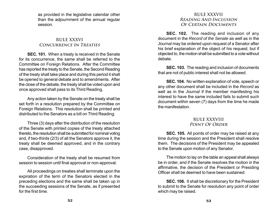as provided in the legislative calendar other than the adjournment of the annual regular session.

#### **RULE XXXVI Concurrence In Treaties**

**SEC. 101.** When a treaty is received in the Senate for its concurrence, the same shall be referred to the Committee on Foreign Relations. After the Committee has reported the treaty to the Senate, the Second Reading of the treaty shall take place and during this period it shall be opened to general debate and to amendments. After the close of the debate, the treaty shall be voted upon and once approved shall pass to its Third Reading.

Any action taken by the Senate on the treaty shall be set forth in a resolution prepared by the Committee on Foreign Relations. This resolution shall be printed and distributed to the Senators as a bill on Third Reading.

Three (3) days after the distribution of the resolution of the Senate with printed copies of the treaty attached thereto, the resolution shall be submitted for nominal voting and, if two-thirds (2/3) of all the Senators approve it, the treaty shall be deemed approved, and in the contrary case, disapproved.

Consideration of the treaty shall be resumed from session to session until final approval or non-approval.

All proceedings on treaties shall terminate upon the expiration of the term of the Senators elected in the preceding elections and the same shall be taken up in the succeeding sessions of the Senate, as if presented for the first time.

#### **RULE XXXVII Reading And Inclusion Of Certain Documents**

**SEC. 102.** The reading and inclusion of any document in the *Record of the Senate* as well as in the *Journal* may be ordered upon request of a Senator after his brief explanation of the object of his request; but if objected to, the motion shall be submitted to a vote without debate.

**SEC. 103.** The reading and inclusion of documents that are not of public interest shall not be allowed.

**SEC. 104.** No written explanation of vote, speech or any other document shall be included in the *Record* as well as in the *Journal* if the member manifesting his interest to have the same included fails to submit such document within seven (7) days from the time he made the manifestation.

#### **RULE XXXVIII POINT OF ORDER**

**SEC. 105.** All points of order may be raised at any time during the session and the President shall resolve them. The decisions of the President may be appealed to the Senate upon motion of any Senator.

The motion to lay on the table an appeal shall always be in order, and if the Senate resolves the motion in the affirmative, the decision of the President or Presiding Officer shall be deemed to have been sustained.

**SEC. 106.** It shall be discretionary for the President to submit to the Senate for resolution any point of order which may be raised.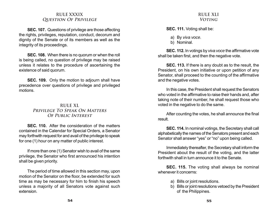#### **RULE XXXIX Question Of Privilege**

**SEC. 107.** Questions of privilege are those affecting the rights, privileges, reputation, conduct, decorum and dignity of the Senate or of its members as well as the integrity of its proceedings.

**SEC. 108.** When there is no quorum or when the roll is being called, no question of privilege may be raised unless it relates to the procedure of ascertaining the existence of said quorum.

**SEC. 109.** Only the motion to adjourn shall have precedence over questions of privilege and privileged motions.

#### **RULE XL Privilege To Speak On Matters Of Public Interest**

**SEC. 110.** After the consideration of the matters contained in the Calendar for Special Orders, a Senator may forthwith request for and avail of the privilege to speak for one (1) hour on any matter of public interest.

If more than one (1) Senator wish to avail of the same privilege, the Senator who first announced his intention shall be given priority.

The period of time allowed in this section may, upon motion of the Senator on the floor, be extended for such time as may be necessary for him to finish his speech unless a majority of all Senators vote against such extension.

#### **RULE XLI Voting**

**SEC. 111.** Voting shall be:

- a) By *viva voce.*
- b) Nominal.

**SEC. 112.** In votings by *viva voce* the affirmative vote shall be taken first, and then the negative vote.

**SEC. 113.** If there is any doubt as to the result, the President, on his own initiative or upon petition of any Senator, shall proceed to the counting of the affirmative and the negative votes.

In this case, the President shall request the Senators who voted in the affirmative to raise their hands and, after taking note of their number, he shall request those who voted in the negative to do the same.

After counting the votes, he shall announce the final result.

**SEC. 114.** In nominal votings, the Secretary shall call alphabetically the names of the Senators present and each Senator shall answer "yes" or "no" upon being called.

Immediately thereafter, the Secretary shall inform the President about the result of the voting, and the latter forthwith shall in turn announce it to the Senate.

**SEC. 115.** The voting shall always be nominal whenever it concerns:

- a) Bills or joint resolutions.
- b) Bills or joint resolutions vetoed by the President of the Philippines.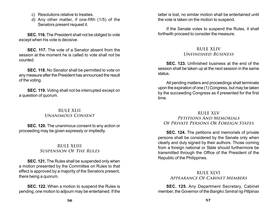- c) Resolutions relative to treaties.
- d) Any other matter, if one-fifth (1/5) of the Senators present request it.

**SEC. 116.** The President shall not be obliged to vote except when his vote is decisive.

**SEC. 117.** The vote of a Senator absent from the session at the moment he is called to vote shall not be counted.

**SEC. 118.** No Senator shall be permitted to vote on any measure after the President has announced the result of the voting.

**SEC. 119.** Voting shall not be interrupted except on a question of quorum.

#### **RULE XLII Unanimous Consent**

**SEC. 120.** The unanimous consent to any action or proceeding may be given expressly or impliedly.

#### **RULE XLIII Suspension Of The Rules**

**SEC. 121.** The Rules shall be suspended only when a motion presented by the Committee on Rules to that effect is approved by a majority of the Senators present, there being a quorum.

**SEC. 122.** When a motion to suspend the Rules is pending, one motion to adjourn may be entertained. If the latter is lost, no similar motion shall be entertained until the vote is taken on the motion to suspend.

If the Senate votes to suspend the Rules, it shall forthwith proceed to consider the measure.

#### **RULE XLIV Unfinished Business**

**SEC. 123.** Unfinished business at the end of the session shall be taken up at the next session in the same status.

All pending matters and proceedings shall terminate upon the expiration of one (1) Congress, but may be taken by the succeeding Congress as if presented for the first time.

#### **RULE XLV Petitions And Memorials Of Private Persons Or Foreign States**

**SEC. 124.** The petitions and memorials of private persons shall be considered by the Senate only when clearly and duly signed by their authors. Those coming from a foreign national or State should furthermore be transmitted through the Office of the President of the Republic of the Philippines.

#### **RULE XLVI Appearance Of Cabinet Members**

**SEC. 125.** Any Department Secretary, Cabinet member, the Governor of the *Bangko Sentral ng Pilipinas*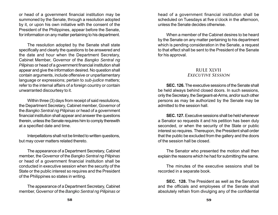or head of a government financial institution may be summoned by the Senate, through a resolution adopted by it, or upon his own initiative with the consent of the President of the Philippines, appear before the Senate, for information on any matter pertaining to his department.

The resolution adopted by the Senate shall state specifically and clearly the questions to be answered and the date and hour when the Department Secretary, Cabinet Member, Governor of the *Bangko Sentral ng Pilipinas* or head of a government financial institution shall appear and give the information desired. No question shall contain arguments, include offensive or unparliamentary language or expressions; pertain to *sub-judice* matters; refer to the internal affairs of a foreign country or contain unwarranted discourtesy to it.

Within three (3) days from receipt of said resolutions, the Department Secretary, Cabinet member, Governor of the *Bangko Sentral ng Pilipinas* or head of a government financial institution shall appear and answer the questions therein, unless the Senate requires him to comply therewith at a specified date and time.

Interpellations shall not be limited to written questions, but may cover matters related thereto.

The appearance of a Department Secretary, Cabinet member, the Governor of the *Bangko Sentral ng Pilipinas* or head of a government financial institution shall be conducted in executive session when the security of the State or the public interest so requires and the President of the Philippines so states in writing.

The appearance of a Department Secretary, Cabinet member, Governor of the *Bangko Sentral ng Pilipinas* or

head of a government financial institution shall be scheduled on Tuesdays at five o'clock in the afternoon, unless the Senate decides otherwise.

When a member of the Cabinet desires to be heard by the Senate on any matter pertaining to his department which is pending consideration in the Senate, a request to that effect shall be sent to the President of the Senate for his approval.

#### **RULE XLVII Executive Session**

**SEC. 126.** The executive sessions of the Senate shall be held always behind closed doors. In such sessions, only the Secretary, the Sergeant-at-Arms, and/or such other persons as may be authorized by the Senate may be admitted to the session hall.

**SEC. 127.** Executive sessions shall be held whenever a Senator so requests it and his petition has been duly seconded, or when the security of the State or public interest so requires. Thereupon, the President shall order that the public be excluded from the gallery and the doors of the session hall be closed.

The Senator who presented the motion shall then explain the reasons which he had for submitting the same.

The minutes of the executive sessions shall be recorded in a separate book.

**SEC. 128.** The President as well as the Senators and the officials and employees of the Senate shall absolutely refrain from divulging any of the confidential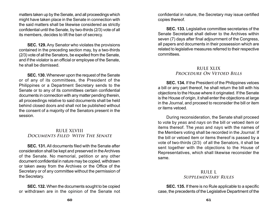matters taken up by the Senate, and all proceedings which might have taken place in the Senate in connection with the said matters shall be likewise considered as strictly confidential until the Senate, by two-thirds (2/3) vote of all its members, decides to lift the ban of secrecy.

**SEC. 129.** Any Senator who violates the provisions contained in the preceding section may, by a two-thirds (2/3) vote of all the Senators, be expelled from the Senate, and if the violator is an official or employee of the Senate, he shall be dismissed.

**SEC. 130.** Whenever upon the request of the Senate or of any of its committees, the President of the Philippines or a Department Secretary sends to the Senate or to any of its committees certain confidential documents in connection with any matter pending therein, all proceedings relative to said documents shall be held behind closed doors and shall not be published without the consent of a majority of the Senators present in the session.

#### **RULE XLVIII Documents Filed With The Senate**

**SEC. 131.** All documents filed with the Senate after consideration shall be kept and preserved in the Archives of the Senate. No memorial, petition or any other document confidential in nature may be copied, withdrawn or taken away from the Archives or the Office of the Secretary or of any committee without the permission of the Secretary.

**SEC. 132.** When the documents sought to be copied or withdrawn are in the opinion of the Senate not confidential in nature, the Secretary may issue certified copies thereof.

**SEC. 133.** Legislative committee secretaries of the Senate Secretariat shall deliver to the Archives within seven (7) days after final adjournment of the Congress, all papers and documents in their possession which are related to legislative measures referred to their respective committees.

#### **RULE XLIX Procedure On Vetoed Bills**

**SEC. 134.** If the President of the Philippines vetoes a bill or any part thereof, he shall return the bill with his objections to the House where it originated. If the Senate is the House of origin, it shall enter the objections at large in the *Journal*, and proceed to reconsider the bill or item or items vetoed.

During reconsideration, the Senate shall proceed to vote by *yeas* and *nays* on the bill or vetoed item or items thereof. The *yeas* and *nays* with the names of the Members voting shall be recorded in the *Journal*. If the bill or vetoed item or items thereof is passed by a vote of two-thirds (2/3) of all the Senators, it shall be sent together with the objections to the House of Representatives, which shall likewise reconsider the same.

### **RULE L**

#### **Supplementary Rules**

**SEC. 135.** If there is no Rule applicable to a specific case, the precedents of the Legislative Department of the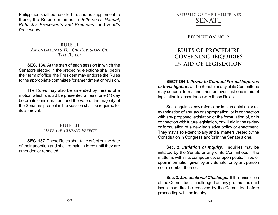Philippines shall be resorted to, and as supplement to these, the Rules contained in *Jefferson's Manual*, *Riddick's Precedents and Practices*, and *Hind's Precedents.*

#### **RULE LI Amendments To, Or Revision Of, The Rules**

**SEC. 136.** At the start of each session in which the Senators elected in the preceding elections shall begin their term of office, the President may endorse the Rules to the appropriate committee for amendment or revision.

The Rules may also be amended by means of a motion which should be presented at least one (1) day before its consideration, and the vote of the majority of the Senators present in the session shall be required for its approval.

#### **RULE LII DATE OF TAKING EFFECT**

**SEC. 137.** These Rules shall take effect on the date of their adoption and shall remain in force until they are amended or repealed.

# Republic of the Philippines **SENATE**

**Resolution No. 5**

# **RULES OF PROCEDURE GOVERNING INQUIRIES IN AID OF LEGISLATION**

**SECTION 1.** *Power to Conduct Formal Inquiries or Investigations.* The Senate or any of its Committees may conduct formal inquiries or investigations in aid of legislation in accordance with these Rules.

Such inquiries may refer to the implementation or reexamination of any law or appropriation, or in connection with any proposed legislation or the formulation of, or in connection with future legislation, or will aid in the review or formulation of a new legislative policy or enactment. They may also extend to any and all matters vested by the Constitution in Congress and/or in the Senate alone.

**Sec. 2.** *Initiation of Inquiry.* Inquiries may be initiated by the Senate or any of its Committees if the matter is within its competence, or upon petition filed or upon information given by any Senator or by any person not a member thereof.

**Sec. 3.** *Jurisdictional Challenge.* If the jurisdiction of the Committee is challenged on any ground, the said issue must first be resolved by the Committee before proceeding with the inquiry.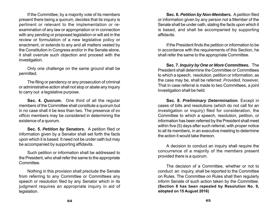If the Committee, by a majority vote of its members present there being a quorum, decides that its inquiry is pertinent or relevant to the implementation or reexamination of any law or appropriation or in connection with any pending or proposed legislation or will aid in the review or formulation of a new legislative policy or enactment, or extends to any and all matters vested by the Constitution in Congress and/or in the Senate alone, it shall overrule such objection and proceed with the investigation.

Only one challenge on the same ground shall be permitted.

The filing or pendency or any prosecution of criminal or administrative action shall not stop or abate any inquiry to carry out a legislative purpose.

**Sec. 4.** *Quorum.* One third of all the regular members of the Committee shall constitute a quorum but in no case shall it be less than two. The presence of *ex officio* members may be considered in determining the existence of a quorum.

**Sec. 5.** *Petition by Senators.* A petition filed or information given by a Senator shall set forth the facts upon which it is based. It need not be under oath but may be accompanied by supporting affidavits.

Such petition or information shall be addressed to the President, who shall refer the same to the appropriate Committee.

Nothing in this provision shall preclude the Senate from referring to any Committee or Committees any speech or resolution filed by any Senator which in its judgment requires an appropriate inquiry in aid of legislation.

**Sec. 6.** *Petition by Non-Members.* A petition filed or information given by any person not a Member of the Senate shall be under oath, stating the facts upon which it is based, and shall be accompanied by supporting affidavits.

If the President finds the petition or information to be in accordance with the requirements of this Section, he shall refer the same to the appropriate Committee.

**Sec. 7.** *Inquiry by One or More Committees.* The President shall determine the Committee or Committees to which a speech, resolution, petition or information, as the case may be, shall be referred: *Provided, however,* That in case referral is made to two Committees, a joint investigation shall be held.

**Sec. 8.** *Preliminary Determination.* Except in cases of bills and resolutions (which do not call for an investigation or inquiry) filed for consideration, the Committee to which a speech, resolution, petition, or information has been referred by the President shall meet within five (5) days after such referral, with proper notice to all its members, in an executive meeting to determine the action it would take thereon.

A decision to conduct an inquiry shall require the concurrence of a majority of the members present provided there is a quorum.

The decision of a Committee, whether or not to conduct an inquiry, shall be reported to the Committee on Rules. The Committee on Rules shall then regularly inform Senate of such action taken by the Committee. **(Section 8 has been repealed by Resolution No. 9, adopted on 15 August 2016)**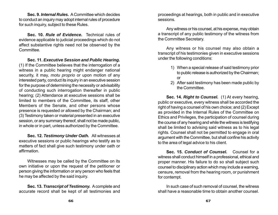**Sec. 9.** *Internal Rules.* A Committee which decides to conduct an inquiry may adopt internal rules of procedure for such inquiry, subject to these Rules.

**Sec. 10.** *Rule of Evidence.* Technical rules of evidence applicable to judicial proceedings which do not affect substantive rights need not be observed by the Committee.

**Sec. 11.** *Executive Session and Public Hearing.* (1) If the Committee believes that the interrogation of a witness in a public hearing might endanger national security, it may, *motu proprio* or upon motion of any interested party, conduct its inquiry in an executive session for the purpose of determining the necessity or advisability of conducting such interrogation thereafter in public hearing; (2) Attendance at executive sessions shall be limited to members of the Committee, its staff, other Members of the Senate, and other persons whose presence is requested or allowed by the Chairman; and (3) Testimony taken or material presented in an executive session, or any summary thereof, shall not be made public, in whole or in part, unless authorized by the Committee.

**Sec. 12.** *Testimony Under Oath.* All witnesses at executive sessions or public hearings who testify as to matters of fact shall give such testimony under oath or affirmation.

Witnesses may be called by the Committee on its own initiative or upon the request of the petitioner or person giving the information or any person who feels that he may be affected by the said inquiry.

**Sec. 13.** *Transcript of Testimony.* A complete and accurate record shall be kept of all testimonies and

proceedings at hearings, both in public and in executive sessions.

Any witness or his counsel, at his expense, may obtain a transcript of any public testimony of the witness from the Committee Secretary.

Any witness or his counsel may also obtain a transcript of his testimonies given in executive sessions under the following conditions:

- 1) When a special release of said testimony prior to public release is authorized by the Chairman; or
- 2) After said testimony has been made public by the Committee.

**Sec. 14.** *Right to Counsel.* (1) At every hearing, public or executive, every witness shall be accorded the right of having a counsel of his own choice; and (2) Except as provided in the Internal Rules of the Committee on Ethics and Privileges, the participation of counsel during the course of any hearing and while the witness is testifying shall be limited to advising said witness as to his legal rights. Counsel shall not be permitted to engage in oral argument with the Committee, but shall confine his activity to the area of legal advice to his client.

**Sec. 15.** *Conduct of Counsel.* Counsel for a witness shall conduct himself in a professional, ethical and proper manner. His failure to do so shall subject such counsel to disciplinary action which may include a warning, censure, removal from the hearing room, or punishment for contempt.

In such case of such removal of counsel, the witness shall have a reasonable time to obtain another counsel.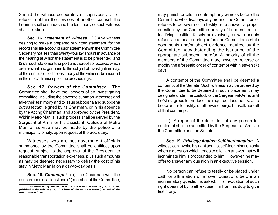Should the witness deliberately or capriciously fail or refuse to obtain the services of another counsel, the hearing shall continue and the testimony of such witness shall be taken.

**Sec. 16.** *Statement of Witness.* (1) Any witness desiring to make a prepared or written statement for the record shall file a copy of such statement with the Committee Secretary not less than twenty-four (24) hours in advance of the hearing at which the statement is to be presented; and (2) All such statements or portions thereof so received which are relevant and germane to the subject of investigation may, at the conclusion of the testimony of the witness, be inserted in the official transcript of the proceedings.

**Sec. 17.** *Powers of the Committee.* The Committee shall have the powers of an investigating committee, including the power to summon witnesses and take their testimony and to issue subpoena and subpoena *duces tecum*, signed by its Chairman, or in his absence by the Acting Chairman, and approved by the President. Within Metro Manila, such process shall be served by the Sergeant-at-Arms or his assistant. Outside of Metro Manila, service may be made by the police of a municipality or city, upon request of the Secretary.

Witnesses who are not government officials summoned by the Committee shall be entitled, upon request, subject to the approval of the President, to reasonable transportation expenses, plus such amounts as may be deemed necessary to defray the cost of his stay in Metro Manila on a day-to-day basis.

**Sec. 18.** *Contempt.\** (a) The Chairman with the concurrence of at least one (1) member of the Committee,

may punish or cite in contempt any witness before the Committee who disobeys any order of the Committee or refuses to be sworn or to testify or to answer a proper question by the Committee or any of its members, or testifying, testifies falsely or evasively, or who unduly refuses to appear or bring before the Committee certain documents and/or object evidence required by the Committee notwithstanding the issuance of the appropriate subpoena therefor. A majority of all the members of the Committee may, however, reverse or modify the aforesaid order of contempt within seven (7) days.

A contempt of the Committee shall be deemed a contempt of the Senate. Such witness may be ordered by the Committee to be detained in such place as it may designate under the custody of the Sergeant-at-Arms until he/she agrees to produce the required documents, or to be sworn or to testify, or otherwise purge himself/herself of that contempt.

b) A report of the detention of any person for contempt shall be submitted by the Sergeant-at-Arms to the Committee and the Senate.

**Sec. 19.** *Privilege Against Self-Incrimination.* A witness can invoke his right against self-incrimination only when a question which tends to elicit an answer that will incriminate him is propounded to him. However, he may offer to answer any question in an executive session.

No person can refuse to testify or be placed under oath or affirmation or answer questions before an incriminatory question is asked. His invocation of such right does not by itself excuse him from his duty to give testimony.

**<sup>\*</sup> As amended by Resolution No. 145 adopted on February 6, 2013 and published in the February 18, 2013 issue of the** *Manila Bulletin* **(p.8) and of The** *Daily Tribune* **(p.8).**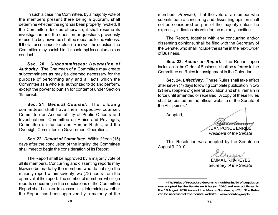In such a case, the Committee, by a majority vote of the members present there being a quorum, shall determine whether the right has been properly invoked. If the Committee decides otherwise, it shall resume its investigation and the question or questions previously refused to be answered shall be repeated to the witness. If the latter continues to refuse to answer the question, the Committee may punish him for contempt for contumacious conduct.

**Sec. 20.** *Subcommittees; Delegation of Authority.* The Chairman of a Committee may create subcommittees as may be deemed necessary for the purpose of performing any and all acts which the Committee as a whole is authorized to do and perform, except the power to punish for contempt under Section 18 hereof.

**Sec. 21.** *General Counsel.* The following committees shall have their respective counsel: Committee on Accountability of Public Officers and Investigations; Committee on Ethics and Privileges; Committee on Justice and Human Rights; and the Oversight Committee on Government Operations.

**Sec. 22.** *Report of Committee.* Within fifteen (15) days after the conclusion of the inquiry, the Committee shall meet to begin the consideration of its Report.

The Report shall be approved by a majority vote of all its members. Concurring and dissenting reports may likewise be made by the members who do not sign the majority report within seventy-two (72) hours from the approval of the report. The number of members who sign reports concurring in the conclusions of the Committee Report shall be taken into account in determining whether the Report has been approved by a majority of the

members: *Provided*, That the vote of a member who submits both a concurring and dissenting opinion shall not be considered as part of the majority unless he expressly indicates his vote for the majority position.

The Report, together with any concurring and/or dissenting opinions, shall be filed with the Secretary of the Senate, who shall include the same in the next Order of Business.

**Sec. 23.** *Action on Report.* The Report, upon inclusion in the Order of Business, shall be referred to the Committee on Rules for assignment in the Calendar.

**Sec. 24.** *Effectivity.* These Rules shall take effect after seven (7) days following complete publication in two (2) newspapers of general circulation and shall remain in force until amended or repealed. A copy of these Rules shall be posted on the official website of the Senate of the Philippines.\*

Adopted,

JUAN PONCE ENRILE *President of the Senate*

This Resolution was adopted by the Senate on August 9, 2010.

 EMMA LIRIO-REYES *Secretary of the Senate*

**<sup>\*</sup>The Rules of Procedure Governing Inquiries in Aid of Legislation was adopted by the Senate on 9 August 2010 and was published in the 19 August 2016 issue of the** *Manila Standard* **(p.C3). The Rules can be accessed at the Senate website:** *www.senate.gov.ph.*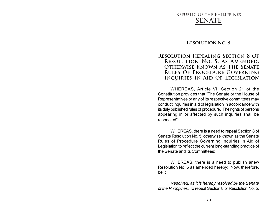# Republic of the Philippines **SENATE**

## **Resolution No. 9**

# **Resolution Repealing Section 8 Of Resolution No. 5, As Amended, Otherwise Known As The Senate Rules Of Procedure Governing Inquiries In Aid Of Legislation**

WHEREAS, Article VI, Section 21 of the Constitution provides that "The Senate or the House of Representatives or any of its respective committees may conduct inquiries in aid of legislation in accordance with its duly published rules of procedure. The rights of persons appearing in or affected by such inquiries shall be respected";

WHEREAS, there is a need to repeal Section 8 of Senate Resolution No. 5, otherwise known as the Senate Rules of Procedure Governing Inquiries in Aid of Legislation to reflect the current long-standing practice of the Senate and its Committees;

WHEREAS, there is a need to publish anew Resolution No. 5 as amended hereby: Now, therefore, be it

*Resolved, as it is hereby resolved by the Senate of the Philippines*, To repeal Section 8 of Resolution No. 5,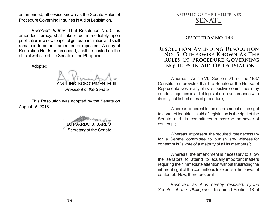as amended, otherwise known as the Senate Rules of Procedure Governing Inquiries in Aid of Legislation.

*Resolved, further*, That Resolution No. 5, as amended hereby, shall take effect immediately upon publication in a newspaper of general circulation and shall remain in force until amended or repealed. A copy of Resolution No. 5, as amended, shall be posted on the official website of the Senate of the Philippines.

Adopted,

AQUILINO "KOKO" PIMENTEL III

 *President of the Senate*

This Resolution was adopted by the Senate on August 15, 2016.

LUTGARDO B. BARBO Secretary of the Senate

# Republic of the Philippines **SENATE**

**Resolution No. 145**

# **Resolution Amending Resolution No. 5, Otherwise Known As The Rules Of Procedure Governing Inquiries In Aid Of Legislation**

Whereas, Article VI, Section 21 of the 1987 Constitution provides that the Senate or the House of Representatives or any of its respective committees may conduct inquiries in aid of legislation in accordance with its duly published rules of procedure;

Whereas, inherent to the enforcement of the right to conduct inquiries in aid of legislation is the right of the Senate and its committees to exercise the power of contempt;

Whereas, at present, the required vote necessary for a Senate committee to punish any witness for contempt is "a vote of a majority of all its members";

Whereas, the amendment is necessary to allow the senators to attend to equally important matters requiring their immediate attention without frustrating the inherent right of the committees to exercise the power of contempt: Now, therefore, be it

*Resolved, as it is hereby resolved, by the Senate of the Philippines,* To amend Section 18 of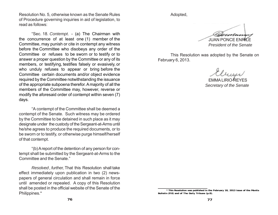Resolution No. 5, otherwise known as the Senate Rules of Procedure governing inquiries in aid of legislation, to read as follows:

"Sec. 18. *Contempt*. - (a) The Chairman with the concurrence of at least one (1) member of the Committee, may punish or cite in contempt any witness before the Committee who disobeys any order of the Committee or refuses to be sworn or to testify or to answer a proper question by the Committee or any of its members, or testifying, testifies falsely or evasively, or who unduly refuses to appear or bring before the Committee certain documents and/or object evidence required by the Committee notwithstanding the issuance of the appropriate subpoena therefor. A majority of all the members of the Committee may, however, reverse or modify the aforesaid order of contempt within seven (7) days.

"A contempt of the Committee shall be deemed a contempt of the Senate. Such witness may be ordered by the Committee to be detained in such place as it may designate under the custody of the Sergeant-at-Arms until he/she agrees to produce the required documents, or to be sworn or to testify, or otherwise purge himself/herself of that contempt.

"(b) A report of the detention of any person for contempt shall be submitted by the Sergeant-at-Arms to the Committee and the Senate."

*Resolved , further,* That this Resolution shall take effect immediately upon publication in two (2) newspapers of general circulation and shall remain in force until amended or repealed. A copy of this Resolution shall be posted in the official website of the Senate of the Philippines.\*

Adopted,

JUAN PONCE EI *President of the Senate*

This Resolution was adopted by the Senate on February 6, 2013.

EMMA LIRIO-REYES *Secretary of the Senate*

**<sup>\*</sup> This Resolution was published in the February 18, 2013 issue of the M***anila Bulletin* **(P.8) and of** *The Daily Tribune* **(p.8).**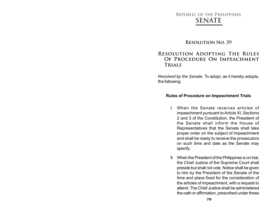# Republic of the Philippines **SENATE**

## **Resolution No. 39**

# **Resolution Adopting The Rules Of Procedure On Impeachment Trials**

*Resolved by the Senate,* To adopt, as it hereby adopts, the following:

#### **Rules of Procedure on Impeachment Trials**

- I. When the Senate receives articles of impeachment pursuant to Article XI, Sections 2 and 3 of the Constitution, the President of the Senate shall inform the House of Representatives that the Senate shall take proper order on the subject of impeachment and shall be ready to receive the prosecutors on such time and date as the Senate may specify.
- II. When the President of the Philippines is on trial, the Chief Justice of the Supreme Court shall preside but shall not vote. Notice shall be given to him by the President of the Senate of the time and place fixed for the consideration of the articles of impeachment, with a request to attend. The Chief Justice shall be administered the oath or affirmation, prescribed under these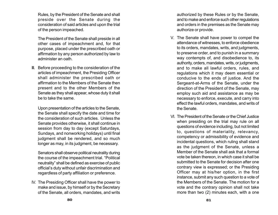Rules, by the President of the Senate and shall preside over the Senate during the consideration of said articles and upon the trial of the person impeached.

The President of the Senate shall preside in all other cases of impeachment and, for that purpose, placed under the prescribed oath or affirmation by any person authorized by law to administer an oath.

III. Before proceeding to the consideration of the articles of impeachment, the Presiding Officer shall administer the prescribed oath or affirmation to the Members of the Senate then present and to the other Members of the Senate as they shall appear, whose duty it shall be to take the same.

Upon presentation of the articles to the Senate, the Senate shall specify the date and time for the consideration of such articles. Unless the Senate provides otherwise, it shall continue in session from day to day (except Saturdays, Sundays, and nonworking holidays) until final judgment shall be rendered, and so much longer as may, in its judgment, be necessary.

Senators shall observe political neutrality during the course of the impeachment trial. "Political neutrality" shall be defined as exercise of public official's duty without unfair discrimination and regardless of party affiliation or preference.

IV. The Presiding Officer shall have the power to make and issue, by himself or by the Secretary of the Senate, all orders, mandates, and writs

authorized by these Rules or by the Senate, and to make and enforce such other regulations and orders in the premises as the Senate may authorize or provide.

- V. The Senate shall have power to compel the attendance of witnesses, to enforce obedience to its orders, mandates, writs, and judgments, to preserve order, and to punish in a summary way contempts of, and disobedience to, its authority, orders, mandates, writs, or judgments, and to make all lawful orders, rules, and regulations which it may deem essential or conducive to the ends of justice. And the Sergeant-at-Arms of the Senate, under the direction of the President of the Senate, may employ such aid and assistance as may be necessary to enforce, execute, and carry into effect the lawful orders, mandates, and writs of the Senate.
- VI. The President of the Senate or the Chief Justice when presiding on the trial may rule on all questions of evidence including, but not limited to, questions of materiality, relevancy, competency or admissibility of evidence and incidental questions, which ruling shall stand as the judgment of the Senate, unless a Member of the Senate shall ask that a formal vote be taken thereon, in which case it shall be submitted to the Senate for decision after one contrary view is expressed; or the Presiding Officer may at his/her option, in the first instance, submit any such question to a vote of the Members of the Senate. The motion for a vote and the contrary opinion shall not take more than two (2) minutes each, with a one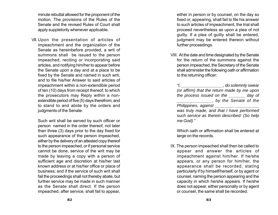minute rebuttal allowed for the proponent of the motion. The provisions of the Rules of the Senate and the revised Rules of Court shall apply suppletorily whenever applicable.

VII. Upon the presentation of articles of impeachment and the organization of the Senate as hereinbefore provided, a writ of summons shall be issued to the person impeached, reciting or incorporating said articles, and notifying him/her to appear before the Senate upon a day and at a place to be fixed by the Senate and named in such writ, and to file his/her Answer to said articles of impeachment within a non-extendible period of ten (10) days from receipt thereof; to which the prosecutors may Reply within a nonextendible period of five (5) days therefrom; and to stand to and abide by the orders and judgments of the Senate.

Such writ shall be served by such officer or person named in the order thereof, not later than three (3) days prior to the day fixed for such appearance of the person impeached, either by the delivery of an attested copy thereof to the person impeached, or if personal service cannot be done, service of the writ may be made by leaving a copy with a person of sufficient age and discretion at his/her last known address or at his/her office or place of business; and if the service of such writ shall fail the proceedings shall not thereby abate, but further service may be made in such manner as the Senate shall direct. If the person impeached, after service, shall fail to appear,

either in person or by counsel, on the day so fixed or, appearing, shall fail to file his answer to such articles of impeachment, the trial shall proceed nevertheless as upon a plea of not guilty. If a plea of guilty shall be entered, judgment may be entered thereon without further proceedings.

VIII. At the date and time designated by the Senate for the return of the summons against the person impeached, the Secretary of the Senate shall administer the following oath or affirmation to the returning officer:

*"I, \_\_\_\_\_\_\_\_\_\_\_\_\_\_\_\_\_\_, do solemnly swear (or affirm) that the return made by me upon the process issued on the \_\_\_\_\_\_\_ day of \_\_\_\_\_\_\_\_\_\_\_\_\_\_, by the Senate of the Philippines, against \_\_\_\_\_\_\_\_ \_\_\_\_\_\_\_\_\_\_*

*was truly made, and that I have performed such service as therein described: (So help me God)."*

Which oath or affirmation shall be entered at large on the records.

IX. The person impeached shall then be called to appear and answer the articles of impeachment against him/her. If he/she appears, or any person for him/her, the appearance shall be recorded, stating particularly if by himself/herself, or by agent or counsel, naming the person appearing and the capacity in which he/she appears. If he/she does not appear, either personally or by agent or counsel, the same shall be recorded.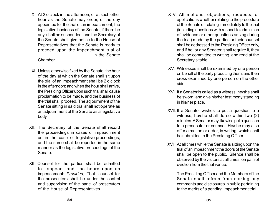X. At 2 o'clock in the afternoon, or at such other hour as the Senate may order, of the day appointed for the trial of an impeachment, the legislative business of the Senate, if there be any, shall be suspended, and the Secretary of the Senate shall give notice to the House of Representatives that the Senate is ready to proceed upon the impeachment trial of \_\_\_\_\_\_\_\_\_\_\_\_\_\_\_\_\_\_\_\_\_\_, in the Senate

Chamber.

- XI. Unless otherwise fixed by the Senate, the hour of the day at which the Senate shall sit upon the trial of an impeachment shall be 2 o'clock in the afternoon; and when the hour shall arrive, the Presiding Officer upon such trial shall cause proclamation to be made, and the business of the trial shall proceed. The adjournment of the Senate sitting in said trial shall not operate as an adjournment of the Senate as a legislative body.
- XII. The Secretary of the Senate shall record the proceedings in cases of impeachment as in the case of legislative proceedings, and the same shall be reported in the same manner as the legislative proceedings of the Senate.
- XIII. Counsel for the parties shall be admitted to appear and be heard upon an impeachment: *Provided*, That counsel for the prosecutors shall be under the control and supervision of the panel of prosecutors of the House of Representatives.
- XIV. All motions, objections, requests, or applications whether relating to the procedure of the Senate or relating immediately to the trial (including questions with respect to admission of evidence or other questions arising during the trial) made by the parties or their counsel shall be addressed to the Presiding Officer only, and if he, or any Senator, shall require it, they shall be committed to writing, and read at the Secretary's table.
- XV. Witnesses shall be examined by one person on behalf of the party producing them, and then cross-examined by one person on the other side.
- XVI. If a Senator is called as a witness, he/she shall be sworn, and give his/her testimony standing in his/her place.
- XVII. If a Senator wishes to put a question to a witness, he/she shall do so within two (2) minutes. A Senator may likewise put a question to a prosecutor or counsel. He/she may also offer a motion or order, in writing, which shall be submitted to the Presiding Officer.
- XVIII.At all times while the Senate is sitting upon the trial of an impeachment the doors of the Senate shall be open to the public. Silence shall be observed by the visitors at all times, on pain of eviction from the trial venue.

The Presiding Officer and the Members of the Senate shall refrain from making any comments and disclosures in public pertaining to the merits of a pending impeachment trial.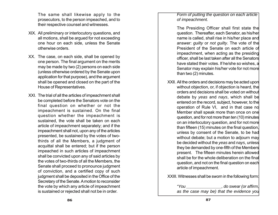The same shall likewise apply to the prosecutors, to the person impeached, and to their respective counsel and witnesses.

- XIX. All preliminary or interlocutory questions, and all motions, shall be argued for not exceeding one hour on each side, unless the Senate otherwise orders.
- XX. The case, on each side, shall be opened by one person. The final argument on the merits may be made by two (2) persons on each side (unless otherwise ordered by the Senate upon application for that purpose), and the argument shall be opened and closed on the part of the House of Representatives.
- XXI. The trial of all the articles of impeachment shall be completed before the Senators vote on the final question on whether or not the impeachment is sustained. On the final question whether the impeachment is sustained, the vote shall be taken on each article of impeachment separately; and if the impeachment shall not, upon any of the articles presented, be sustained by the votes of twothirds of all the Members, a judgment of acquittal shall be entered; but if the person impeached in such articles of impeachment shall be convicted upon any of said articles by the votes of two-thirds of all the Members, the Senate shall proceed to pronounce judgment of conviction, and a certified copy of such judgment shall be deposited in the Office of the Secretary of the Senate. A motion to reconsider the vote by which any article of impeachment is sustained or rejected shall not be in order.

*Form of putting the question on each article of impeachment.*

The Presiding Officer shall first state the question. Thereafter, each Senator, as his/her name is called, shall rise in his/her place and answer: *guilty* or *not guilty*. The vote of the President of the Senate on each article of impeachment, when acting as the presiding officer, shall be last taken after all the Senators have stated their votes. If he/she so wishes, a Senator may explain his/her vote for not more than two (2) minutes.

XXII. All the orders and decisions may be acted upon without objection, or, if objection is heard, the orders and decisions shall be voted on without debate by *yeas* and *nays*, which shall be entered on the record, subject, however, to the operation of Rule VI, and in that case no Member shall speak more than once on one question, and for not more than ten (10) minutes on an interlocutory question, and for not more than fifteen (15) minutes on the final question, unless by consent of the Senate, to be had without debate; but a motion to adjourn may be decided without the *yeas* and *nays*, unless they be demanded by one-fifth of the Members present. The fifteen minutes herein allowed shall be for the whole deliberation on the final question, and not on the final question on each article of impeachment.

XXIII. Witnesses shall be sworn in the following form:

*"You \_\_\_\_\_\_\_\_\_\_\_\_\_\_\_, do swear (or affirm, as the case may be) that the evidence you*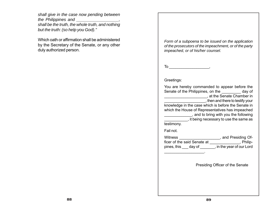*shall give in the case now pending between the Philippines and \_\_\_\_\_\_\_\_\_\_\_\_\_\_\_\_\_\_, shall be the truth, the whole truth, and nothing but the truth: (so help you God)."* 

Which oath or affirmation shall be administered by the Secretary of the Senate, or any other duly authorized person.

**88 89** *Form of a subpoena to be issued on the application of the prosecutors of the impeachment, or of the party impeached, or of his/her counsel.*   $\overline{0}$  ,  $\overline{0}$ Greetings: You are hereby commanded to appear before the Senate of the Philippines, on the day of **\_\_\_\_\_\_\_\_\_\_\_\_\_\_\_\_\_\_\_\_\_**, at the Senate Chamber in \_\_\_\_\_\_\_\_\_\_\_\_\_\_\_\_\_\_\_\_, then and there to testify your knowledge in the case which is before the Senate in which the House of Representatives has impeached \_\_\_\_\_\_\_\_\_\_\_\_\_, and to bring with you the following \_\_\_\_\_\_\_\_\_\_\_, it being necessary to use the same as testimony. Fail not. Witness \_\_\_\_\_\_\_\_\_\_\_\_\_\_\_\_\_\_\_, and Presiding Officer of the said Senate at \_\_\_\_\_\_\_\_\_\_\_\_\_, Philippines, this \_\_\_ day of \_\_\_\_\_\_\_, in the year of our Lord \_\_\_\_\_\_\_\_\_\_\_\_\_\_\_\_\_\_\_. Presiding Officer of the Senate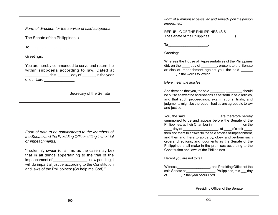|                                                                                                                                                                                                                                                                                                                                                                                                                   | Form of summons to be issued and served upon the person<br>impeached.                                                                                                                                                                                                                                                                                                                                                                                                                                                                                                                                                                                                                                                                  |
|-------------------------------------------------------------------------------------------------------------------------------------------------------------------------------------------------------------------------------------------------------------------------------------------------------------------------------------------------------------------------------------------------------------------|----------------------------------------------------------------------------------------------------------------------------------------------------------------------------------------------------------------------------------------------------------------------------------------------------------------------------------------------------------------------------------------------------------------------------------------------------------------------------------------------------------------------------------------------------------------------------------------------------------------------------------------------------------------------------------------------------------------------------------------|
| Form of direction for the service of said subpoena.                                                                                                                                                                                                                                                                                                                                                               | REPUBLIC OF THE PHILIPPINES ) S.S.                                                                                                                                                                                                                                                                                                                                                                                                                                                                                                                                                                                                                                                                                                     |
| The Senate of the Philippines )                                                                                                                                                                                                                                                                                                                                                                                   | The Senate of the Philippines                                                                                                                                                                                                                                                                                                                                                                                                                                                                                                                                                                                                                                                                                                          |
|                                                                                                                                                                                                                                                                                                                                                                                                                   | $\overline{10}$ , and $\overline{10}$ , and $\overline{10}$ , and $\overline{10}$ , and $\overline{10}$ , and $\overline{10}$ , and $\overline{10}$ , and $\overline{10}$ , and $\overline{10}$ , and $\overline{10}$ , and $\overline{10}$ , and $\overline{10}$ , and $\overline{10}$ , and $\overline{10}$ , a                                                                                                                                                                                                                                                                                                                                                                                                                      |
| Greetings:                                                                                                                                                                                                                                                                                                                                                                                                        | Greetings:                                                                                                                                                                                                                                                                                                                                                                                                                                                                                                                                                                                                                                                                                                                             |
| You are hereby commanded to serve and return the<br>within subpoena according to law. Dated at<br>_____________, this ________ day of _______, in the year                                                                                                                                                                                                                                                        | Whereas the House of Representatives of the Philippines<br>did, on the _____ day of ________, present to the Senate<br>articles of impeachment against you, the said<br>_______, in the words following:                                                                                                                                                                                                                                                                                                                                                                                                                                                                                                                               |
| of our Lord _____________________                                                                                                                                                                                                                                                                                                                                                                                 | [Here insert the articles]                                                                                                                                                                                                                                                                                                                                                                                                                                                                                                                                                                                                                                                                                                             |
| Secretary of the Senate                                                                                                                                                                                                                                                                                                                                                                                           | And demand that you, the said ____________________, should<br>be put to answer the accusations as set forth in said articles,<br>and that such proceedings, examinations, trials, and<br>judgments might be thereupon had as are agreeable to law<br>and justice.                                                                                                                                                                                                                                                                                                                                                                                                                                                                      |
| Form of oath to be administered to the Members of<br>the Senate and the Presiding Officer sitting in the trial<br>of impeachments.<br>"I solemnly swear (or affirm, as the case may be)<br>that in all things appertaining to the trial of the<br>impeachment of __________________, now pending, I<br>will do impartial justice according to the Constitution<br>and laws of the Philippines: (So help me God)." | You, the said ______________________, are therefore hereby<br>summoned to be and appear before the Senate of the<br>Philippines, at their Chamber in ________________, on the<br>day of the state o'clock<br>then and there to answer to the said articles of impeachment,<br>and then and there to abide by, obey, and perform such<br>orders, directions, and judgments as the Senate of the<br>Philippines shall make in the premises according to the<br>Constitution and laws of the Philippines.<br>Hereof you are not to fail.<br>Witness ________________________, and Presiding Officer of the<br>said Senate at _________________, Philippines, this ____ day<br>of ________, in the year of our Lord ______________________ |
|                                                                                                                                                                                                                                                                                                                                                                                                                   | Presiding Officer of the Senate                                                                                                                                                                                                                                                                                                                                                                                                                                                                                                                                                                                                                                                                                                        |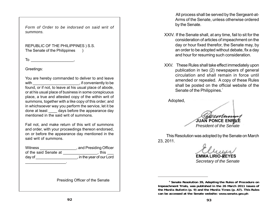*Form of Order to be indorsed on said writ of summons.*

REPUBLIC OF THE PHILIPPINES ) S.S. The Senate of the Philippines )

 $\overline{0}$   $\overline{\phantom{0}}$  ,  $\overline{\phantom{0}}$ 

Greetings:

You are hereby commanded to deliver to and leave with the same state of the set of the state of the state of the state of the state of the state of the state of the state of the state of the state of the state of the state of the state of the state of the state of the st found, or if not, to leave at his usual place of abode, or at his usual place of business in some conspicuous place, a true and attested copy of the within writ of summons, together with a like copy of this order; and in whichsoever way you perform the service, let it be done at least days before the appearance day mentioned in the said writ of summons.

Fail not, and make return of this writ of summons and order, with your proceedings thereon endorsed, on or before the appearance day mentioned in the said writ of summons.

| Witness               | , and Presiding Officer   |
|-----------------------|---------------------------|
| of the said Senate at | this .                    |
| day of                | , in the year of our Lord |

\_\_\_\_\_\_\_\_\_\_\_\_\_\_\_\_\_\_\_.

Presiding Officer of the Senate

All process shall be served by the Sergeant-at-Arms of the Senate, unless otherwise ordered by the Senate.

- XXIV. If the Senate shall, at any time, fail to sit for the consideration of articles of impeachment on the day or hour fixed therefor, the Senate may, by an order to be adopted without debate, fix a day and hour for resuming such consideration.
- XXV. These Rules shall take effect immediately upon publication in two (2) newspapers of general circulation and shall remain in force until amended or repealed. A copy of these Rules shall be posted on the official website of the Senate of the Philippines.<sup>\*</sup>

Adopted,

**JUAN PONCE ENRIL** *President of the Senate*

This Resolution was adopted by the Senate on March 23, 2011.

**EMMA LIRIO-REYES** *Secretary of the Senate*

 \* **Senate Resolution 39, Adopting the Rules of Procedure on Impeachment Trials, was published in the 26 March 2011 issues of the** *Manila Bulletin* **(p. 9) and the** *Manila Times* **(p. A7). This Rules can be accessed at the Senate website:** *www.senate.gov.ph*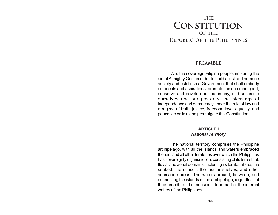# **The Constitution of the Republic of the Philippines**

# **PREAMBLE**

We, the sovereign Filipino people, imploring the aid of Almighty God, in order to build a just and humane society and establish a Government that shall embody our ideals and aspirations, promote the common good, conserve and develop our patrimony, and secure to ourselves and our posterity, the blessings of independence and democracy under the rule of law and a regime of truth, justice, freedom, love, equality, and peace, do ordain and promulgate this Constitution.

### **ARTICLE I** *National Territory*

The national territory comprises the Philippine archipelago, with all the islands and waters embraced therein, and all other territories over which the Philippines has sovereignty or jurisdiction, consisting of its terrestrial, fluvial and aerial domains, including its territorial sea, the seabed, the subsoil, the insular shelves, and other submarine areas. The waters around, between, and connecting the islands of the archipelago, regardless of their breadth and dimensions, form part of the internal waters of the Philippines.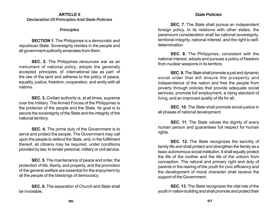#### **ARTICLE II** *Declaration Of Principles And State Policies*

### *Principles*

**SECTION 1.** The Philippines is a democratic and republican State. Sovereignty resides in the people and all government authority emanates from them.

**SEC. 2.** The Philippines renounces war as an instrument of national policy, adopts the generally accepted principles of international law as part of the law of the land and adheres to the policy of peace, equality, justice, freedom, cooperation, and amity with all nations.

**SEC. 3.** Civilian authority is, at all times, supreme over the military. The Armed Forces of the Philippines is the protector of the people and the State. Its goal is to secure the sovereignty of the State and the integrity of the national territory.

**SEC. 4.** The prime duty of the Government is to serve and protect the people. The Government may call upon the people to defend the State, and, in the fulfillment thereof, all citizens may be required, under conditions provided by law, to render personal, military or civil service.

**SEC. 5.** The maintenance of peace and order, the protection of life, liberty, and property, and the promotion of the general welfare are essential for the enjoyment by all the people of the blessings of democracy.

**SEC. 6.** The separation of Church and State shall be inviolable.

### *State Policies*

**SEC. 7.** The State shall pursue an independent foreign policy. In its relations with other states, the paramount consideration shall be national sovereignty, territorial integrity, national interest, and the right to selfdetermination.

**SEC. 8.** The Philippines, consistent with the national interest, adopts and pursues a policy of freedom from nuclear weapons in its territory.

**SEC. 9.** The State shall promote a just and dynamic social order that will ensure the prosperity and independence of the nation and free the people from poverty through policies that provide adequate social services, promote full employment, a rising standard of living, and an improved quality of life for all.

**SEC. 10.** The State shall promote social justice in all phases of national development.

**SEC. 11.** The State values the dignity of every human person and guarantees full respect for human rights.

**SEC. 12.** The State recognizes the sanctity of family life and shall protect and strengthen the family as a basic autonomous social institution. It shall equally protect the life of the mother and the life of the unborn from conception. The natural and primary right and duty of parents in the rearing of the youth for civic efficiency and the development of moral character shall receive the support of the Government.

**SEC. 13.** The State recognizes the vital role of the youth in nation-building and shall promote and protect their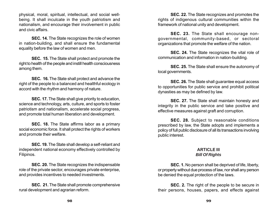physical, moral, spiritual, intellectual, and social wellbeing. It shall inculcate in the youth patriotism and nationalism, and encourage their involvement in public and civic affairs.

**SEC. 14.** The State recognizes the role of women in nation-building, and shall ensure the fundamental equality before the law of women and men.

**SEC. 15.** The State shall protect and promote the right to health of the people and instill health consciousness among them.

**SEC. 16.** The State shall protect and advance the right of the people to a balanced and healthful ecology in accord with the rhythm and harmony of nature.

**SEC. 17.** The State shall give priority to education, science and technology, arts, culture, and sports to foster patriotism and nationalism, accelerate social progress, and promote total human liberation and development.

**SEC. 18.** The State affirms labor as a primary social economic force. It shall protect the rights of workers and promote their welfare.

**SEC. 19.** The State shall develop a self-reliant and independent national economy effectively controlled by Filipinos.

**SEC. 20.** The State recognizes the indispensable role of the private sector, encourages private enterprise, and provides incentives to needed investments.

**SEC. 21.** The State shall promote comprehensive rural development and agrarian reform.

**SEC. 22.** The State recognizes and promotes the rights of indigenous cultural communities within the framework of national unity and development.

**SEC. 23.** The State shall encourage nongovernmental, community-based, or sectoral organizations that promote the welfare of the nation.

**SEC. 24.** The State recognizes the vital role of communication and information in nation-building.

**SEC. 25.** The State shall ensure the autonomy of local governments.

**SEC. 26.** The State shall guarantee equal access to opportunities for public service and prohibit political dynasties as may be defined by law.

**SEC. 27.** The State shall maintain honesty and integrity in the public service and take positive and effective measures against graft and corruption.

**SEC. 28.** Subject to reasonable conditions prescribed by law, the State adopts and implements a policy of full public disclosure of all its transactions involving public interest.

## **ARTICLE III** *Bill Of Rights*

**SEC. 1.** No person shall be deprived of life, liberty, or property without due process of law, nor shall any person be denied the equal protection of the laws.

**SEC. 2.** The right of the people to be secure in their persons, houses, papers, and effects against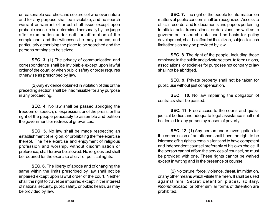unreasonable searches and seizures of whatever nature and for any purpose shall be inviolable, and no search warrant or warrant of arrest shall issue except upon probable cause to be determined personally by the judge after examination under oath or affirmation of the complainant and the witnesses he may produce, and particularly describing the place to be searched and the persons or things to be seized.

**SEC. 3.** (1) The privacy of communication and correspondence shall be inviolable except upon lawful order of the court, or when public safety or order requires otherwise as prescribed by law.

(2) Any evidence obtained in violation of this or the preceding section shall be inadmissible for any purpose in any proceeding.

**SEC. 4.** No law shall be passed abridging the freedom of speech, of expression, or of the press, or the right of the people peaceably to assemble and petition the government for redress of grievances.

**SEC. 5.** No law shall be made respecting an establishment of religion, or prohibiting the free exercise thereof. The free exercise and enjoyment of religious profession and worship, without discrimination or preference, shall forever be allowed. No religious test shall be required for the exercise of civil or political rights.

**SEC. 6.** The liberty of abode and of changing the same within the limits prescribed by law shall not be impaired except upon lawful order of the court. Neither shall the right to travel be impaired except in the interest of national security, public safety, or public health, as may be provided by law.

**SEC. 7.** The right of the people to information on matters of public concern shall be recognized. Access to official records, and to documents and papers pertaining to official acts, transactions, or decisions, as well as to government research data used as basis for policy development, shall be afforded the citizen, subject to such limitations as may be provided by law.

**SEC. 8.** The right of the people, including those employed in the public and private sectors, to form unions, associations, or societies for purposes not contrary to law shall not be abridged.

**SEC. 9.** Private property shall not be taken for public use without just compensation.

**SEC. 10.** No law impairing the obligation of contracts shall be passed.

**SEC. 11.** Free access to the courts and quasijudicial bodies and adequate legal assistance shall not be denied to any person by reason of poverty.

**SEC. 12.** (1) Any person under investigation for the commission of an offense shall have the right to be informed of his right to remain silent and to have competent and independent counsel preferably of his own choice. If the person cannot afford the services of counsel, he must be provided with one. These rights cannot be waived except in writing and in the presence of counsel.

(2) No torture, force, violence, threat, intimidation, or any other means which vitiate the free will shall be used against him. Secret detention places, solitary, *incommunicado*, or other similar forms of detention are prohibited.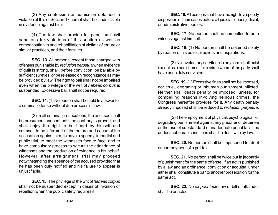(3) Any confession or admission obtained in violation of this or Section 17 hereof shall be inadmissible in evidence against him.

(4) The law shall provide for penal and civil sanctions for violations of this section as well as compensation to and rehabilitation of victims of torture or similar practices, and their families.

**SEC. 13.** All persons, except those charged with offenses punishable by *reclusion perpetua* when evidence of guilt is strong, shall, before conviction, be bailable by sufficient sureties, or be released on recognizance as may be provided by law. The right to bail shall not be impaired even when the privilege of the writ of *habeas corpus* is suspended. Excessive bail shall not be required.

**SEC. 14.** (1) No person shall be held to answer for a criminal offense without due process of law.

(2) In all criminal prosecutions, the accused shall be presumed innocent until the contrary is proved, and shall enjoy the right to be heard by himself and counsel, to be informed of the nature and cause of the accusation against him, to have a speedy, impartial and public trial, to meet the witnesses face to face, and to have compulsory process to secure the attendance of witnesses and the production of evidence in his behalf. However, after arraignment, trial may proceed notwithstanding the absence of the accused provided that he has been duly notified and his failure to appear is unjustifiable.

**SEC. 15.** The privilege of the writ of *habeas corpus* shall not be suspended except in cases of invasion or rebellion when the public safety requires it.

**SEC. 16.** All persons shall have the right to a speedy disposition of their cases before all judicial, quasi-judicial, or administrative bodies.

**SEC. 17.** No person shall be compelled to be a witness against himself.

**SEC. 18.** (1) No person shall be detained solely by reason of his political beliefs and aspirations.

(2) No involuntary servitude in any form shall exist except as a punishment for a crime whereof the party shall have been duly convicted.

**SEC. 19.** (1) Excessive fines shall not be imposed, nor cruel, degrading or inhuman punishment inflicted. Neither shall death penalty be imposed, unless, for compelling reasons involving heinous crimes, the Congress hereafter provides for it. Any death penalty already imposed shall be reduced to *reclusion perpetua*.

(2) The employment of physical, psychological, or degrading punishment against any prisoner or detainee or the use of substandard or inadequate penal facilities under subhuman conditions shall be dealt with by law.

**SEC. 20.** No person shall be imprisoned for debt or non-payment of a poll tax.

**SEC. 21.** No person shall be twice put in jeopardy of punishment for the same offense. If an act is punished by a law and an ordinance, conviction or acquittal under either shall constitute a bar to another prosecution for the same act.

**SEC. 22.** No *ex post facto* law or bill of attainder shall be enacted.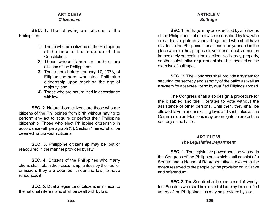#### **ARTICLE IV** *Citizenship*

**SEC. 1.** The following are citizens of the Philippines:

- 1) Those who are citizens of the Philippines at the time of the adoption of this Constitution;
- 2) Those whose fathers or mothers are citizens of the Philippines;
- 3) Those born before January 17, 1973, of Filipino mothers, who elect Philippine citizenship upon reaching the age of majority; and
- 4) Those who are naturalized in accordance with law.

**SEC. 2.** Natural-born citizens are those who are citizens of the Philippines from birth without having to perform any act to acquire or perfect their Philippine citizenship. Those who elect Philippine citizenship in accordance with paragraph (3), Section 1 hereof shall be deemed natural-born citizens.

**SEC. 3.** Philippine citizenship may be lost or reacquired in the manner provided by law.

**SEC. 4.** Citizens of the Philippines who marry aliens shall retain their citizenship, unless by their act or omission, they are deemed, under the law, to have renounced it.

**SEC. 5.** Dual allegiance of citizens is inimical to the national interest and shall be dealt with by law.

### **ARTICLE V** *Suffrage*

**SEC. 1.** Suffrage may be exercised by all citizens of the Philippines not otherwise disqualified by law, who are at least eighteen years of age, and who shall have resided in the Philippines for at least one year and in the place wherein they propose to vote for at least six months immediately preceding the election. No literacy, property, or other substantive requirement shall be imposed on the exercise of suffrage.

**SEC. 2.** The Congress shall provide a system for securing the secrecy and sanctity of the ballot as well as a system for absentee voting by qualified Filipinos abroad.

The Congress shall also design a procedure for the disabled and the illiterates to vote without the assistance of other persons. Until then, they shall be allowed to vote under existing laws and such rules as the Commission on Elections may promulgate to protect the secrecy of the ballot.

## **ARTICLE VI** *The Legislative Department*

**SEC. 1.** The legislative power shall be vested in the Congress of the Philippines which shall consist of a Senate and a House of Representatives, except to the extent reserved to the people by the provision on initiative and referendum.

**SEC. 2**. The Senate shall be composed of twentyfour Senators who shall be elected at large by the qualified voters of the Philippines, as may be provided by law.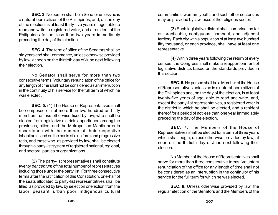**SEC. 3.** No person shall be a Senator unless he is a natural-born citizen of the Philippines, and, on the day of the election, is at least thirty-five years of age, able to read and write, a registered voter, and a resident of the Philippines for not less than two years immediately preceding the day of the election.

**SEC. 4**. The term of office of the Senators shall be six years and shall commence, unless otherwise provided by law, at noon on the thirtieth day of June next following their election.

No Senator shall serve for more than two consecutive terms. Voluntary renunciation of the office for any length of time shall not be considered as an interruption in the continuity of his service for the full term of which he was elected.

**SEC. 5.** (1) The House of Representatives shall be composed of not more than two hundred and fifty members, unless otherwise fixed by law, who shall be elected from legislative districts apportioned among the provinces, cities, and the Metropolitan Manila area in accordance with the number of their respective inhabitants, and on the basis of a uniform and progressive ratio, and those who, as provided by law, shall be elected through a party-list system of registered national, regional, and sectoral parties or organizations.

(2) The party-list representatives shall constitute twenty *per centum* of the total number of representatives including those under the party list. For three consecutive terms after the ratification of this Constitution, one-half of the seats allocated to party-list representatives shall be filled, as provided by law, by selection or election from the labor, peasant, urban poor, indigenous cultural

communities, women, youth, and such other sectors as may be provided by law, except the religious sector.

(3) Each legislative district shall comprise, as far as practicable, contiguous, compact, and adjacent territory. Each city with a population of at least two hundred fifty thousand, or each province, shall have at least one representative.

(4) Within three years following the return of every census, the Congress shall make a reapportionment of legislative districts based on the standards provided in this section.

**SEC. 6.** No person shall be a Member of the House of Representatives unless he is a natural-born citizen of the Philippines and, on the day of the election, is at least twenty-five years of age, able to read and write, and, except the party-list representatives, a registered voter in the district in which he shall be elected, and a resident thereof for a period of not less than one year immediately preceding the day of the election.

**SEC. 7.** The Members of the House of Representatives shall be elected for a term of three years which shall begin, unless otherwise provided by law, at noon on the thirtieth day of June next following their election.

No Member of the House of Representatives shall serve for more than three consecutive terms. Voluntary renunciation of the office for any length of time shall not be considered as an interruption in the continuity of his service for the full term for which he was elected.

**SEC. 8.** Unless otherwise provided by law, the regular election of the Senators and the Members of the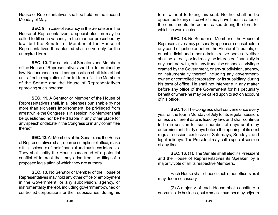House of Representatives shall be held on the second Monday of May.

**SEC. 9.** In case of vacancy in the Senate or in the House of Representatives, a special election may be called to fill such vacancy in the manner prescribed by law, but the Senator or Member of the House of Representatives thus elected shall serve only for the unexpired term.

**SEC. 10.** The salaries of Senators and Members of the House of Representatives shall be determined by law. No increase in said compensation shall take effect until after the expiration of the full term of all the Members of the Senate and the House of Representatives approving such increase.

**SEC. 11.** A Senator or Member of the House of Representatives shall, in all offenses punishable by not more than six years imprisonment, be privileged from arrest while the Congress is in session. No Member shall be questioned nor be held liable in any other place for any speech or debate in the Congress or in any committee thereof.

**SEC. 12.** All Members of the Senate and the House of Representatives shall, upon assumption of office, make a full disclosure of their financial and business interests. They shall notify the House concerned of a potential conflict of interest that may arise from the filing of a proposed legislation of which they are authors.

**SEC. 13.** No Senator or Member of the House of Representatives may hold any other office or employment in the Government, or any subdivision, agency, or instrumentality thereof, including government-owned or controlled corporations or their subsidiaries, during his

term without forfeiting his seat. Neither shall he be appointed to any office which may have been created or the emoluments thereof increased during the term for which he was elected.

**SEC. 14.** No Senator or Member of the House of Representatives may personally appear as counsel before any court of justice or before the Electoral Tribunals, or quasi-judicial and other administrative bodies. Neither shall he, directly or indirectly, be interested financially in any contract with, or in any franchise or special privilege granted by the Government, or any subdivision, agency, or instrumentality thereof, including any governmentowned or controlled corporation, or its subsidiary, during his term of office. He shall not intervene in any matter before any office of the Government for his pecuniary benefit or where he may be called upon to act on account of his office.

**SEC. 15.** The Congress shall convene once every year on the fourth Monday of July for its regular session, unless a different date is fixed by law, and shall continue to be in session for such number of days as it may determine until thirty days before the opening of its next regular session, exclusive of Saturdays, Sundays, and legal holidays. The President may call a special session at any time.

**SEC. 16.** (1). The Senate shall elect its President and the House of Representatives its Speaker, by a majority vote of all its respective Members.

Each House shall choose such other officers as it may deem necessary.

(2) A majority of each House shall constitute a quorum to do business, but a smaller number may adjourn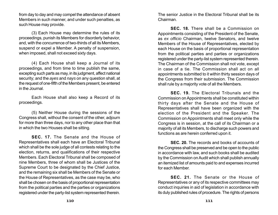from day to day and may compel the attendance of absent Members in such manner, and under such penalties, as such House may provide.

(3) Each House may determine the rules of its proceedings, punish its Members for disorderly behavior, and, with the concurrence of two-thirds of all its Members, suspend or expel a Member. A penalty of suspension, when imposed, shall not exceed sixty days.

(4) Each House shall keep a Journal of its proceedings, and from time to time publish the same, excepting such parts as may, in its judgment, affect national security; and the *ayes* and *nays* on any question shall, at the request of one-fifth of the Members present, be entered in the Journal.

Each House shall also keep a Record of its proceedings.

(5) Neither House during the sessions of the Congress shall, without the consent of the other, adjourn for more than three days, nor to any other place than that in which the two Houses shall be sitting.

**SEC. 17.** The Senate and the House of Representatives shall each have an Electoral Tribunal which shall be the sole judge of all contests relating to the election, returns, and qualifications of their respective Members. Each Electoral Tribunal shall be composed of nine Members, three of whom shall be Justices of the Supreme Court to be designated by the Chief Justice, and the remaining six shall be Members of the Senate or the House of Representatives, as the case may be, who shall be chosen on the basis of proportional representation from the political parties and the parties or organizations registered under the party-list system represented therein.

The senior Justice in the Electoral Tribunal shall be its Chairman.

**SEC. 18.** There shall be a Commission on Appointments consisting of the President of the Senate, as *ex officio* Chairman, twelve Senators, and twelve Members of the House of Representatives, elected by each House on the basis of proportional representation from the political parties and parties or organizations registered under the party-list system represented therein. The Chairman of the Commission shall not vote, except in case of a tie. The Commission shall act on all appointments submitted to it within thirty session days of the Congress from their submission. The Commission shall rule by a majority vote of all the Members.

**SEC. 19.** The Electoral Tribunals and the Commission on Appointments shall be constituted within thirty days after the Senate and the House of Representatives shall have been organized with the election of the President and the Speaker. The Commission on Appointments shall meet only while the Congress is in session, at the call of its Chairman or a majority of all its Members, to discharge such powers and functions as are herein conferred upon it.

**SEC. 20.** The records and books of accounts of the Congress shall be preserved and be open to the public in accordance with law, and such books shall be audited by the Commission on Audit which shall publish annually an itemized list of amounts paid to and expenses incurred for each Member.

**SEC. 21.** The Senate or the House of Representatives or any of its respective committees may conduct inquiries in aid of legislation in accordance with its duly published rules of procedure. The rights of persons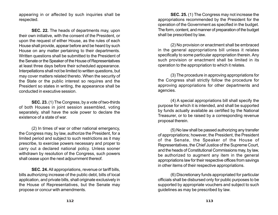appearing in or affected by such inquiries shall be respected.

**SEC. 22.** The heads of departments may, upon their own initiative, with the consent of the President, or upon the request of either House, as the rules of each House shall provide, appear before and be heard by such House on any matter pertaining to their departments. Written questions shall be submitted to the President of the Senate or the Speaker of the House of Representatives at least three days before their scheduled appearance. Interpellations shall not be limited to written questions, but may cover matters related thereto. When the security of the State or the public interest so requires and the President so states in writing, the appearance shall be conducted in executive session.

**SEC. 23.** (1) The Congress, by a vote of two-thirds of both Houses in joint session assembled, voting separately, shall have the sole power to declare the existence of a state of war.

(2) In times of war or other national emergency, the Congress may, by law, authorize the President, for a limited period and subject to such restrictions as it may prescribe, to exercise powers necessary and proper to carry out a declared national policy. Unless sooner withdrawn by resolution of the Congress, such powers shall cease upon the next adjournment thereof.

**SEC. 24.** All appropriations, revenue or tariff bills, bills authorizing increase of the public debt, bills of local application, and private bills, shall originate exclusively in the House of Representatives, but the Senate may propose or concur with amendments.

**SEC. 25.** (1) The Congress may not increase the appropriations recommended by the President for the operation of the Government as specified in the budget. The form, content, and manner of preparation of the budget shall be prescribed by law.

(2) No provision or enactment shall be embraced in the general appropriations bill unless it relates specifically to some particular appropriation therein. Any such provision or enactment shall be limited in its operation to the appropriation to which it relates.

(3) The procedure in approving appropriations for the Congress shall strictly follow the procedure for approving appropriations for other departments and agencies.

(4) A special appropriations bill shall specify the purpose for which it is intended, and shall be supported by funds actually available as certified by the National Treasurer, or to be raised by a corresponding revenue proposal therein.

(5) No law shall be passed authorizing any transfer of appropriations; however, the President, the President of the Senate, the Speaker of the House of Representatives, the Chief Justice of the Supreme Court, and the heads of Constitutional Commissions may, by law, be authorized to augment any item in the general appropriations law for their respective offices from savings in other items of their respective appropriations.

(6) Discretionary funds appropriated for particular officials shall be disbursed only for public purposes to be supported by appropriate vouchers and subject to such guidelines as may be prescribed by law.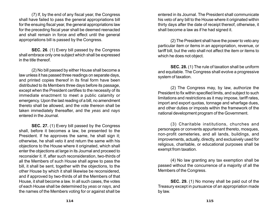(7) If, by the end of any fiscal year, the Congress shall have failed to pass the general appropriations bill for the ensuing fiscal year, the general appropriations law for the preceding fiscal year shall be deemed reenacted and shall remain in force and effect until the general appropriations bill is passed by the Congress.

**SEC. 26**. (1) Every bill passed by the Congress shall embrace only one subject which shall be expressed in the title thereof.

(2) No bill passed by either House shall become a law unless it has passed three readings on separate days, and printed copies thereof in its final form have been distributed to its Members three days before its passage, except when the President certifies to the necessity of its immediate enactment to meet a public calamity or emergency. Upon the last reading of a bill, no amendment thereto shall be allowed, and the vote thereon shall be taken immediately thereafter, and the *yeas* and *nays* entered in the Journal.

**SEC. 27.** (1) Every bill passed by the Congress shall, before it becomes a law, be presented to the President. If he approves the same, he shall sign it; otherwise, he shall veto it and return the same with his objections to the House where it originated, which shall enter the objections at large in its Journal and proceed to reconsider it. If, after such reconsideration, two-thirds of all the Members of such House shall agree to pass the bill, it shall be sent, together with the objections, to the other House by which it shall likewise be reconsidered, and if approved by two-thirds of all the Members of that House, it shall become a law. In all such cases, the votes of each House shall be determined by *yeas* or *nays*, and the names of the Members voting for or against shall be

entered in its Journal. The President shall communicate his veto of any bill to the House where it originated within thirty days after the date of receipt thereof, otherwise, it shall become a law as if he had signed it.

(2) The President shall have the power to veto any particular item or items in an appropriation, revenue, or tariff bill, but the veto shall not affect the item or items to which he does not object.

**SEC. 28.** (1) The rule of taxation shall be uniform and equitable. The Congress shall evolve a progressive system of taxation.

(2) The Congress may, by law, authorize the President to fix within specified limits, and subject to such limitations and restrictions as it may impose, tariff rates, import and export quotas, tonnage and wharfage dues, and other duties or imposts within the framework of the national development program of the Government.

(3) Charitable institutions, churches and personages or convents appurtenant thereto, mosques, non-profit cemeteries, and all lands, buildings, and improvements, actually, directly, and exclusively used for religious, charitable, or educational purposes shall be exempt from taxation.

(4) No law granting any tax exemption shall be passed without the concurrence of a majority of all the Members of the Congress.

**SEC. 29.** (1) No money shall be paid out of the Treasury except in pursuance of an appropriation made by law.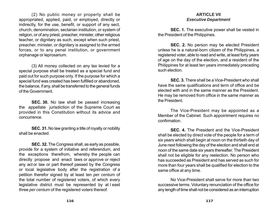(2) No public money or property shall be appropriated, applied, paid, or employed, directly or indirectly, for the use, benefit, or support of any sect, church, denomination, sectarian institution, or system of religion, or of any priest, preacher, minister, other religious teacher, or dignitary as such, except when such priest, preacher, minister, or dignitary is assigned to the armed forces, or to any penal institution, or government orphanage or leprosarium.

(3) All money collected on any tax levied for a special purpose shall be treated as a special fund and paid out for such purpose only. If the purpose for which a special fund was created has been fulfilled or abandoned, the balance, if any, shall be transferred to the general funds of the Government.

**SEC. 30.** No law shall be passed increasing the appellate jurisdiction of the Supreme Court as provided in this Constitution without its advice and concurrence.

**SEC. 31.** No law granting a title of royalty or nobility shall be enacted.

**SEC. 32.** The Congress shall, as early as possible, provide for a system of initiative and referendum, and the exceptions therefrom, whereby the people can directly propose and enact laws or approve or reject any act or law or part thereof passed by the Congress or local legislative body after the registration of a petition therefor signed by at least ten *per centum* of the total number of registered voters, of which every legislative district must be represented by at l east three *per centum* of the registered voters thereof.

#### **ARTICLE VII** *Executive Department*

**SEC. 1.** The executive power shall be vested in the President of the Philippines.

**SEC. 2.** No person may be elected President unless he is a natural-born citizen of the Philippines, a registered voter, able to read and write, at least forty years of age on the day of the election, and a resident of the Philippines for at least ten years immediately preceding such election.

**SEC. 3.** There shall be a Vice-President who shall have the same qualifications and term of office and be elected with and in the same manner as the President. He may be removed from office in the same manner as the President.

The Vice-President may be appointed as a Member of the Cabinet. Such appointment requires no confirmation.

**SEC. 4.** The President and the Vice-President shall be elected by direct vote of the people for a term of six years which shall begin at noon on the thirtieth day of June next following the day of the election and shall end at noon of the same date six years thereafter. The President shall not be eligible for any reelection. No person who has succeeded as President and has served as such for more than four years shall be qualified for election to the same office at any time.

No Vice-President shall serve for more than two successive terms. Voluntary renunciation of the office for any length of time shall not be considered as an interruption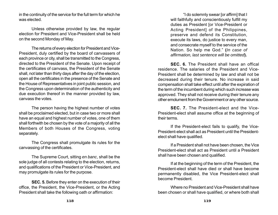in the continuity of the service for the full term for which he was elected.

Unless otherwise provided by law, the regular election for President and Vice-President shall be held on the second Monday of May.

The returns of every election for President and Vice-President, duly certified by the board of canvassers of each province or city, shall be transmitted to the Congress, directed to the President of the Senate. Upon receipt of the certificates of canvass, the President of the Senate shall, not later than thirty days after the day of the election, open all the certificates in the presence of the Senate and the House of Representatives in joint public session, and the Congress upon determination of the authenticity and due execution thereof in the manner provided by law, canvass the votes.

The person having the highest number of votes shall be proclaimed elected, but in case two or more shall have an equal and highest number of votes, one of them shall forthwith be chosen by the vote of a majority of all the Members of both Houses of the Congress, voting separately.

The Congress shall promulgate its rules for the canvassing of the certificates.

The Supreme Court, sitting *en banc*, shall be the sole judge of all contests relating to the election, returns, and qualifications of the President or Vice-President, and may promulgate its rules for the purpose.

**SEC. 5.** Before they enter on the execution of their office, the President, the Vice-President, or the Acting President shall take the following oath or affirmation:

"I do solemnly swear [or affirm] that I will faithfully and conscientiously fulfill my duties as President [or Vice-President or Acting President] of the Philippines, preserve and defend its Constitution, execute its laws, do justice to every man, and consecrate myself to the service of the Nation. So help me God." **(***In case of affirmation, last sentence will be omitted***).**

**SEC. 6.** The President shall have an offical residence. The salaries of the President and Vice-President shall be determined by law and shall not be decreased during their tenure. No increase in said compensation shall take effect until after the expiration of the term of the incumbent during which such increase was approved. They shall not receive during their tenure any other emolument from the Government or any other source.

**SEC. 7.** The President-elect and the Vice-President-elect shall assume office at the beginning of their terms.

If the President-elect fails to qualify, the Vice-President-elect shall act as President until the Presidentelect shall have qualified.

If a President shall not have been chosen, the Vice President-elect shall act as President until a President shall have been chosen and qualified.

If at the beginning of the term of the President, the President-elect shall have died or shall have become permanently disabled, the Vice President-elect shall become President.

Where no President and Vice-President shall have been chosen or shall have qualified, or where both shall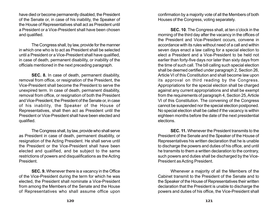have died or become permanently disabled, the President of the Senate or, in case of his inability, the Speaker of the House of Representatives shall act as President until a President or a Vice-President shall have been chosen and qualified.

The Congress shall, by law, provide for the manner in which one who is to act as President shall be selected until a President or a Vice-President shall have qualified, in case of death, permanent disability, or inability of the officials mentioned in the next preceding paragraph.

**SEC. 8.** In case of death, permanent disability, removal from office, or resignation of the President, the Vice-President shall become the President to serve the unexpired term. In case of death, permanent disability, removal from office, or resignation of both the President and Vice-President, the President of the Senate or, in case of his inability, the Speaker of the House of Representatives, shall then act as President until the President or Vice-President shall have been elected and qualified.

The Congress shall, by law, provide who shall serve as President in case of death, permanent disability, or resignation of the Acting President. He shall serve until the President or the Vice-President shall have been elected and qualified, and be subject to the same restrictions of powers and disqualifications as the Acting President.

**SEC. 9.** Whenever there is a vacancy in the Office of the Vice-President during the term for which he was elected, the President shall nominate a Vice-President from among the Members of the Senate and the House of Representatives who shall assume office upon

confirmation by a majority vote of all the Members of both Houses of the Congress, voting separately.

**SEC. 10**. The Congress shall, at ten o'clock in the morning of the third day after the vacancy in the offices of the President and Vice-President occurs, convene in accordance with its rules without need of a call and within seven days enact a law calling for a special election to elect a President and a Vice-President to be held not earlier than forty-five days nor later than sixty days from the time of such call. The bill calling such special election shall be deemed certified under paragraph 2, Section 26, Article VI of this Constitution and shall become law upon its approval on third reading by the Congress. Appropriations for the special election shall be charged against any current appropriations and shall be exempt from the requirements of paragraph 4, Section 25, Article VI of this Constitution. The convening of the Congress cannot be suspended nor the special election postponed. No special election shall be called if the vacancy is within eighteen months before the date of the next presidential elections.

**SEC. 11.** Whenever the President transmits to the President of the Senate and the Speaker of the House of Representatives his written declaration that he is unable to discharge the powers and duties of his office, and until he transmits to them a written declaration to the contrary, such powers and duties shall be discharged by the Vice-President as Acting President.

Whenever a majority of all the Members of the Cabinet transmit to the President of the Senate and to the Speaker of the House of Representatives their written declaration that the President is unable to discharge the powers and duties of his office, the Vice-President shall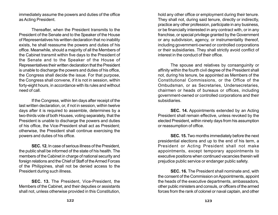immediately assume the powers and duties of the office as Acting President.

Thereafter, when the President transmits to the President of the Senate and to the Speaker of the House of Representatives his written declaration that no inability exists, he shall reassume the powers and duties of his office. Meanwhile, should a majority of all the Members of the Cabinet transmit within five days to the President of the Senate and to the Speaker of the House of Representatives their written declaration that the President is unable to discharge the powers and duties of his office, the Congress shall decide the issue. For that purpose, the Congress shall convene, if it is not in session, within forty-eight hours, in accordance with its rules and without need of call.

If the Congress, within ten days after receipt of the last written declaration, or, if not in session, within twelve days after it is required to assemble, determines by a two-thirds vote of both Houses, voting separately, that the President is unable to discharge the powers and duties of his office, the Vice-President shall act as President; otherwise, the President shall continue exercising the powers and duties of his office.

**SEC. 12.** In case of serious illness of the President, the public shall be informed of the state of his health. The members of the Cabinet in charge of national security and foreign relations and the Chief of Staff of the Armed Forces of the Philippines, shall not be denied access to the President during such illness.

**SEC. 13.** The President, Vice-President, the Members of the Cabinet, and their deputies or assistants shall not, unless otherwise provided in this Constitution,

hold any other office or employment during their tenure. They shall not, during said tenure, directly or indirectly, practice any other profession, participate in any business, or be financially interested in any contract with, or in any franchise, or special privilege granted by the Government or any subdivision, agency, or instrumentality thereof, including government-owned or controlled corporations or their subsidiaries. They shall strictly avoid conflict of interest in the conduct of their office.

The spouse and relatives by consanguinity or affinity within the fourth civil degree of the President shall not, during his tenure, be appointed as Members of the Constitutional Commissions, or the Office of the Ombudsman, or as Secretaries, Undersecretaries, chairmen or heads of bureaus or offices, including government-owned or controlled corporations and their subsidiaries.

**SEC. 14.** Appointments extended by an Acting President shall remain effective, unless revoked by the elected President, within ninety days from his assumption or reassumption of office.

**SEC. 15.** Two months immediately before the next presidential elections and up to the end of his term, a President or Acting President shall not make appointments, except temporary appointments to executive positions when continued vacancies therein will prejudice public service or endanger public safety.

**SEC. 16.** The President shall nominate and, with the consent of the Commission on Appointments, appoint the heads of the executive departments, ambassadors, other public ministers and consuls, or officers of the armed forces from the rank of colonel or naval captain, and other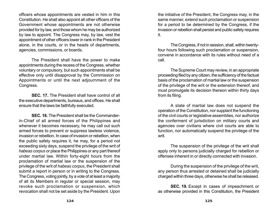officers whose appointments are vested in him in this Constitution. He shall also appoint all other officers of the Government whose appointments are not otherwise provided for by law, and those whom he may be authorized by law to appoint. The Congress may, by law, vest the appointment of other officers lower in rank in the President alone, in the courts, or in the heads of departments, agencies, commissions, or boards.

The President shall have the power to make appointments during the recess of the Congress, whether voluntary or compulsory, but such appointments shall be effective only until disapproval by the Commission on Appointments or until the next adjournment of the Congress.

**SEC. 17.** The President shall have control of all the executive departments, bureaus, and offices. He shall ensure that the laws be faithfully executed.

**SEC. 18.** The President shall be the Commanderin-Chief of all armed forces of the Philippines and whenever it becomes necessary, he may call out such armed forces to prevent or suppress lawless violence, invasion or rebellion. In case of invasion or rebellion, when the public safety requires it, he may, for a period not exceeding sixty days, suspend the privilege of the writ of *habeas corpus* or place the Philippines or any part thereof under martial law. Within forty-eight hours from the proclamation of martial law or the suspension of the privilege of the writ of *habeas corpus*, the President shall submit a report in person or in writing to the Congress. The Congress, voting jointly, by a vote of at least a majority of all its Members in regular or special session, may revoke such proclamation or suspension, which revocation shall not be set aside by the President. Upon

the initiative of the President, the Congress may, in the same manner, extend such proclamation or suspension for a period to be determined by the Congress, if the invasion or rebellion shall persist and public safety requires it.

The Congress, if not in session, shall, within twentyfour hours following such proclamation or suspension, convene in accordance with its rules without need of a call.

The Supreme Court may review, in an appropriate proceeding filed by any citizen, the sufficiency of the factual basis of the proclamation of martial law or the suspension of the privilege of the writ or the extension thereof, and must promulgate its decision thereon within thirty days from its filing.

A state of martial law does not suspend the operation of the Constitution, nor supplant the functioning of the civil courts or legislative assemblies, nor authorize the conferment of jurisdiction on military courts and agencies over civilians where civil courts are able to function, nor automatically suspend the privilege of the writ.

The suspension of the privilege of the writ shall apply only to persons judicially charged for rebellion or offenses inherent in or directly connected with invasion.

During the suspension of the privilege of the writ, any person thus arrested or detained shall be judicially charged within three days, otherwise he shall be released.

**SEC. 19.** Except in cases of impeachment, or as otherwise provided in this Constitution, the President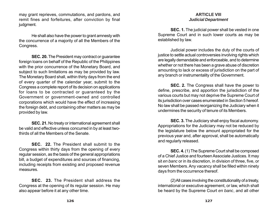may grant reprieves, commutations, and pardons, and remit fines and forfeitures, after conviction by final judgment.

He shall also have the power to grant amnesty with the concurrence of a majority of all the Members of the Congress.

**SEC. 20.** The President may contract or guarantee foreign loans on behalf of the Republic of the Philippines with the prior concurrence of the Monetary Board, and subject to such limitations as may be provided by law. The Monetary Board shall, within thirty days from the end of every quarter of the calendar year, submit to the Congress a complete report of its decision on applications for loans to be contracted or guaranteed by the Government or government-owned and controlled corporations which would have the effect of increasing the foreign debt, and containing other matters as may be provided by law.

**SEC. 21.** No treaty or international agreement shall be valid and effective unless concurred in by at least twothirds of all the Members of the Senate.

**SEC. 22.** The President shall submit to the Congress within thirty days from the opening of every regular session, as the basis of the general appropriations bill, a budget of expenditures and sources of financing, including receipts from existing and proposed revenue measures.

**SEC. 23.** The President shall address the Congress at the opening of its regular session. He may also appear before it at any other time.

#### **ARTICLE VIII** *Judicial Department*

**SEC. 1.** The judicial power shall be vested in one Supreme Court and in such lower courts as may be established by law.

Judicial power includes the duty of the courts of justice to settle actual controversies involving rights which are legally demandable and enforceable, and to determine whether or not there has been a grave abuse of discretion amounting to lack or excess of jurisdiction on the part of any branch or instrumentality of the Government.

**SEC. 2.** The Congress shall have the power to define, prescribe, and apportion the jurisdiction of the various courts but may not deprive the Supreme Court of its jurisdiction over cases enumerated in Section 5 hereof. No law shall be passed reorganizing the Judiciary when it undermines the security of tenure of its Members.

**SEC. 3.** The Judiciary shall enjoy fiscal autonomy. Appropriations for the Judiciary may not be reduced by the legislature below the amount appropriated for the previous year and, after approval, shall be automatically and regularly released.

**SEC. 4.** (1) The Supreme Court shall be composed of a Chief Justice and fourteen Associate Justices. It may sit *en banc* or in its discretion, in division of three, five, or seven Members. Any vacancy shall be filled within ninety days from the occurrence thereof.

(2) All cases involving the constitutionality of a treaty, international or executive agreement, or law, which shall be heard by the Supreme Court *en banc*, and all other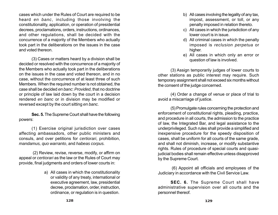cases which under the Rules of Court are required to be heard *en banc*, including those involving the constitutionality, application, or operation of presidential decrees, proclamations, orders, instructions, ordinances, and other regulations, shall be decided with the concurrence of a majority of the Members who actually took part in the deliberations on the issues in the case and voted thereon.

(3) Cases or matters heard by a division shall be decided or resolved with the concurrence of a majority of the Members who actually took part in the deliberations on the issues in the case and voted thereon, and in no case, without the concurrence of at least three of such Members. When the required number is not obtained, the case shall be decided *en banc*: *Provided*, that no doctrine or principle of law laid down by the court in a decision rendered *en banc* or in division may be modified or reversed except by the court sitting *en banc.*

**Sec. 5.** The Supreme Court shall have the following powers:

(1) Exercise original jurisdiction over cases affecting ambassadors, other public ministers and consuls, and over petitions for *certiorari*, prohibition, *mandamus, quo warranto*, and *habeas corpus.*

 (2) Review, revise, reverse, modify, or affirm on appeal or *certiorari* as the law or the Rules of Court may provide, final judgments and orders of lower courts in:

> a) All cases in which the constitutionality or validity of any treaty, international or executive agreement, law, presidential decree, proclamation, order, instruction, ordinance, or regulation is in question.

- b) All cases involving the legality of any tax, impost, assessment, or toll, or any penalty imposed in relation thereto.
- c) All cases in which the jurisdiction of any lower court is in issue.
- d) All criminal cases in which the penalty imposed is *reclusion perpetua* or higher.
- e) All cases in which only an error or question of law is involved.

(3) Assign temporarily judges of lower courts to other stations as public interest may require. Such temporary assignment shall not exceed six months without the consent of the judge concerned.

(4) Order a change of venue or place of trial to avoid a miscarriage of justice.

(5) Promulgate rules concerning the protection and enforcement of constitutional rights, pleading, practice, and procedure in all courts, the admission to the practice of law, the Integrated Bar, and legal assistance to the underprivileged. Such rules shall provide a simplified and inexpensive procedure for the speedy disposition of cases, shall be uniform for all courts of the same grade, and shall not diminish, increase, or modify substantive rights. Rules of procedure of special courts and quasijudicial bodies shall remain effective unless disapproved by the Supreme Court.

 (6) Appoint all officials and employees of the Judiciary in accordance with the Civil Service Law.

**SEC. 6.** The Supreme Court shall have administrative supervision over all courts and the personnel thereof.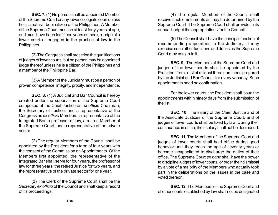**SEC. 7.** (1) No person shall be appointed Member of the Supreme Court or any lower collegiate court unless he is a natural-born citizen of the Philippines. A Member of the Supreme Court must be at least forty years of age, and must have been for fifteen years or more, a judge of a lower court or engaged in the practice of law in the Philippines.

(2) The Congress shall prescribe the qualifications of judges of lower courts, but no person may be appointed judge thereof unless he is a citizen of the Philippines and a member of the Philippine Bar.

(3) A Member of the Judiciary must be a person of proven competence, integrity, probity, and independence.

**SEC. 8.** (1) A Judicial and Bar Council is hereby created under the supervision of the Supreme Court composed of the Chief Justice as *ex officio* Chairman, the Secretary of Justice, and a representative of the Congress as *ex officio* Members, a representative of the Integrated Bar, a professor of law, a retired Member of the Supreme Court, and a representative of the private sector.

(2) The regular Members of the Council shall be appointed by the President for a term of four years with the consent of the Commission on Appointments. Of the Members first appointed, the representative of the Integrated Bar shall serve for four years, the professor of law for three years, the retired Justice for two years, and the representative of the private sector for one year.

(3) The Clerk of the Supreme Court shall be the Secretary *ex officio* of the Council and shall keep a record of its proceedings.

(4) The regular Members of the Council shall receive such emoluments as may be determined by the Supreme Court. The Supreme Court shall provide in its annual budget the appropriations for the Council.

(5) The Council shall have the principal function of recommending appointees to the Judiciary. It may exercise such other functions and duties as the Supreme Court may assign to it.

**SEC. 9.** The Members of the Supreme Court and judges of the lower courts shall be appointed by the President from a list of at least three nominees prepared by the Judicial and Bar Council for every vacancy. Such appointments need no confirmation.

For the lower courts, the President shall issue the appointments within ninety days from the submission of the list.

**SEC. 10**. The salary of the Chief Justice and of the Associate Justices of the Supreme Court, and of judges of lower courts shall be fixed by law. During their continuance in office, their salary shall not be decreased.

**SEC. 11**. The Members of the Supreme Court and judges of lower courts shall hold office during good behavior until they reach the age of seventy years or become incapacitated to discharge the duties of their office. The Supreme Court *en banc* shall have the power to discipline judges of lower courts, or order their dismissal by a vote of a majority of the Members who actually took part in the deliberations on the issues in the case and voted thereon.

**SEC. 12**. The Members of the Supreme Court and of other courts established by law shall not be designated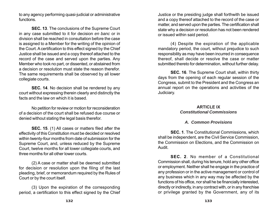to any agency performing quasi-judicial or administrative functions.

**SEC. 13**. The conclusions of the Supreme Court in any case submitted to it for decision *en banc* or in division shall be reached in consultation before the case is assigned to a Member for the writing of the opinion of the Court. A certification to this effect signed by the Chief Justice shall be issued and a copy thereof attached to the record of the case and served upon the parties. Any Member who took no part, or dissented, or abstained from a decision or resolution must state the reason therefor. The same requirements shall be observed by all lower collegiate courts.

**SEC. 14**. No decision shall be rendered by any court without expressing therein clearly and distinctly the facts and the law on which it is based.

No petition for review or motion for reconsideration of a decision of the court shall be refused due course or denied without stating the legal basis therefor.

**SEC. 15**. (1) All cases or matters filed after the effectivity of this Constitution must be decided or resolved within twenty-four months from date of submission for the Supreme Court, and, unless reduced by the Supreme Court, twelve months for all lower collegiate courts, and three months for all other lower courts.

(2) A case or matter shall be deemed submitted for decision or resolution upon the filing of the last pleading, brief, or memorandum required by the Rules of Court or by the court itself.

(3) Upon the expiration of the corresponding period, a certification to this effect signed by the Chief Justice or the presiding judge shall forthwith be issued and a copy thereof attached to the record of the case or matter, and served upon the parties. The certification shall state why a decision or resolution has not been rendered or issued within said period.

(4) Despite the expiration of the applicable mandatory period, the court, without prejudice to such responsibility as may have been incurred in consequence thereof, shall decide or resolve the case or matter submitted thereto for determination, without further delay.

**SEC. 16**. The Supreme Court shall, within thirty days from the opening of each regular session of the Congress, submit to the President and the Congress an annual report on the operations and activities of the Judiciary.

### **ARTICLE IX** *Constitutional Commissions*

## *A. Common Provisions*

**SEC. 1**. The Constitutional Commissions, which shall be independent, are the Civil Service Commission, the Commission on Elections, and the Commission on Audit.

**SEC. 2**. No member of a Constitutional Commission shall, during his tenure, hold any other office or employment. Neither shall he engage in the practice of any profession or in the active management or control of any business which in any way may be affected by the functions of his office, nor shall he be financially interested, directly or indirectly, in any contract with, or in any franchise or privilege granted by the Government, any of its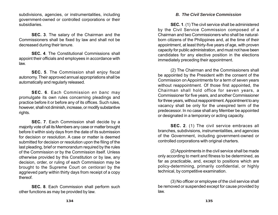subdivisions, agencies, or instrumentalities, including government-owned or controlled corporations or their subsidiaries.

**SEC. 3**. The salary of the Chairman and the Commissioners shall be fixed by law and shall not be decreased during their tenure.

**SEC. 4**. The Constitutional Commissions shall appoint their officials and employees in accordance with law.

**SEC. 5**. The Commission shall enjoy fiscal autonomy. Their approved annual appropriations shall be automatically and regularly released.

**SEC. 6**. Each Commission *en banc* may promulgate its own rules concerning pleadings and practice before it or before any of its offices. Such rules, however, shall not diminish, increase, or modify substantive rights.

**SEC. 7**. Each Commission shall decide by a majority vote of all its Members any case or matter brought before it within sixty days from the date of its submission for decision or resolution. A case or matter is deemed submitted for decision or resolution upon the filing of the last pleading, brief or memorandum required by the rules of the Commission or by the Commission itself. Unless otherwise provided by this Constitution or by law, any decision, order, or ruling of each Commission may be brought to the Supreme Court on *certiorari* by the aggrieved party within thirty days from receipt of a copy thereof.

**SEC. 8**. Each Commission shall perform such other functions as may be provided by law.

### *B. The Civil Service Commission*

**SEC. 1**. (1) The civil service shall be administered by the Civil Service Commission composed of a Chairman and two Commissioners who shall be naturalborn citizens of the Philippines and, at the time of their appointment, at least thirty-five years of age, with proven capacity for public administration, and must not have been candidates for any elective position in the elections immediately preceding their appointment.

(2) The Chairman and the Commissioners shall be appointed by the President with the consent of the Commission on Appointments for a term of seven years without reappointment. Of those first appointed, the Chairman shall hold office for seven years, a Commissioner for five years, and another Commissioner for three years, without reappointment. Appointment to any vacancy shall be only for the unexpired term of the predecessor. In no case shall any Member be appointed or designated in a temporary or acting capacity.

**SEC. 2.** (1) The civil service embraces all branches, subdivisions, instrumentalities, and agencies of the Government, including government-owned or controlled corporations with original charters.

(2) Appointments in the civil service shall be made only according to merit and fitness to be determined, as far as practicable, and, except to positions which are policy-determining, primarily confidential, or highly technical, by competitive examination.

(3) No officer or employee of the civil service shall be removed or suspended except for cause provided by law.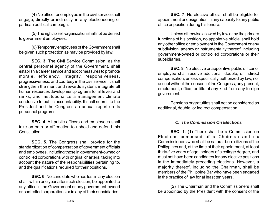(4) No officer or employee in the civil service shall engage, directly or indirectly, in any electioneering or partisan political campaign.

(5) The right to self-organization shall not be denied to government employees.

(6) Temporary employees of the Government shall be given such protection as may be provided by law.

**SEC. 3**. The Civil Service Commission, as the central personnel agency of the Government, shall establish a career service and adopt measures to promote morale, efficiency, integrity, responsiveness, progressiveness, and courtesy in the civil service. It shall strengthen the merit and rewards system, integrate all human resources development programs for all levels and ranks, and institutionalize a management climate conducive to public accountability. It shall submit to the President and the Congress an annual report on its personnel programs.

**SEC. 4.** All public officers and employees shall take an oath or affirmation to uphold and defend this Constitution.

**SEC. 5**. The Congress shall provide for the standardization of compensation of government officials and employees, including those in government-owned or controlled corporations with original charters, taking into account the nature of the responsibilities pertaining to, and the qualifications required for their positions.

**SEC. 6**. No candidate who has lost in any election shall, within one year after such election, be appointed to any office in the Government or any government-owned or controlled corporations or in any of their subsidiaries.

**SEC. 7**. No elective official shall be eligible for appointment or designation in any capacity to any public office or position during his tenure.

Unless otherwise allowed by law or by the primary functions of his position, no appointive official shall hold any other office or employment in the Government or any subdivision, agency or instrumentality thereof, including government-owned or controlled corporations or their subsidiaries.

**SEC. 8**. No elective or appointive public officer or employee shall receive additional, double, or indirect compensation, unless specifically authorized by law, nor accept without the consent of the Congress, any present, emolument, office, or title of any kind from any foreign government.

Pensions or gratuities shall not be considered as additional, double, or indirect compensation.

### *C. The Commission On Elections*

**SEC. 1**. (1) There shall be a Commission on Elections composed of a Chairman and six Commissioners who shall be natural-born citizens of the Philippines and, at the time of their appointment, at least thirty-five years of age, holders of a college degree, and must not have been candidates for any elective positions in the immediately preceding elections. However, a majority thereof, including the Chairman, shall be members of the Philippine Bar who have been engaged in the practice of law for at least ten years.

(2) The Chairman and the Commissioners shall be appointed by the President with the consent of the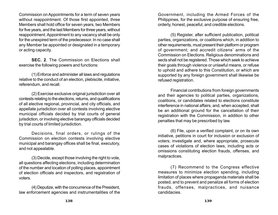Commission on Appointments for a term of seven years without reappointment. Of those first appointed, three Members shall hold office for seven years, two Members for five years, and the last Members for three years, without reappointment. Appointment to any vacancy shall be only for the unexpired term of the predecessor. In no case shall any Member be appointed or designated in a temporary or acting capacity.

**SEC. 2**. The Commission on Elections shall exercise the following powers and functions:

(1) Enforce and administer all laws and regulations relative to the conduct of an election, plebiscite, initiative, referendum, and recall.

(2) Exercise exclusive original jurisdiction over all contests relating to the elections, returns, and qualifications of all elective regional, provincial, and city officials, and appellate jurisdiction over all contests involving elective municipal officials decided by trial courts of general jurisdiction, or involving elective barangay officials decided by trial courts of limited jurisdiction.

Decisions, final orders, or rulings of the Commission on election contests involving elective municipal and barangay offices shall be final, executory, and not appealable.

(3) Decide, except those involving the right to vote, all questions affecting elections, including determination of the number and location of polling places, appointment of election officials and inspectors, and registration of voters.

(4) Deputize, with the concurrence of the President, law enforcement agencies and instrumentalities of the Government, including the Armed Forces of the Philippines, for the exclusive purpose of ensuring free, orderly, honest, peaceful, and credible elections.

(5) Register, after sufficient publication, political parties, organizations, or coalitions which, in addition to other requirements, must present their platform or program of government; and accredit citizens' arms of the Commission on Elections. Religious denominations and sects shall not be registered. Those which seek to achieve their goals through violence or unlawful means, or refuse to uphold and adhere to this Constitution, or which are supported by any foreign government shall likewise be refused registration.

Financial contributions from foreign governments and their agencies to political parties, organizations, coalitions, or candidates related to elections constitute interference in national affairs, and, when accepted, shall be an additional ground for the cancellation of their registration with the Commission, in addition to other penalties that may be prescribed by law.

(6) File, upon a verified complaint, or on its own initiative, petitions in court for inclusion or exclusion of voters; investigate and, where appropriate, prosecute cases of violations of election laws, including acts or omissions constituting election frauds, offenses, and malpractices.

(7) Recommend to the Congress effective measures to minimize election spending, including limitation of places where propaganda materials shall be posted, and to prevent and penalize all forms of election frauds, offenses, malpractices, and nuisance candidacies.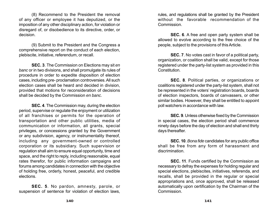(8) Recommend to the President the removal of any officer or employee it has deputized, or the imposition of any other disciplinary action, for violation or disregard of, or disobedience to its directive, order, or decision.

(9) Submit to the President and the Congress a comprehensive report on the conduct of each election, plebiscite, initiative, referendum, or recall.

**SEC. 3**. The Commission on Elections may sit *en banc* or in two divisions, and shall promulgate its rules of procedure in order to expedite disposition of election cases, including pre- proclamation controversies. All such election cases shall be heard and decided in division, provided that motions for reconsideration of decisions shall be decided by the Commission *en banc.*

**SEC. 4.** The Commission may, during the election period, supervise or regulate the enjoyment or utilization of all franchises or permits for the operation of transportation and other public utilities, media of communication or information, all grants, special privileges, or concessions granted by the Government or any subdivision, agency, or instrumentality thereof, including any government-owned or controlled corporation or its subsidiary. Such supervision or regulation shall aim to ensure equal opportunity, time and space, and the right to reply, including reasonable, equal rates therefor, for public information campaigns and forums among candidates in connection with the objective of holding free, orderly, honest, peaceful, and credible elections.

**SEC. 5**. No pardon, amnesty, parole, or suspension of sentence for violation of election laws, rules, and regulations shall be granted by the President without the favorable recommendation of the Commission.

**SEC. 6**. A free and open party system shall be allowed to evolve according to the free choice of the people, subject to the provisions of this Article.

**SEC. 7**. No votes cast in favor of a political party, organization, or coalition shall be valid, except for those registered under the party-list system as provided in this Constitution.

**SEC. 8**. Political parties, or organizations or coalitions registered under the party-list system, shall not be represented in the voters' registration boards, boards of election inspectors, boards of canvassers, or other similar bodies. However, they shall be entitled to appoint poll watchers in accordance with law.

**SEC. 9**. Unless otherwise fixed by the Commission in special cases, the election period shall commence ninety days before the day of election and shall end thirty days thereafter.

**SEC. 10**. *Bona fide* candidates for any public office shall be free from any form of harassment and discrimination.

**SEC. 11**. Funds certified by the Commission as necessary to defray the expenses for holding regular and special elections, plebiscites, initiatives, referenda, and recalls, shall be provided in the regular or special appropriations and, once approved, shall be released automatically upon certification by the Chairman of the Commission.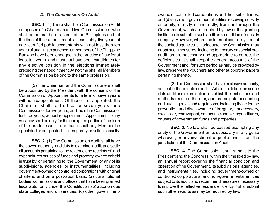# *D. The Commission On Audit*

**SEC. 1**. (1) There shall be a Commission on Audit composed of a Chairman and two Commissioners, who shall be natural-born citizens of the Philippines and, at the time of their appointment, at least thirty-five years of age, certified public accountants with not less than ten years of auditing experience, or members of the Philippine Bar who have been engaged in the practice of law for at least ten years, and must not have been candidates for any elective position in the elections immediately preceding their appointment. At no time shall all Members of the Commission belong to the same profession.

(2) The Chairman and the Commissioners shall be appointed by the President with the consent of the Commission on Appointments for a term of seven years without reappointment. Of those first appointed, the Chairman shall hold office for seven years, one Commissioner for five years, and the other Commissioner for three years, without reappointment. Appointment to any vacancy shall be only for the unexpired portion of the term of the predecessor. In no case shall any Member be appointed or designated in a temporary or acting capacity.

**SEC. 2.** (1) The Commission on Audit shall have the power, authority, and duty to examine, audit, and settle all accounts pertaining to the revenue and receipts of, and expenditures or uses of funds and property, owned or held in trust by, or pertaining to, the Government, or any of its subdivisions, agencies, or instrumentalities, including government-owned or controlled corporations with original charters, and on a post-audit basis: (a) constitutional bodies, commissions and offices that have been granted fiscal autonomy under this Constitution; (b) autonomous state colleges and universities; (c) other governmentowned or controlled corporations and their subsidiaries; and (d) such non-governmental entities receiving subsidy or equity, directly or indirectly, from or through the Government, which are required by law or the granting institution to submit to such audit as a condition of subsidy or equity. However, where the internal control system of the audited agencies is inadequate, the Commission may adopt such measures, including temporary or special pre audit, as are necessary and appropriate to correct the deficiencies. It shall keep the general accounts of the Government and, for such period as may be provided by law, preserve the vouchers and other supporting papers pertaining thereto.

(2) The Commission shall have exclusive authority, subject to the limitations in this Article, to define the scope of its audit and examination, establish the techniques and methods required therefor, and promulgate accounting and auditing rules and regulations, including those for the prevention and disallowance of irregular, unnecessary, excessive, extravagant, or unconscionable expenditures, or uses of government funds and properties.

**SEC. 3**. No law shall be passed exempting any entity of the Government or its subsidiary in any guise whatever, or any investment of public funds, from the jurisdiction of the Commission on Audit.

**SEC. 4**. The Commission shall submit to the President and the Congress, within the time fixed by law, an annual report covering the financial condition and operation of the Government, its subdivisions, agencies, and instrumentalities, including government-owned or controlled corporations, and non-governmental entities subject to its audit, and recommend measures necessary to improve their effectiveness and efficiency. It shall submit such other reports as may be required by law.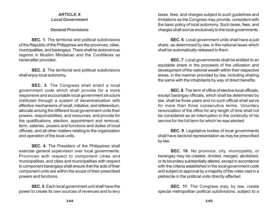## **ARTICLE X** *Local Government*

# *General Provisions*

**SEC. 1**. The territorial and political subdivisions of the Republic of the Philippines are the provinces, cities, municipalities, and barangays. There shall be autonomous regions in Muslim Mindanao and the Cordilleras as hereinafter provided.

**SEC. 2**. The territorial and political subdivisions shall enjoy local autonomy.

**SEC. 3.** The Congress shall enact a local government code which shall provide for a more responsive and accountable local government structure instituted through a system of decentralization with effective mechanisms of recall, initiative, and referendum, allocate among the different local government units their powers, responsibilities, and resources, and provide for the qualifications, election, appointment and removal, term, salaries, powers and functions and duties of local officials, and all other matters relating to the organization and operation of the local units.

**SEC. 4.** The President of the Philippines shall exercise general supervision over local governments. Provinces with respect to component cities and municipalities, and cities and municipalities with respect to component barangays shall ensure that the acts of their component units are within the scope of their prescribed powers and functions.

**SEC. 5**. Each local government unit shall have the power to create its own sources of revenues and to levy taxes, fees, and charges subject to such guidelines and limitations as the Congress may provide, consistent with the basic policy of local autonomy. Such taxes, fees, and charges shall accrue exclusively to the local governments.

**SEC. 6**. Local government units shall have a just share, as determined by law, in the national taxes which shall be automatically released to them.

**SEC. 7**. Local governments shall be entitled to an equitable share in the proceeds of the utilization and development of the national wealth within their respective areas, in the manner provided by law, including sharing the same with the inhabitants by way of direct benefits.

**SEC. 8**. The term of office of elective local officials, except barangay officials, which shall be determined by law, shall be three years and no such official shall serve for more than three consecutive terms. Voluntary renunciation of the office for any length of time shall not be considered as an interruption in the continuity of his service for the full term for which he was elected.

**SEC. 9**. Legislative bodies of local governments shall have sectoral representation as may be prescribed by law.

**SEC. 10**. No province, city, municipality, or barangay may be created, divided, merged, abolished, or its boundary substantially altered, except in accordance with the criteria established in the local government code and subject to approval by a majority of the votes cast in a plebiscite in the political units directly affected.

**SEC. 11**. The Congress may, by law, create special metropolitan political subdivisions, subject to a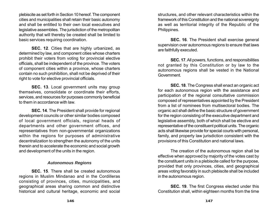plebiscite as set forth in Section 10 hereof. The component cities and municipalities shall retain their basic autonomy and shall be entitled to their own local executives and legislative assemblies. The jurisdiction of the metropolitan authority that will thereby be created shall be limited to basic services requiring coordination.

**SEC. 12**. Cities that are highly urbanized, as determined by law, and component cities whose charters prohibit their voters from voting for provincial elective officials, shall be independent of the province. The voters of component cities within a province, whose charters contain no such prohibition, shall not be deprived of their right to vote for elective provincial officials.

**SEC. 13.** Local government units may group themselves, consolidate or coordinate their efforts, services, and resources for purposes commonly beneficial to them in accordance with law.

**SEC. 14**. The President shall provide for regional development councils or other similar bodies composed of local government officials, regional heads of departments and other government offices, and representatives from non-governmental organizations within the regions for purposes of administrative decentralization to strengthen the autonomy of the units therein and to accelerate the economic and social growth and development of the units in the region.

## *Autonomous Regions*

**SEC. 15**. There shall be created autonomous regions in Muslim Mindanao and in the Cordilleras consisting of provinces, cities, municipalities, and geographical areas sharing common and distinctive historical and cultural heritage, economic and social

structures, and other relevant characteristics within the framework of this Constitution and the national sovereignty as well as territorial integrity of the Republic of the Philippines.

**SEC. 16.** The President shall exercise general supervision over autonomous regions to ensure that laws are faithfully executed.

**SEC. 17.** All powers, functions, and responsibilities not granted by this Constitution or by law to the autonomous regions shall be vested in the National Government.

**SEC. 18**. The Congress shall enact an organic act for each autonomous region with the assistance and participation of the regional consultative commission composed of representatives appointed by the President from a list of nominees from multisectoral bodies. The organic act shall define the basic structure of government for the region consisting of the executive department and legislative assembly, both of which shall be elective and representative of the constituent political units. The organic acts shall likewise provide for special courts with personal, family, and property law jurisdiction consistent with the provisions of this Constitution and national laws.

The creation of the autonomous region shall be effective when approved by majority of the votes cast by the constituent units in a plebiscite called for the purpose, provided that only provinces, cities, and geographical areas voting favorably in such plebiscite shall be included in the autonomous region.

**SEC. 19**. The first Congress elected under this Constitution shall, within eighteen months from the time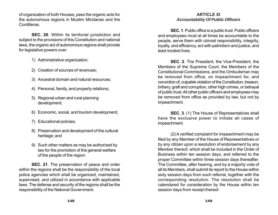of organization of both Houses, pass the organic acts for the autonomous regions in Muslim Mindanao and the Cordilleras.

**SEC. 20.** Within its territorial jurisdiction and subject to the provisions of this Constitution and national laws, the organic act of autonomous regions shall provide for legislative powers over:

- 1) Administrative organization;
- 2) Creation of sources of revenues;
- 3) Ancestral domain and natural resources;
- 4) Personal, family, and property relations;
- 5) Regional urban and rural planning development;
- 6) Economic, social, and tourism development;
- 7) Educational policies;
- 8) Preservation and development of the cultural heritage; and
- 9) Such other matters as may be authorized by law for the promotion of the general welfare of the people of the region.

**SEC. 21**. The preservation of peace and order within the regions shall be the responsibility of the local police agencies which shall be organized, maintained, supervised, and utilized in accordance with applicable laws. The defense and security of the regions shall be the responsibility of the National Government.

## **ARTICLE XI** *Accountability Of Public Officers*

**SEC. 1**. Public office is a public trust. Public officers and employees must at all times be accountable to the people, serve them with utmost responsibility, integrity, loyalty, and efficiency, act with patriotism and justice, and lead modest lives.

**SEC. 2**. The President, the Vice-President, the Members of the Supreme Court, the Members of the Constitutional Commissions, and the Ombudsman may be removed from office, on impeachment for, and conviction of, culpable violation of the Constitution, treason, bribery, graft and corruption, other high crimes, or betrayal of public trust. All other public officers and employees may be removed from office as provided by law, but not by impeachment.

**SEC. 3**. (1) The House of Representatives shall have the exclusive power to initiate all cases of impeachment.

(2) A verified complaint for impeachment may be filed by any Member of the House of Representatives or by any citizen upon a resolution of endorsement by any Member thereof, which shall be included in the Order of Business within ten session days, and referred to the proper Committee within three session days thereafter. The Committee, after hearing, and by a majority vote of all its Members, shall submit its report to the House within sixty session days from such referral, together with the corresponding resolution. The resolution shall be calendared for consideration by the House within ten session days from receipt thereof.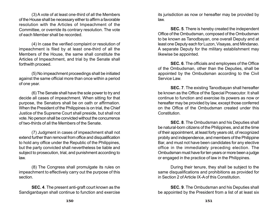(3) A vote of at least one-third of all the Members of the House shall be necessary either to affirm a favorable resolution with the Articles of Impeachment of the Committee, or override its contrary resolution. The vote of each Member shall be recorded.

(4) In case the verified complaint or resolution of impeachment is filed by at least one-third of all the Members of the House, the same shall constitute the Articles of Impeachment, and trial by the Senate shall forthwith proceed.

(5) No impeachment proceedings shall be initiated against the same official more than once within a period of one year.

(6) The Senate shall have the sole power to try and decide all cases of impeachment. When sitting for that purpose, the Senators shall be on oath or affirmation. When the President of the Philippines is on trial, the Chief Justice of the Supreme Court shall preside, but shall not vote. No person shall be convicted without the concurrence of two-thirds of all the Members of the Senate.

(7) Judgment in cases of impeachment shall not extend further than removal from office and disqualification to hold any office under the Republic of the Philippines, but the party convicted shall nevertheless be liable and subject to prosecution, trial, and punishment according to law.

(8) The Congress shall promulgate its rules on impeachment to effectively carry out the purpose of this section.

**SEC. 4**. The present anti-graft court known as the Sandiganbayan shall continue to function and exercise its jurisdiction as now or hereafter may be provided by law.

**SEC. 5**. There is hereby created the independent Office of the Ombudsman, composed of the Ombudsman to be known as Tanodbayan, one overall Deputy and at least one Deputy each for Luzon, Visayas, and Mindanao. A separate Deputy for the military establishment may likewise be appointed.

**SEC. 6**. The officials and employees of the Office of the Ombudsman, other than the Deputies, shall be appointed by the Ombudsman according to the Civil Service Law.

**SEC. 7**. The existing Tanodbayan shall hereafter be known as the Office of the Special Prosecutor. It shall continue to function and exercise its powers as now or hereafter may be provided by law, except those conferred on the Office of the Ombudsman created under this Constitution.

**SEC. 8**. The Ombudsman and his Deputies shall be natural-born citizens of the Philippines, and at the time of their appointment, at least forty years old, of recognized probity and independence, and members of the Philippine Bar, and must not have been candidates for any elective office in the immediately preceding election. The Ombudsman must have for ten years or more been a judge or engaged in the practice of law in the Philippines.

During their tenure, they shall be subject to the same disqualifications and prohibitions as provided for in Section 2 of Article IX-A of this Constitution.

**SEC. 9**. The Ombudsman and his Deputies shall be appointed by the President from a list of at least six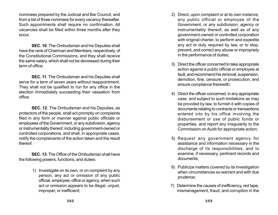nominees prepared by the Judicial and Bar Council, and from a list of three nominees for every vacancy thereafter. Such appointments shall require no confirmation. All vacancies shall be filled within three months after they occur.

**SEC. 10**. The Ombudsman and his Deputies shall have the rank of Chairman and Members, respectively, of the Constitutional Commissions, and they shall receive the same salary, which shall not be decreased during their term of office.

**SEC. 11**. The Ombudsman and his Deputies shall serve for a term of seven years without reappointment. They shall not be qualified to run for any office in the election immediately succeeding their cessation from office.

**SEC. 12**. The Ombudsman and his Deputies, as protectors of the people, shall act promptly on complaints filed in any form or manner against public officials or employees of the Government, or any subdivision, agency or instrumentality thereof, including government-owned or controlled corporations, and shall, in appropriate cases, notify the complainants of the action taken and the result thereof.

**SEC. 13**. The Office of the Ombudsman shall have the following powers, functions, and duties:

> 1) Investigate on its own, or on complaint by any person, any act or omission of any public official, employee, office or agency, when such act or omission appears to be illegal, unjust, improper, or inefficient;

- 2) Direct, upon complaint or at its own instance, any public official or employee of the Government, or any subdivision, agency or instrumentality thereof, as well as of any government-owned or controlled corporation with original charter, to perform and expedite any act or duty required by law, or to stop, prevent, and correct any abuse or impropriety in the performance of duties;
- 3) Direct the officer concerned to take appropriate action against a public official or employee at fault, and recommend his removal, suspension, demotion, fine, censure, or prosecution, and ensure compliance therewith;
- 4) Direct the officer concerned, in any appropriate case, and subject to such limitations as may be provided by law, to furnish it with copies of documents relating to contracts or transactions entered into by his office involving the disbursement or use of public funds or properties, and report any irregularity to the Commission on Audit for appropriate action;
- 5) Request any government agency for assistance and information necessary in the discharge of its responsibilities, and to examine, if necessary, pertinent records and documents;
- 6) Publicize matters covered by its investigation when circumstances so warrant and with due prudence;
- 7) Determine the causes of inefficiency, red tape, mismanagement, fraud, and corruption in the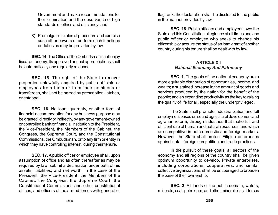Government and make recommendations for their elimination and the observance of high standards of ethics and efficiency; and

8) Promulgate its rules of procedure and exercise such other powers or perform such functions or duties as may be provided by law.

**SEC. 14**. The Office of the Ombudsman shall enjoy fiscal autonomy. Its approved annual appropriations shall be automatically and regularly released.

**SEC. 15**. The right of the State to recover properties unlawfully acquired by public officials or employees from them or from their nominees or transferees, shall not be barred by prescription, latches, or estoppel.

**SEC. 16**. No loan, guaranty, or other form of financial accommodation for any business purpose may be granted, directly or indirectly, by any government-owned or controlled bank or financial institution to the President, the Vice-President, the Members of the Cabinet, the Congress, the Supreme Court, and the Constitutional Commissions, the Ombudsman, or to any firm or entity in which they have controlling interest, during their tenure.

**SEC. 17**. A public officer or employee shall, upon assumption of office and as often thereafter as may be required by law, submit a declaration under oath of his assets, liabilities, and net worth. In the case of the President, the Vice-President, the Members of the Cabinet, the Congress, the Supreme Court, the Constitutional Commissions and other constitutional offices, and officers of the armed forces with general or flag rank, the declaration shall be disclosed to the public in the manner provided by law.

**SEC. 18**. Public officers and employees owe the State and this Constitution allegiance at all times and any public officer or employee who seeks to change his citizenship or acquire the status of an immigrant of another country during his tenure shall be dealt with by law.

## **ARTICLE XII** *National Economy And Patrimony*

**SEC. 1**. The goals of the national economy are a more equitable distribution of opportunities, income, and wealth; a sustained increase in the amount of goods and services produced by the nation for the benefit of the people; and an expanding productivity as the key to raising the quality of life for all, especially the underprivileged.

The State shall promote industrialization and full employment based on sound agricultural development and agrarian reform, through industries that make full and efficient use of human and natural resources, and which are competitive in both domestic and foreign markets. However, the State shall protect Filipino enterprises against unfair foreign competition and trade practices.

In the pursuit of these goals, all sectors of the economy and all regions of the country shall be given optimum opportunity to develop. Private enterprises, including corporations, cooperatives, and similar collective organizations, shall be encouraged to broaden the base of their ownership.

**SEC. 2**. All lands of the public domain, waters, minerals, coal, petroleum, and other mineral oils, all forces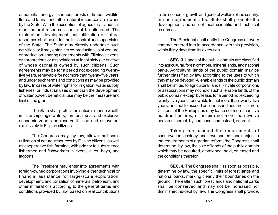of potential energy, fisheries, forests or timber, wildlife, flora and fauna, and other natural resources are owned by the State. With the exception of agricultural lands, all other natural resources shall not be alienated. The exploration, development, and utilization of natural resources shall be under the full control and supervision of the State. The State may directly undertake such activities, or it may enter into co-production, joint venture, or production-sharing agreements with Filipino citizens, or corporations or associations at least sixty *per centum* of whose capital is owned by such citizens. Such agreements may be for a period not exceeding twentyfive years, renewable for not more than twenty-five years, and under such terms and conditions as may be provided by law. In cases of water rights for irrigation, water supply, fisheries, or industrial uses other than the development of water power, beneficial use may be the measure and limit of the grant.

The State shall protect the nation's marine wealth in its archipelagic waters, territorial sea, and exclusive economic zone, and reserve its use and enjoyment exclusively to Filipino citizens.

The Congress may, by law, allow small-scale utilization of natural resources by Filipino citizens, as well as cooperative fish farming, with priority to subsistence fishermen and fishworkers in rivers, lakes, bays, and lagoons.

The President may enter into agreements with foreign-owned corporations involving either technical or financial assistance for large-scale exploration, development, and utilization of minerals, petroleum, and other mineral oils according to the general terms and conditions provided by law, based on real contributions

to the economic growth and general welfare of the country. In such agreements, the State shall promote the development and use of local scientific and technical resources.

The President shall notify the Congress of every contract entered into in accordance with this provision, within thirty days from its execution.

**SEC. 3**. Lands of the public domain are classified into agricultural, forest or timber, mineral lands, and national parks. Agricultural lands of the public domain may be further classified by law according to the uses to which they may be devoted. Alienable lands of the public domain shall be limited to agricultural lands. Private corporations or associations may not hold such alienable lands of the public domain except by lease, for a period not exceeding twenty-five years, renewable for not more than twenty-five years, and not to exceed one thousand hectares in area. Citizens of the Philippines may lease not more than five hundred hectares, or acquire not more than twelve hectares thereof, by purchase, homestead, or grant.

Taking into account the requirements of conservation, ecology, and development, and subject to the requirements of agrarian reform, the Congress shall determine, by law, the size of lands of the public domain which may be acquired, developed, held, or leased and the conditions therefor.

**SEC. 4**. The Congress shall, as soon as possible, determine by law, the specific limits of forest lands and national parks, marking clearly their boundaries on the ground. Thereafter, such forest lands and national parks shall be conserved and may not be increased nor diminished, except by law. The Congress shall provide,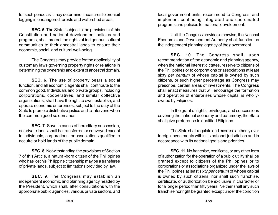for such period as it may determine, measures to prohibit logging in endangered forests and watershed areas.

**SEC. 5.** The State, subject to the provisions of this Constitution and national development policies and programs, shall protect the rights of indigenous cultural communities to their ancestral lands to ensure their economic, social, and cultural well-being.

The Congress may provide for the applicability of customary laws governing property rights or relations in determining the ownership and extent of ancestral domain.

**SEC. 6**. The use of property bears a social function, and all economic agents shall contribute to the common good. Individuals and private groups, including corporations, cooperatives, and similar collective organizations, shall have the right to own, establish, and operate economic enterprises, subject to the duty of the State to promote distributive justice and to intervene when the common good so demands.

**SEC. 7**. Save in cases of hereditary succession, no private lands shall be transferred or conveyed except to individuals, corporations, or associations qualified to acquire or hold lands of the public domain.

**SEC. 8**. Notwithstanding the provisions of Section 7 of this Article, a natural-born citizen of the Philippines who has lost his Philippine citizenship may be a transferee of private lands, subject to limitations provided by law.

**SEC. 9**. The Congress may establish an independent economic and planning agency headed by the President, which shall, after consultations with the appropriate public agencies, various private sectors, and

local government units, recommend to Congress, and implement continuing integrated and coordinated programs and policies for national development.

Until the Congress provides otherwise, the National Economic and Development Authority shall function as the independent planning agency of the government.

**SEC. 10**. The Congress shall, upon recommendation of the economic and planning agency, when the national interest dictates, reserve to citizens of the Philippines or to corporations or associations at least sixty *per centum* of whose capital is owned by such citizens, or such higher percentage as Congress may prescribe, certain areas of investments. The Congress shall enact measures that will encourage the formation and operation of enterprises whose capital is whollyowned by Filipinos.

In the grant of rights, privileges, and concessions covering the national economy and patrimony, the State shall give preference to qualified Filipinos.

The State shall regulate and exercise authority over foreign investments within its national jurisdiction and in accordance with its national goals and priorities.

**SEC. 11**. No franchise, certificate, or any other form of authorization for the operation of a public utility shall be granted except to citizens of the Philippines or to corporations or associations organized under the laws of the Philippines at least sixty *per centum* of whose capital is owned by such citizens, nor shall such franchise, certificate, or authorization be exclusive in character or for a longer period than fifty years. Neither shall any such franchise nor right be granted except under the condition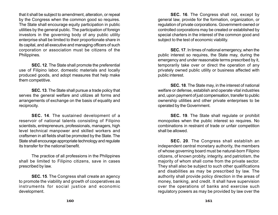that it shall be subject to amendment, alteration, or repeal by the Congress when the common good so requires. The State shall encourage equity participation in public utilities by the general public. The participation of foreign investors in the governing body of any public utility enterprise shall be limited to their proportionate share in its capital, and all executive and managing officers of such corporation or association must be citizens of the Philippines.

**SEC. 12**. The State shall promote the preferential use of Filipino labor, domestic materials and locally produced goods, and adopt measures that help make them competitive.

**SEC. 13**. The State shall pursue a trade policy that serves the general welfare and utilizes all forms and arrangements of exchange on the basis of equality and reciprocity.

**SEC. 14**. The sustained development of a reservoir of national talents consisting of Filipino scientists, entrepreneurs, professionals, managers, high level technical manpower and skilled workers and craftsmen in all fields shall be promoted by the State. The State shall encourage appropriate technology and regulate its transfer for the national benefit.

The practice of all professions in the Philippines shall be limited to Filipino citizens, save in cases prescribed by law.

**SEC. 15**. The Congress shall create an agency to promote the viability and growth of cooperatives as instruments for social justice and economic development.

**SEC. 16**. The Congress shall not, except by general law, provide for the formation, organization, or regulation of private corporations. Government-owned or controlled corporations may be created or established by special charters in the interest of the common good and subject to the test of economic viability.

**SEC. 17**. In times of national emergency, when the public interest so requires, the State may, during the emergency and under reasonable terms prescribed by it, temporarily take over or direct the operation of any privately owned public utility or business affected with public interest.

**SEC. 18**. The State may, in the interest of national welfare or defense, establish and operate vital industries and, upon payment of just compensation, transfer to public ownership utilities and other private enterprises to be operated by the Government.

**SEC. 19**. The State shall regulate or prohibit monopolies when the public interest so requires. No combinations in restraint of trade or unfair competition shall be allowed.

**SEC. 20**. The Congress shall establish an independent central monetary authority, the members of whose governing board must be natural-born Filipino citizens, of known probity, integrity, and patriotism, the majority of whom shall come from the private sector. They shall also be subject to such other qualifications and disabilities as may be prescribed by law. The authority shall provide policy direction in the areas of money, banking, and credit. It shall have supervision over the operations of banks and exercise such regulatory powers as may be provided by law over the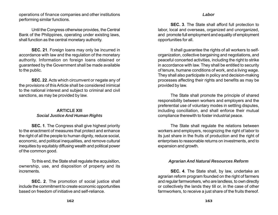operations of finance companies and other institutions performing similar functions.

Until the Congress otherwise provides, the Central Bank of the Philippines, operating under existing laws, shall function as the central monetary authority.

**SEC. 21**. Foreign loans may only be incurred in accordance with law and the regulation of the monetary authority. Information on foreign loans obtained or guaranteed by the Government shall be made available to the public.

**SEC. 22**. Acts which circumvent or negate any of the provisions of this Article shall be considered inimical to the national interest and subject to criminal and civil sanctions, as may be provided by law.

## **ARTICLE XIII** *Social Justice And Human Rights*

**SEC. 1**. The Congress shall give highest priority to the enactment of measures that protect and enhance the right of all the people to human dignity, reduce social, economic, and political inequalities, and remove cultural inequities by equitably diffusing wealth and political power of the common good.

To this end, the State shall regulate the acquisition, ownership, use, and disposition of property and its increments.

**SEC. 2.** The promotion of social justice shall include the commitment to create economic opportunities based on freedom of initiative and self-reliance.

### *Labor*

**SEC. 3**. The State shall afford full protection to labor, local and overseas, organized and unorganized, and promote full employment and equality of employment opportunities for all.

It shall guarantee the rights of all workers to selforganization, collective bargaining and negotiations, and peaceful concerted activities, including the right to strike in accordance with law. They shall be entitled to security of tenure, humane conditions of work, and a living wage. They shall also participate in policy and decision-making processes affecting their rights and benefits as may be provided by law.

The State shall promote the principle of shared responsibility between workers and employers and the preferential use of voluntary modes in settling disputes, including conciliation, and shall enforce their mutual compliance therewith to foster industrial peace.

The State shall regulate the relations between workers and employers, recognizing the right of labor to its just share in the fruits of production and the right of enterprises to reasonable returns on investments, and to expansion and growth.

# *Agrarian And Natural Resources Reform*

**SEC. 4**. The State shall, by law, undertake an agrarian reform program founded on the right of farmers and regular farmworkers, who are landless, to own directly or collectively the lands they till or, in the case of other farmworkers, to receive a just share of the fruits thereof.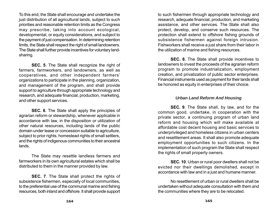To this end, the State shall encourage and undertake the just distribution of all agricultural lands, subject to such priorities and reasonable retention limits as the Congress may prescribe, taking into account ecological, developmental, or equity considerations, and subject to the payment of just compensation. In determining retention limits, the State shall respect the right of small landowners. The State shall further provide incentives for voluntary landsharing.

**SEC. 5.** The State shall recognize the right of farmers, farmworkers, and landowners, as well as cooperatives, and other independent farmers' organizations to participate in the planning, organization, and management of the program, and shall provide support to agriculture through appropriate technology and research, and adequate financial, production, marketing, and other support services.

**SEC. 6.** The State shall apply the principles of agrarian reform or stewardship, whenever applicable in accordance with law, in the disposition or utilization of other natural resources, including lands of the public domain under lease or concession suitable to agriculture, subject to prior rights, homestead rights of small settlers, and the rights of indigenous communities to their ancestral lands.

The State may resettle landless farmers and farmworkers in its own agricultural estates which shall be distributed to them in the manner provided by law.

**SEC. 7.** The State shall protect the rights of subsistence fishermen, especially of local communities, to the preferential use of the communal marine and fishing resources, both inland and offshore. It shall provide support to such fishermen through appropriate technology and research, adequate financial, production, and marketing assistance, and other services. The State shall also protect, develop, and conserve such resources. The protection shall extend to offshore fishing grounds of subsistence fishermen against foreign intrusion. Fishworkers shall receive a just share from their labor in the utilization of marine and fishing resources.

**SEC. 8.** The State shall provide incentives to landowners to invest the proceeds of the agrarian reform program to promote industrialization, employment creation, and privatization of public sector enterprises. Financial instruments used as payment for their lands shall be honored as equity in enterprises of their choice.

## *Urban Land Reform And Housing*

**SEC. 9**. The State shall, by law, and for the common good, undertake, in cooperation with the private sector, a continuing program of urban land reform and housing which will make available at affordable cost decent housing and basic services to underprivileged and homeless citizens in urban centers and resettlement areas. It shall also promote adequate employment opportunities to such citizens. In the implementation of such program the State shall respect the rights of small property owners.

**SEC. 10**. Urban or rural poor dwellers shall not be evicted nor their dwellings demolished, except in accordance with law and in a just and humane manner.

No resettlement of urban or rural dwellers shall be undertaken without adequate consultation with them and the communities where they are to be relocated.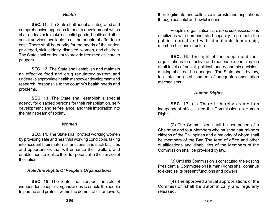## *Health*

**SEC. 11**. The State shall adopt an integrated and comprehensive approach to health development which shall endeavor to make essential goods, health and other social services available to all the people at affordable cost. There shall be priority for the needs of the underprivileged, sick, elderly, disabled, women, and children. The State shall endeavor to provide free medical care to paupers.

**SEC. 12**. The State shall establish and maintain an effective food and drug regulatory system and undertake appropriate health manpower development and research, responsive to the country's health needs and problems.

**SEC. 13**. The State shall establish a special agency for disabled persons for their rehabilitation, selfdevelopment and self-reliance, and their integration into the mainstream of society.

## *Women*

**SEC. 14.** The State shall protect working women by providing safe and healthful working conditions, taking into account their maternal functions, and such facilities and opportunities that will enhance their welfare and enable them to realize their full potential in the service of the nation.

# *Role And Rights Of People's Organizations*

**SEC. 15**. The State shall respect the role of independent people's organizations to enable the people to pursue and protect, within the democratic framework,

their legitimate and collective interests and aspirations through peaceful and lawful means.

People's organizations are *bona fide* associations of citizens with demonstrated capacity to promote the public interest and with identifiable leadership, membership, and structure.

**SEC. 16**. The right of the people and their organizations to effective and reasonable participation at all levels of social, political, and economic decisionmaking shall not be abridged. The State shall, by law, facilitate the establishment of adequate consultation mechanisms.

# *Human Rights*

**SEC. 17.** (1) There is hereby created an independent office called the Commission on Human Rights.

(2) The Commission shall be composed of a Chairman and four Members who must be natural-born citizens of the Philippines and a majority of whom shall be members of the Bar. The term of office and other qualifications and disabilities of the Members of the Commission shall be provided by law.

(3) Until this Commission is constituted, the existing Presidential Committee on Human Rights shall continue to exercise its present functions and powers.

(4) The approved annual appropriations of the Commission shall be automatically and regularly released.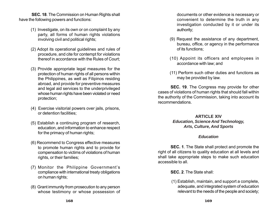**SEC. 18**. The Commission on Human Rights shall have the following powers and functions:

- (1) Investigate, on its own or on complaint by any party, all forms of human rights violations involving civil and political rights;
- (2) Adopt its operational guidelines and rules of procedure, and cite for contempt for violations thereof in accordance with the Rules of Court;
- (3) Provide appropriate legal measures for the protection of human rights of all persons within the Philippines, as well as Filipinos residing abroad, and provide for preventive measures and legal aid services to the underprivileged whose human rights have been violated or need protection;
- (4) Exercise visitorial powers over jails, prisons, or detention facilities;
- (5) Establish a continuing program of research, education, and information to enhance respect for the primacy of human rights;
- (6) Recommend to Congress effective measures to promote human rights and to provide for compensation to victims of violations of human rights, or their families;
- (7) Monitor the Philippine Government's compliance with international treaty obligations on human rights;
- (8) Grant immunity from prosecution to any person whose testimony or whose possession of

documents or other evidence is necessary or convenient to determine the truth in any investigation conducted by it or under its authority;

- (9) Request the assistance of any department, bureau, office, or agency in the performance of its functions;
- (10) Appoint its officers and employees in accordance with law; and
- (11) Perform such other duties and functions as may be provided by law.

**SEC. 19**. The Congress may provide for other cases of violations of human rights that should fall within the authority of the Commission, taking into account its recommendations.

# **ARTICLE XIV** *Education, Science And Technology, Arts, Culture, And Sports*

# *Education*

**SEC. 1**. The State shall protect and promote the right of all citizens to quality education at all levels and shall take appropriate steps to make such education accessible to all.

**SEC. 2**. The State shall:

(1) Establish, maintain, and support a complete, adequate, and integrated system of education relevant to the needs of the people and society;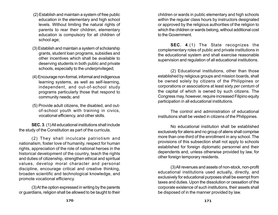- (2) Establish and maintain a system of free public education in the elementary and high school levels. Without limiting the natural rights of parents to rear their children, elementary education is compulsory for all children of school age;
- (3) Establish and maintain a system of scholarship grants, student loan programs, subsidies and other incentives which shall be available to deserving students in both public and private schools, especially to the underprivileged;
- (4) Encourage non-formal, informal and indigenous learning systems, as well as self-learning, independent, and out-of-school study programs particularly those that respond to community needs; and
- (5) Provide adult citizens, the disabled, and outof-school youth with training in civics, vocational efficiency, and other skills.

**SEC. 3**. (1) All educational institutions shall include the study of the Constitution as part of the curricula.

(2) They shall inculcate patriotism and nationalism, foster love of humanity, respect for human rights, appreciation of the role of national heroes in the historical development of the country, teach the rights and duties of citizenship, strengthen ethical and spiritual values, develop moral character and personal discipline, encourage critical and creative thinking, broaden scientific and technological knowledge, and promote vocational efficiency.

(3) At the option expressed in writing by the parents or guardians, religion shall be allowed to be taught to their

children or wards in public elementary and high schools within the regular class hours by instructors designated or approved by the religious authorities of the religion to which the children or wards belong, without additional cost to the Government.

**SEC. 4.(1)** The State recognizes the complementary roles of public and private institutions in the educational system and shall exercise reasonable supervision and regulation of all educational institutions.

(2) Educational institutions, other than those established by religious groups and mission boards, shall be owned solely by citizens of the Philippines or corporations or associations at least sixty *per centum* of the capital of which is owned by such citizens. The Congress may, however, require increased Filipino equity participation in all educational institutions.

The control and administration of educational institutions shall be vested in citizens of the Philippines.

No educational institution shall be established exclusively for aliens and no group of aliens shall comprise more than one-third of the enrollment in any school. The provisions of this subsection shall not apply to schools established for foreign diplomatic personnel and their dependents and, unless otherwise provided by law, for other foreign temporary residents.

(3) All revenues and assets of non-stock, non-profit educational institutions used actually, directly, and exclusively for educational purposes shall be exempt from taxes and duties. Upon the dissolution or cessation of the corporate existence of such institutions, their assets shall be disposed of in the manner provided by law.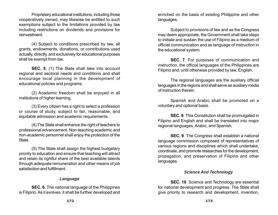Proprietary educational institutions, including those cooperatively owned, may likewise be entitled to such exemptions subject to the limitations provided by law including restrictions on dividends and provisions for reinvestment.

(4) Subject to conditions prescribed by law, all grants, endowments, donations, or contributions used actually, directly, and exclusively for educational purposes shall be exempt from tax.

**SEC. 5.** (1) The State shall take into account regional and sectoral needs and conditions and shall encourage local planning in the development of educational policies and programs.

(2) Academic freedom shall be enjoyed in all institutions of higher learning.

(3) Every citizen has a right to select a profession or course of study, subject to fair, reasonable, and equitable admission and academic requirements.

(4) The State shall enhance the right of teachers to professional advancement. Non-teaching academic and non-academic personnel shall enjoy the protection of the State.

(5) The State shall assign the highest budgetary priority to education and ensure that teaching will attract and retain its rightful share of the best available talents through adequate remuneration and other means of job satisfaction and fulfillment.

# *Language*

**SEC. 6**. The national language of the Philippines is Filipino. As it evolves, it shall be further developed and

enriched on the basis of existing Philippine and other languages.

Subject to provisions of law and as the Congress may deem appropriate, the Government shall take steps to initiate and sustain the use of Filipino as a medium of official communication and as language of instruction in the educational system.

**SEC. 7.** For purposes of communication and instruction, the official languages of the Philippines are Filipino and, until otherwise provided by law, English.

The regional languages are the auxiliary official languages in the regions and shall serve as auxiliary media of instruction therein.

Spanish and Arabic shall be promoted on a voluntary and optional basis.

**SEC. 8**. This Constitution shall be promulgated in Filipino and English and shall be translated into major regional languages, Arabic, and Spanish.

**SEC. 9**. The Congress shall establish a national language commission composed of representatives of various regions and disciplines which shall undertake, coordinate, and promote researches for the development, propagation, and preservation of Filipino and other languages.

# *Science And Technology*

**SEC. 10**. Science and Technology are essential for national development and progress. The State shall give priority to research and development, invention,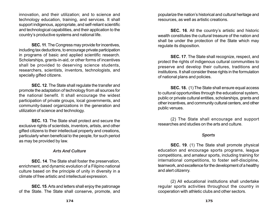innovation, and their utilization; and to science and technology education, training, and services. It shall support indigenous, appropriate, and self-reliant scientific and technological capabilities, and their application to the country's productive systems and national life.

**SEC. 11**. The Congress may provide for incentives, including tax deductions, to encourage private participation in programs of basic and applied scientific research. Scholarships, grants-in-aid, or other forms of incentives shall be provided to deserving science students, researchers, scientists, inventors, technologists, and specially gifted citizens.

**SEC. 12**. The State shall regulate the transfer and promote the adaptation of technology from all sources for the national benefit. It shall encourage the widest participation of private groups, local governments, and community-based organizations in the generation and utilization of science and technology.

**SEC. 13**. The State shall protect and secure the exclusive rights of scientists, inventors, artists, and other gifted citizens to their intellectual property and creations, particularly when beneficial to the people, for such period as may be provided by law.

# *Arts And Culture*

**SEC. 14**. The State shall foster the preservation, enrichment, and dynamic evolution of a Filipino national culture based on the principle of unity in diversity in a climate of free artistic and intellectual expression.

**SEC. 15**. Arts and letters shall enjoy the patronage of the State. The State shall conserve, promote, and

popularize the nation's historical and cultural heritage and resources, as well as artistic creations.

**SEC. 16**. All the country's artistic and historic wealth constitutes the cultural treasure of the nation and shall be under the protection of the State which may regulate its disposition.

**SEC. 17**. The State shall recognize, respect, and protect the rights of indigenous cultural communities to preserve and develop their cultures, traditions and institutions. It shall consider these rights in the formulation of national plans and policies.

**SEC. 18.** (1) The State shall ensure equal access to cultural opportunities through the educational system, public or private cultural entities, scholarships, grants and other incentives, and community cultural centers, and other public venues.

(2) The State shall encourage and support researches and studies on the arts and culture.

### *Sports*

**SEC. 19.** (1) The State shall promote physical education and encourage sports programs, league competitions, and amateur sports, including training for international competitions, to foster self-discipline, teamwork, and excellence for the development of a healthy and alert citizenry.

(2) All educational institutions shall undertake regular sports activities throughout the country in cooperation with athletic clubs and other sectors.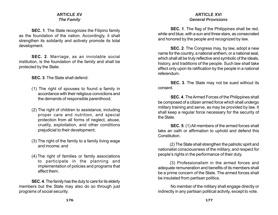# **ARTICLE XV** *The Family*

**SEC. 1**. The State recognizes the Filipino family as the foundation of the nation. Accordingly, it shall strengthen its solidarity and actively promote its total development.

**SEC. 2**. Marriage, as an inviolable social institution, is the foundation of the family and shall be protected by the State.

**SEC. 3**. The State shall defend:

- (1) The right of spouses to found a family in accordance with their religious convictions and the demands of responsible parenthood;
- (2) The right of children to assistance, including proper care and nutrition, and special protection from all forms of neglect, abuse, cruelty, exploitation, and other conditions prejudicial to their development;
- (3) The right of the family to a family living wage and income; and
- (4) The right of families or family associations to participate in the planning and implementation of policies and programs that affect them.

**SEC. 4**. The family has the duty to care for its elderly members but the State may also do so through just programs of social security.

## **ARTICLE XVI** *General Provisions*

**SEC. 1**. The flag of the Philippines shall be red, white and blue, with a sun and three stars, as consecrated and honored by the people and recognized by law.

**SEC. 2**. The Congress may, by law, adopt a new name for the country, a national anthem, or a national seal, which shall all be truly reflective and symbolic of the ideals, history, and traditions of the people. Such law shall take effect only upon its ratification by the people in a national referendum.

**SEC. 3**. The State may not be sued without its consent.

**SEC. 4.** The Armed Forces of the Philippines shall be composed of a citizen armed force which shall undergo military training and serve, as may be provided by law. It shall keep a regular force necessary for the security of the State.

**SEC. 5**. (1) All members of the armed forces shall take an oath or affirmation to uphold and defend this **Constitution** 

(2) The State shall strengthen the patriotic spirit and nationalist consciousness of the military, and respect for people's rights in the performance of their duty.

(3) Professionalism in the armed forces and adequate remuneration and benefits of its members shall be a prime concern of the State. The armed forces shall be insulated from partisan politics.

No member of the military shall engage directly or indirectly in any partisan political activity, except to vote.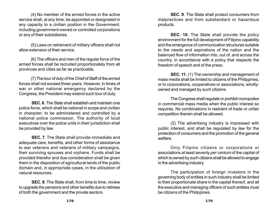(4) No member of the armed forces in the active service shall, at any time, be appointed or designated in any capacity to a civilian position in the Government, including government-owned or controlled corporations or any of their subsidiaries.

(5) Laws on retirement of military officers shall not allow extension of their service.

(6) The officers and men of the regular force of the armed forces shall be recruited proportionately from all provinces and cities as far as practicable.

(7) The tour of duty of the Chief of Staff of the armed forces shall not exceed three years. However, in times of war or other national emergency declared by the Congress, the President may extend such tour of duty.

**SEC. 6**. The State shall establish and maintain one police force, which shall be national in scope and civilian in character, to be administered and controlled by a national police commission. The authority of local executives over the police units in their jurisdiction shall be provided by law.

**SEC. 7**. The State shall provide immediate and adequate care, benefits, and other forms of assistance to war veterans and veterans of military campaigns, their surviving spouses and orphans. Funds shall be provided therefor and due consideration shall be given them in the disposition of agricultural lands of the public domain and, in appropriate cases, in the utilization of natural resources.

**SEC. 8**. The State shall, from time to time, review to upgrade the pensions and other benefits due to retirees of both the government and the private sectors.

**SEC. 9**. The State shall protect consumers from malpractices and from substandard or hazardous products.

**SEC. 10**. The State shall provide the policy environment for the full development of Filipino capability and the emergence of communication structures suitable to the needs and aspirations of the nation and the balanced flow of information into, out of, and across the country, in accordance with a policy that respects the freedom of speech and of the press.

**SEC. 11**. (1) The ownership and management of mass media shall be limited to citizens of the Philippines, or to corporations, cooperatives or associations, whollyowned and managed by such citizens.

The Congress shall regulate or prohibit monopolies in commercial mass media when the public interest so requires. No combinations in restraint of trade or unfair competition therein shall be allowed.

(2) The advertising industry is impressed with public interest, and shall be regulated by law for the protection of consumers and the promotion of the general welfare.

Only Filipino citizens or corporations or associations at least seventy *per centum* of the capital of which is owned by such citizens shall be allowed to engage in the advertising industry.

The participation of foreign investors in the governing body of entities in such industry shall be limited to their proportionate share in the capital thereof, and all the executive and managing officers of such entities must be citizens of the Philippines.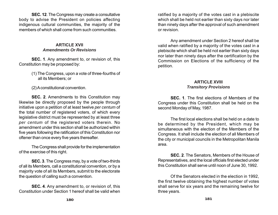**SEC. 12**. The Congress may create a consultative body to advise the President on policies affecting indigenous cultural communities, the majority of the members of which shall come from such communities.

## **ARTICLE XVII** *Amendments Or Revisions*

**SEC. 1**. Any amendment to, or revision of, this Constitution may be proposed by:

> (1) The Congress, upon a vote of three-fourths of all its Members; or

(2) A constitutional convention.

**SEC. 2**. Amendments to this Constitution may likewise be directly proposed by the people through initiative upon a petition of at least twelve *per centum* of the total number of registered voters, of which every legislative district must be represented by at least three *per centum* of the registered voters therein. No amendment under this section shall be authorized within five years following the ratification of this Constitution nor oftener than once every five years thereafter.

The Congress shall provide for the implementation of the exercise of this right.

**SEC. 3**. The Congress may, by a vote of two-thirds of all its Members, call a constitutional convention, or by a majority vote of all its Members, submit to the electorate the question of calling such a convention.

**SEC. 4**. Any amendment to, or revision of, this Constitution under Section 1 hereof shall be valid when ratified by a majority of the votes cast in a plebiscite which shall be held not earlier than sixty days nor later than ninety days after the approval of such amendment or revision.

Any amendment under Section 2 hereof shall be valid when ratified by a majority of the votes cast in a plebiscite which shall be held not earlier than sixty days nor later than ninety days after the certification by the Commission on Elections of the sufficiency of the petition.

# **ARTICLE XVIII** *Transitory Provisions*

**SEC. 1**. The first elections of Members of the Congress under this Constitution shall be held on the second Monday of May, 1987.

The first local elections shall be held on a date to be determined by the President, which may be simultaneous with the election of the Members of the Congress. It shall include the election of all Members of the city or municipal councils in the Metropolitan Manila area.

**SEC. 2**. The Senators, Members of the House of Representatives, and the local officials first elected under this Constitution shall serve until noon of June 30, 1992.

Of the Senators elected in the election in 1992, the first twelve obtaining the highest number of votes shall serve for six years and the remaining twelve for three years.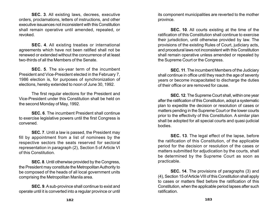**SEC. 3**. All existing laws, decrees, executive orders, proclamations, letters of instructions, and other executive issuances not inconsistent with this Constitution shall remain operative until amended, repealed, or revoked.

**SEC. 4**. All existing treaties or international agreements which have not been ratified shall not be renewed or extended without the concurrence of at least two-thirds of all the Members of the Senate.

**SEC. 5**. The six-year term of the incumbent President and Vice-President elected in the February 7, 1986 election is, for purposes of synchronization of elections, hereby extended to noon of June 30, 1992.

The first regular elections for the President and Vice-President under this Constitution shall be held on the second Monday of May, 1992.

**SEC. 6**. The incumbent President shall continue to exercise legislative powers until the first Congress is convened.

**SEC. 7**. Until a law is passed, the President may fill by appointment from a list of nominees by the respective sectors the seats reserved for sectoral representation in paragraph (2), Section 5 of Article VI of this Constitution.

**SEC. 8**. Until otherwise provided by the Congress, the President may constitute the Metropolitan Authority to be composed of the heads of all local government units comprising the Metropolitan Manila area.

**SEC. 9**. A sub-province shall continue to exist and operate until it is converted into a regular province or until its component municipalities are reverted to the mother province.

**SEC. 10.** All courts existing at the time of the ratification of this Constitution shall continue to exercise their jurisdiction, until otherwise provided by law. The provisions of the existing Rules of Court, judiciary acts, and procedural laws not inconsistent with this Constitution shall remain operative unless amended or repealed by the Supreme Court or the Congress.

**SEC. 11**. The incumbent Members of the Judiciary shall continue in office until they reach the age of seventy years or become incapacitated to discharge the duties of their office or are removed for cause.

**SEC. 12**. The Supreme Court shall, within one year after the ratification of this Constitution, adopt a systematic plan to expedite the decision or resolution of cases or matters pending in the Supreme Court or the lower courts prior to the effectivity of this Constitution. A similar plan shall be adopted for all special courts and quasi-judicial bodies.

**SEC. 13**. The legal effect of the lapse, before the ratification of this Constitution, of the applicable period for the decision or resolution of the cases or matters submitted for adjudication by the courts, shall be determined by the Supreme Court as soon as practicable.

**SEC. 14**. The provisions of paragraphs (3) and (4), Section 15 of Article VIII of this Constitution shall apply to cases or matters filed before the ratification of this Constitution, when the applicable period lapses after such ratification.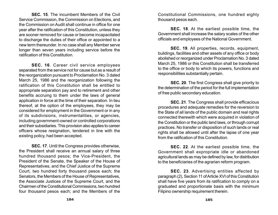**SEC. 15**. The incumbent Members of the Civil Service Commission, the Commission on Elections, and the Commission on Audit shall continue in office for one year after the ratification of this Constitution, unless they are sooner removed for cause or become incapacitated to discharge the duties of their office or appointed to a new term thereunder. In no case shall any Member serve longer than seven years including service before the ratification of this Constitution.

**SEC. 16**. Career civil service employees separated from the service not for cause but as a result of the reorganization pursuant to Proclamation No. 3 dated March 25, 1986 and the reorganization following the ratification of this Constitution shall be entitled to appropriate separation pay and to retirement and other benefits accruing to them under the laws of general application in force at the time of their separation. In lieu thereof, at the option of the employees, they may be considered for employment in the Government or in any of its subdivisions, instrumentalities, or agencies, including government-owned or controlled corporations and their subsidiaries. This provision also applies to career officers whose resignation, tendered in line with the existing policy, had been accepted.

**SEC. 17**. Until the Congress provides otherwise, the President shall receive an annual salary of three hundred thousand pesos; the Vice-President, the President of the Senate, the Speaker of the House of Representatives, and the Chief Justice of the Supreme Court, two hundred forty thousand pesos each; the Senators, the Members of the House of Representatives, the Associate Justices of the Supreme Court, and the Chairmen of the Constitutional Commissions, two hundred four thousand pesos each; and the Members of the

Constitutional Commissions, one hundred eighty thousand pesos each.

**SEC. 18**. At the earliest possible time, the Government shall increase the salary scales of the other officials and employees of the National Government.

**SEC. 19**. All properties, records, equipment, buildings, facilities and other assets of any office or body abolished or reorganized under Proclamation No. 3 dated March 25, 1986 or this Constitution shall be transferred to the office or body to which its powers, functions and responsibilities substantially pertain.

**SEC. 20**. The first Congress shall give priority to the determination of the period for the full implementation of free public secondary education.

**SEC. 21**. The Congress shall provide efficacious procedures and adequate remedies for the reversion to the State of all lands of the public domain and real rights connected therewith which were acquired in violation of the Constitution or the public land laws, or through corrupt practices. No transfer or disposition of such lands or real rights shall be allowed until after the lapse of one year from the ratification of this Constitution.

**SEC. 22**. At the earliest possible time, the Government shall expropriate idle or abandoned agricultural lands as may be defined by law, for distribution to the beneficiaries of the agrarian reform program.

**SEC. 23**. Advertising entities affected by paragraph (2), Section 11 of Article XVI of this Constitution shall have five years from its ratification to comply on a graduated and proportionate basis with the minimum Filipino ownership requirement therein.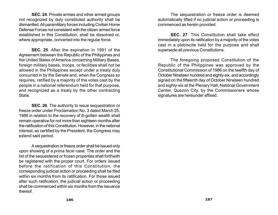**SEC. 24**. Private armies and other armed groups not recognized by duly constituted authority shall be dismantled. All paramilitary forces including Civilian Home Defense Forces not consistent with the citizen armed force established in this Constitution, shall be dissolved or, where appropriate, converted into the regular force.

**SEC. 25**. After the expiration in 1991 of the Agreement between the Republic of the Philippines and the United States of America concerning Military Bases, foreign military bases, troops, or facilities shall not be allowed in the Philippines except under a treaty duly concurred in by the Senate and, when the Congress so requires, ratified by a majority of the votes cast by the people in a national referendum held for that purpose, and recognized as a treaty by the other contracting State.

**SEC. 26**. The authority to issue sequestration or freeze order under Proclamation No. 3 dated March 25, 1986 in relation to the recovery of ill-gotten wealth shall remain operative for not more than eighteen months after the ratification of this Constitution. However, in the national interest, as certified by the President, the Congress may extend said period.

A sequestration or freeze order shall be issued only upon showing of a *prima facie* case. The order and the list of the sequestered or frozen properties shall forthwith be registered with the proper court. For orders issued before the ratification of this Constitution, the corresponding judicial action or proceeding shall be filed within six months from its ratification. For those issued after such ratification, the judicial action or proceeding shall be commenced within six months from the issuance thereof.

The sequestration or freeze order is deemed automatically lifted if no judicial action or proceeding is commenced as herein provided.

**SEC. 27**. This Constitution shall take effect immediately upon its ratification by a majority of the votes cast in a plebiscite held for the purpose and shall supersede all previous Constitutions.

The foregoing proposed Constitution of the Republic of the Philippines was approved by the Constitutional Commission of 1986 on the twelfth day of October Nineteen hundred and eighty-six, and accordingly signed on the fifteenth day of October Nineteen hundred and eighty-six at the Plenary Hall, National Government Center, Quezon City, by the Commissioners whose signatures are hereunder affixed.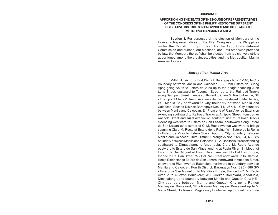#### **ORDINANCE**

#### **APPORTIONING THE SEATS OF THE HOUSE OF REPRESENTATIVES OF THE CONGRESS OF THE PHILIPPINES TO THE DIFFERENT LEGISLATIVE DISTRICTS IN PROVINCES AND CITIES AND THE METROPOLITAN MANILA AREA**

**Section 1.** For purposes of the election of Members of the House of Representatives of the First Congress of the Philippines under the Constitution proposed by the 1986 Constitutional Commission and subsequent elections, and until otherwise provided by law, the Members thereof shall be elected from legislative districts apportioned among the provinces, cities, and the Metropolitan Manila Area as follows:

#### *Metropolitan Manila Area*

MANILA, six (6) - First District: Barangays Nos. 1-146, N-City Boundary between Manila and Caloocan; E - From Estero de Sunog Apog going South to Estero de Vitas up to the bridge spanning Juan Luna Street, eastward to Tayuman Street up to the Railroad Tracks along Dagupan Street, thence southward to Claro M. Recto Avenue; SE - From point Claro M. Recto Avenue extending westward to Manila Bay; W - Manila Bay northward to City boundary between Manila and Caloocan. Second District: Barangays Nos. 147-267, N - City boundary between Manila and Caloocan; E - From end of Rizal Avenue Extension extending southward to Railroad Tracks at Antipolo Street; from corner Antipolo Street and Rizal Avenue on southern side of Railroad Tracks extending westward to Estero de San Lazaro, southward along Estero de San Lazaro up to corner of C. M. Recto Avenue westward to bridge spanning Claro M. Recto at Estero de la Reina; W - Estero de la Reina to Estero de Vitas to Estero Sunog Apog to City boundary between Manila and Caloocan; Third District: Barangays Nos. 268-394, N - City boundary between Manila and Caloocan; E - A. Bonifacio Street extending southward to Dimasalang, to Anda-lucia, Claro M. Recto Avenue eastward to Estero de San Miguel ending at Pasig River; S - Mouth of Estero de San Miguel at Pasig River, westward to Del Pan Bridge, thence to Del Pan Street; W - Del Pan Street northward up to Claro M. Recto Extension to Estero de San Lazaro, northward to Antipolo Street, eastward to Rizal Avenue Extension, northward to boundary between Manila and Caloocan; Fourth District: Barangays Nos. 395 - 586 SW - Estero de San Miguel up to Mendiola Bridge, thence to C. M. Recto Avenue to Quezon Boulevard; W - Quezon Boulevard, Andalucia, Dimasalang up to boundary between Manila and Quezon City; NE - City boundary between Manila and Quezon City up to Ramon Magsaysay Boulevard; SE - Ramon Magsaysay Boulevard up to V. Mapa Street; S - Ramon Magsaysay Boulevard up to point Estero de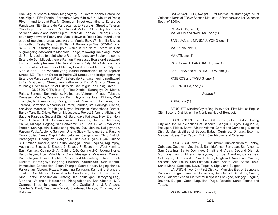San Miguel where Ramon Magsaysay Boulevard spans Estero de San Miguel; Fifth District: Barangays Nos. 649-828 N - Mouth of Pasig River inland to point Paz M. Guanzon Street extending to Estero de Pandacan; NE - Estero de Pandacan up to Pedro Gil Street to Tejeron Street up to boundary of Manila and Makati; SE - City boundary between Manila and Makati up to Estero de Tripa de Gallina; S - City boundary between Pasay and Manila down to Roxas Boulevard up to edge of reclaimed areas westward to Manila Bay; W - Manila Bay up to mouth of Pasig River, Sixth District: Barangays Nos. 587-648; and 829-905 N - Starting from point which is mouth of Estero de San Miguel going eastward to Mendiola Bridge, following line along Estero de San Miguel up to point where Ramon Magsaysay Boulevard spans Estero de San Miguel, thence Ramon Magsaysay Boulevard eastward to City boundary between Manila and Quezon Cityl; NE - City boundary up to point city boundary of Manila, San Juan and Quezon City; E - Manila-San Juan-Mandaluyong-Makati boundaries up to Tejeron Street; SE - Tejeron Street to Pedro Gil Street up to bridge spanning Estero de Pandacan; SW & W - Estero de Pandacan going northward to Paz M. Guanzon Street, then northward on Paz M. Guazon Street up to Pasig River to mouth of Estero de San Miguel on Pasig River.

QUEZON CITY, four (4) - First District : Barangays Del Monte, Paltok, Bungad, San Antonio, Katipunan, Veterans Village, Talayan, Damayan, Mariblo, Paraiso, Sta. Cruz, Nayong Kanluran, Philam, West Triangle, N.S. Amoranto, Paang Bundok, San Isidro Labrador, Sta. Teresita, Salvacion, Maharlika, St. Peter, Lourdes, Sto. Domingo, Sienna, San Jose, Manresa, Pag-ibig sa Nayon, Balingasa, Masambong, Damar, Bahay Toro, St. Cristo, Ramon Magsaysay, Project 6, Vasra, Alicia, and Bagong Pag-asa; Second District: Barangays Fairview, New Era, Holy Spirit, Batasan Hills, Commonwealth, Payatas, Bagong Silangan, Sauyo, Talipapa, Bagbag, San Bartolome, Sta. Lucia, Gulod, Novaliches Proper, San Agustin, Nagkaisang Nayon, Sta. Monica, Kaligayahan, Pasong Putik, Apolonio Samson, Unang Sigaw, Tandang Sora, Pasong Tamo, Culiat, Baesa, Capri, Balumbato, and Sangandaan: Third District: Barangays E. Rodriguez, Silangan, Quirino 3-A, Duyan-Duyan, Quirino 3-B, Amihan, Socorro, San Roque, Mangga, Zobel Dioquino, Tagumpay, Aguinaldo, Escopa 1, Escopa 2, Escopa 3, Escopa 4, West Kamias, East Kamias, Quirino 2- A, Quirino 2-B, Quirino 2-C, Ugong Norte, Bagumbayan, Libis, Villa Maria Clara, Masagana, Milagrosa, Marilag, Bagumbayan, Loyola Heights, Pansol, and Matandang Balara; Fourth District: Barangays Bagong Lipunan, Kaunlaran, San Martin, Immaculate Concepcion, South Triangle, Sacred Heart, Laging Handa, Paligsahan, Obrero, Roxas, Kamuning Kanluran, Kamuning Silangan, Tatalon, Don Manuel, Dona Josefa, San Isidro, Dona Aurora, Santo Nino, Santol, Dona Imelda, Kristong Hari, Kalusugan, Damayang Lagi, Mariana, Valencia, Horseshoe, Pinagkaisahan, San Vicente, U.P. Campus, Krus Na Ligas, Central, Old Capitol Site, U.P. Village, Teacher's East, Teacher's West, Sikatuna, Malaya, Pinahan, and Botocan.

CALOOCAN CITY, two (2) - First District : 70 Barangays; All of Caloocan North of EDSA; Second District: 118 Barangays; All of Caloocan South of EDSA.

> PASAY CITY, one (1) MALABON and NAVOTAS, one (1)

SAN JUAN and MANDALUYONG, one (1)

MARIKINA, one (1)

MAKATI, one (1)

PASIG, one (1) PARANAQUE, one (1)

LAS PINAS and MUNTINGLUPA, one (1)

PATEROS and TAGUIG, one (1)

VALENZUELA, one (1)

### *Region I*

### ABRA, one (1)

BENGUET, with the City of Baguio, two (2) - First District: Baguio City; Second District: all the Municipalities of Benguet.

ILOCOS NORTE, with Laog City, two (2) - First District: Laoag City and the Municipalities of Bacarra, Bangui, Burgos, Pagudpud, Pasuquin, Piddig, Sarrat, Vintar, Adams, Carasi and Dumalneg; Second District: Municipalities of Badoc, Batac, Currimao, Dingras, Espiritu, Marcos, Nueva Era, Paoay, Pinili, San Nicolas and Solsona.

ILOCOS SUR, two (2) - First District: Municipalities of Bantay, Cabugao, Caoayan, Magsingal, San Ildefonso, San Juan, San Vicente, San Catalina, Santo Domingo, Sinait and Vigan; Second District: Municipalities of Alilem, Banayoyo, Burgos, Candon, Cervantes, Galimuyod, Gregorio del Pilar, Lidlidda, Nagbukel, Narvacan, Quirino, Salcedo, San Emilio, San Esteban, Santa, Santa Cruz, Santa Lucia, Santa Maria, Santiago, Suyo, Tagudin, Sigay and Sugpon.

LA UNION, two (2) - First District : Municipalities of Bacnotan, Balaoan, Bangar, Luna, San Fernando, San Gabriel, San Juan, Santol, and Sudipen; Second District: Municipalities of Agoo, Aringay, Bagulin, Bauang, Burgos, Caba, Naguilian, Pugo, Rosario, Santo Tomas and Tubao.

MOUNTAIN PROVINCE, one (1)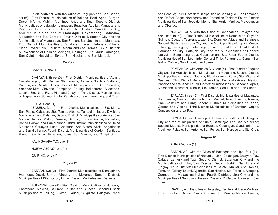PANGASINAN, with the Cities of Dagupan and San Carlos, six (6) - First District: Municipalities of Bolinao, Bani, Agno, Burgos, Dasol, Infanta, Mabini, Alaminos, Anda and Sual; Second District: Municipalities of Labrador, Lingayen, Bugallon, Aguilar, Mangatarem, Binmaley, Urbiztondo and Basista; Third District: San Carlos City, and the Municipalities of Malasiqui, Bayambang, Calasiao, Mapandan and Sta. Barbara; Fourth District: Dagupan City and the Municipalities of Mangaldan, San Fabian, San Jacinto and Manaoag; Fifth District: Municipalities of Binalonan, Laoac, Urdaneta, Villasis, Sison, Pozorrubio, Bautista, Alcala and Sto. Tomas; Sixth District: Municipalities of Rosales, Asingan, Balungao, Sta. Maria, Umingan, San Quintin, Natividad, Tayug, San Nicolas and San Manuel.

#### *Region II*

#### BATANES, one (1)

CAGAYAN, three (3) - First District: Municipalities of Aparri, Camalaniugan, Lallo, Buguey, Sta. Teresita, Gonzaga, Sta. Ana, Gattaran, Baggao, and Alcala; Second District: Municipalities of Sta. Praxedes, Sanchez Mira, Claveria, Pamplona, Abulug, Ballesteros, Allacapan, Lasam, Sto. Nino, Rizal, Piat, and Calayan; Third District: Municipalities of Tuguegarao, Solana, Enrile, Penablanca, Iguig, Amulung, and Tuao.

### IFUGAO, one (1)

ISABELA, four (4) - First District: Municipalities of Sta. Maria, San Pablo, Cabagan, Sto. Tomas, Albano, Tumauini, Ilagan, Divilican, Maconacon, and Palanan; Second District: Municipalities of Aurora, San Manuel, Roxas, Mallig, Quezon, Quirino, Burgos, Gamu, Naguilian, Benito Soliven and San Mariano; Third District: Municipalities of Reina Mercedes, Cauayan, Luna, Cabatuan, San Mateo, Alicia, Angadanan and San Guillermo; Fourth District: Municipalities of Cordon, Santiago, Ramon, San Isidro, Echague, Jones, San Agustin, and Dinapigui.

KALINGA-APAYAO, one (1)

NUEVA VIZCAYA, one (1)

QUIRINO, one (1)

### *Region III*

BATAAN, two (2) - First District: Municipalities of Dinalupihan, Hermosa, Orani, Samal, Abucay and Morong; Second District: Municipalities of Pilar, Orion, Limay, Bagac, Mariveles and Balanga.

BULACAN, four (4) - First District : Municipalities of Hagonoy, Paombong, Malolos, Calumpit, Pulilan and Bulacan; Second Distict: Municipalities of Baliuag, Bustos, Plaridel, Guiguinto, Balagtas, Pandi and Bocaue; Third District: Municipalities of San Miguel, San Ildefonso, San Rafael, Angat, Norzagaray and Remedios Trinidad; Fourth District: Municipalities of San Jose del Monte, Sta. Maria, Marilao, Meycauayan and Obando.

NUEVA ECIJA, with the Cities of Cabanatuan, Palayan and San Jose, four (4) - First District: Municipalities of Nampicuan, Cuyapo, Guimba, Quezon, Talavera, Licab, Sto. Domingo, Aliaga and Zaragoza; Second District: San Jose City and the Municipalities of Lupao, Munoz, Talugtog, Caranglan, Pantabangan, Llanera, and Rizal; Third District: Cabanatuan City; Palayan City, and the Municipalities of General Natividad, Bongabong, Laur, Gabaldon and Sta. Rosa; Fourth District: Municipalities of San Leonardo, General Tinio, Penaranda, Gapan, San Isidro, Cabiao, San Antonio, and Jaen.

PAMPANGA, with Angeles City, four (4) - First District : Angeles City and the Municipalities of Mabalacat and Magalang; Second District: Municipalities of Lubao, Guagua, Floridablanca, Porac, Sta. Rita, and Sasmuan; Third District: Municipalities of San Fernando, Arayat, Mexico, Bacolor and Sta. Ana; Fourth District: Municipalities of Candaba, Apalit, Macabebe, Masantol, Minalin, Sto. Tomas, San Luis and San Simon.

TARLAC, three (3) - First District: Municipalities of Mayantoc, Sta. Ignacia, Camiling, Moncada, San Manuel, Anao, Paniqui, Ramos, San Clemente and Pura; Second District: Municipalities of Tarlac, Gerona and Victoria; Third District: Municipalities of Bamban, Capas, Concepcion and La Paz.

ZAMBALES, with Olongapo City, two (2) - First District: Olongapo City and the Municipalities of Subic, Castillejos and San Marcelino; Second District: Municipalities of Botolan, Cabangan, Candelaria, Iba, Masinloc, Palauig, San Antonio, San Felipe, San Narciso and Sta. Cruz.

### *Region IV*

### AURORA, one (1)

BATANGAS, with the Cities of Batangas and Lipa, four (4) - First District: Municipalities of Nasugbu, Lian, Calatagan, Balayan, Tuy, Calaca, Lemery and Taal; Second District: Batangas City and the Municipalities of Lobo, San Pascual, Bauan, Mabini, San Luis and Tingloy; Third District: Municipalities of Balete, Malvar, Sto. Tomas, Tanauan, Talisay, Laurel, Agoncillo, San Nicolas, Sta. Teresita, Alitagtag, Cuenca and Mataas na Kahoy; Fourth District : Lipa City and the Municipalities of San Juan, Taysan, Rosario, P. Garcia, Ibaan and San Jose.

CAVITE, with the Cities of Tagaytay, Cavite and Trece Martires, three (3) - First District: Cavite City and the Municipalities of Bacoor,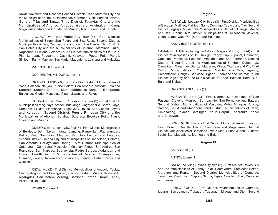Kawit, Noveleta and Rosario; Second District: Trece Martires City and the Municipalities of Imus, Dasmarinas, Carmona, Gen. Mariano Alvarez, General Trias and Tanza; Third District: Tagaytay City and the Municipalities of Alfonso, Amadeo, General Aguinaldo, Indang, Magallanes, Maragondon, Mendez-Nunez, Naic, Silang and Ternate.

LAGUNA, with San Pablo City, four (4) - First District: Municipalities of Binan, San Pedro and Sta. Rosa; Second District: Municipalities of Bay, Cabuyao, Calamba and Los Banos; Third District: San Pablo City and the Municipalities of Calauan, Alaminos, Rizal, Nagcarlan, Liliw and Victoria: Fourth District: Municipalities of Sta. Cruz, Pila, Lumban, Pagsanjan, Cavinti, Kalayaan, Paete, Pakil, Pangil, Siniloan, Famy, Mabitac, Sta. Maria, Magdalena, Luisiana and Majayjay.

MARINDUQUE, one (1)

OCCIDENTAL MINDORO, one (1)

ORIENTAL MINDORO, two (2) - First District: Municipalities of Baco, Calapan, Naujan, Puerto Galera, San Teodoro, Victoria, Pola and Socorro; Second District: Municipalities of Bansud, Bongabon, Bulalakao, Gloria, Mansalay, Pinamalayan, and Roxas.

PALAWAN, with Puerto Princesa City, two (2) - First District: Municipalities of Agutaya, Araceli, Busuanga, Cagayancillo, Coron, Cuyo, Dumaran, El Nido, Linapacan, Magsaysay, Roxas, San Vicente, Taytay and Kalayaan; Second District: Puerto Princesa City and the Municipalities of Aborlan, Balabac, Batarasa, Brooke's Point, Narra, Quezon and Marcos.

QUEZON, with Lucena City, four (4) - First District: Municipalities of Burdeos, Gen. Nakar, Infanta, Jumalig, Panukulan, Patnanungan, Polilio, Real, Sampaloc, Mauban, Pagbilao, Lucban and Tayabas; Second District: Lucena City and Municipalities of Candelaria, Dolores, San Antonio, Sariaya and Tiaong; Third District: Municipalities of Catanauan, Gen. Luna, Macalelon, Mulanay, Pitogo, San Andres, San Francisco, San Narciso, Buenavista, Padre Burgos, Agdangan and Unisan; Fourth District: Municipalities of Calauag, Guinayangan, Gumaca, Lopez, Tagkawayan, Atimonan, Plaridel, Alabat, Perez and Quezon

RIZAL, two (2) - First District: Municipalities of Antipolo, Taytay, Cainta, Angono and Binangonan; Second District: Municipalities of E. Rodriguez, San Mateo, Morong, Cardona, Teresa, Baras, Tanay, Pililla,and Jala-Jala.

ROMBLON, one (1)

#### *Region V*

ALBAY, with Legazpi City, three (3) - First District: Municipalities of Bacacay, Malinao, Malilipot, Santo Domingo, Tabaco and Tiwi; Second District: Legazpi City and the Municipalities of Camalig, Daraga, Manito and Rapu-Rapu; Third District: Municipalities of Guinobatan, Jovellar, Libon, Ligao, Oas, Pio Duran and Polangui.

CAMARINES NORTE, one (1)

CAMARINES SUR, including the Cities of Naga and Iriga, four (4) - First District: Municipalities of Del Gallego, Ragay, Lupi, Sipocot, Libmanan, Cabusao, Pamplona, Pasacao, Minalabac and San Fernando, Second District : Naga City and the Municipalities of Bombon, Calabanga, Camaligan, Canaman, Gainza, Magarao, Milaor, Ocampo and Pili; Third District: Municipalities of Caramoan, Garchitorena, Goa, Lagonoy, Presentacion, Sangay, San Jose, Tigaon, Tinambac and Siruma; Fourth District: Iriga City and the Municipalities of Baao, Balatan, Bato, Buhi, Bula and Nabua.

### CATANDUANES, one (1)

MASBATE, three (3) - First District: Municipalities of San Pascual, Claveria, Monreal, San Jacinto, San Fernando and Batuan; Second District: Municipalities of Masbate, Mobo, Milagros, Aroroy, Baleno, Balud and Mandaon; Third District: Municipalities of Uson, Dimasalang, Palanas, Cataingan, Pio V. Corpuz, Esperanza, Placer and Cawayan.

SORSOGON, two (2) - First District: Municipalities of Sorsogon, Pilar, Donsol, Castilla, Bacon, Casiguran and Magallanes; Second District: Municipalities of Barcelona, Prieto Diaz, Gubat, Juban, Bulusan, Irosin, Sta. Magdalena, Matnog and Bulan.

#### *Region VI*

AKLAN, one (1)

ANTIQUE, one (1)

CAPIZ, including Roxas City, two (2) - First District: Roxas City and the Municipalities of Panay, Pilar, Pontevedra, President Roxas, Ma-ayon, and Panitan; Second District: Municipalities of Dumalag, Jamindan, Mambusao, Sapian, Sigma, Tapaz, Cuartero, Dao, Dumarao and Ivisan.

ILOILO, five (5) - First District: Municipalities of Guimbal, Igbaras, San Joaquin, Tigbauan, Tubungan, Miagao, and Oton; Second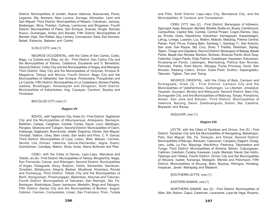District; Municipalities of Jordan, Nueva Valencia, Buenavista, Pavia, Leganes, Sta. Barbara, New Lucena, Zarraga, Alimodian, Leon and San Miguel; Third District: Municipalities of Maasin, Cabatuan, Janiuay, Badiangan, Mina, Pototan, Calinog, Lambunao and Bingawan; Fourth District: Municipalities of Passi, San Enrique, Duenas, Dingle, Barotac Nuevo, Dumangas, Anilao and Banate; Fifth District: Municipalities of Barotac Viejo, San Rafael, Ajuy, Lemery, Concepcion, Sara, San Dionisio, Batad, Estancia, Balasan and Carles.

### ILOILO CITY, one (1)

NEGROS OCCIDENTAL, with the Cities of San Carlos, Cadiz, Bago, La Carlota and Silay, six (6) - First District: San Carlos City and the Municipalities of Toboso, Calatrava, Escalante and S. Benedicto; Second District: Cadiz City and the Municipalities of Sagay and Manapla; Third District: Silay City and the Municipalities of Victorias, Enrique B. Magalona, Talisay and Murcia; Fourth District: Bago City and the Municipalities of Valladolid, San Enrique, Pontevedra, Pulupandan and La Carlota; Fifth District: Municipalities of La Castellana, Moises Padilla, Isabela, Binalbagan, Himamaylan and Hinigaran; Sixth District: Municipalities of Kabankalan, Ilog, Cauayan, Candoni, Sipalay and Hinobaan.

BACOLOD CITY, one (1)

### *Region VII*

BOHOL, with Tagbilaran City, three (3) - First District: Tagbilaran City and the Municipalities of Alburquerque, Antequera, Baclayon, Balilihan, Calape, Catigbian, Corella, Cortes, Dauis, Loon, Maribojoc, Panglao, Sikatuna and Tubigon; Second District: Municipalities of Clarin, Inabanga, Sagbayan, Buenavista, Jetafe, Dagohoy, Danao, San Miguel, Trinidad, Talibon, Ubay, Bien Unido, San Isidro and Pres. C. P. Garcia; Third District: Municipalities of Loay, Loboc, Bilar, Batuan, Carmen, Sevilla, Lila, Dimiao, Valencia, Garcia-Hernandez, Jagna, Duero, Guindulman, Candijay, Mabini, Alicia, Anda, Sierra Bullones and Pilar.

CEBU, with the Cities of Danao, Lapu-Lapu, Mandaue and Toledo, six (6) - First District: Municipalities of Talisay, Minglanilla, Naga, San Fernando, Carcar, and Sibongan; Second District: Municipalities of Argao, Dalaguete, Alcoy, Boljoon, Oslob, Santander, Samboan, Ginatilan, Malabuyoc, Alegria, Badian, Moalboal, Alcantara, Ronda and Dumanjug; Third District: Toledo City and the Municipalities of Barili, Alonguinsan, Pinamungajan, Balamban, Asturias and Tuburan; Fourth District: Municipalities of Tabuelan, San Remigio, Sta. Fe, Bantayan, Madridejos, Daan- bantayan, Medellin, Bogo and Tabogon; Fifth District: Danao City and the Municipalities of Borbon, Sogod, Catmon, Carmen, Compostela, Liloan, San Francisco, Poro, Tudela and Pilar; Sixth District: Lapu-lapu City, Mandanue City, and the Municipalities of Cordova and Consolacion.

CEBU CITY, two (2) - First District: Barangays of Adlawon, Agsungot, Apas, Bacayan, Banilad, Binaliw, Budla-an, Busay, Cambinocot, Camputhaw, Capitol Site, Carreta, Central Proper, Cogon-Ramos, Dayas, Ermita, Guba, Hipodromo, Kalubihan, Kamagayan, Kasambagan, Lahug, Lorega, Lusaran, Luz, Mabini, Mabolo, Malubog, Pahina Central, Parian, Paril, Pit-os, Pulang Bato, Sambag 1, Sambag 11, San Antonio, San Jose, San Roque, Sta. Cruz, Sirao, T. Padilla, Talamban, Taptap, Tejero, Tinago and Zapatera; Second District: Barangays of Babag, Basak Pardo, Basak San Nicolas, Bonbon, Buhisan, Bulacao Pardo, Bout-Taup, Calamba, Cogon Pardo, Duljo Fatima, Guadalupe, Inayawan, Kalunasan, Kinasang-an Pardo, Labangon, Mambaling, Pahina San Nicolas, Pamutan, Pardo, Pasil Abuno, Sibugay, Punta Princesa, Quiot, San Nicolas, Sawang Calero, Sinsin, Suba Pasil, Sudlon, Sapangdako, Tabunan, Tigbao, Tisa and Toong.

NEGROS ORIENTAL, with the Cities of Bais, Canlaon and Dumaguete, three (3) - First District: Canlaon City and the Municipalities of Vallehermoso, Guihulngan, La Libertad, Jimalalud, Tayasan, Ayungon, Bindoy and Manjuyod; Second District: Bais City, Dumaguete City, and the Municipalities of Mabinay, Tanjay, Pamplona, Amlan, San Jose and Sibulan; Third District: Municipalities of Valencia, Bacong, Dauin, Zamboanguita, Siaton, Sta. Catalina, Bayawan and Basay.

SIQUIJOR, one (1)

### *Region VIII*

LEYTE, with the Cities of Tacloban and Ormoc, five (5) - First District: Tacloban City and the Municipalities of Alangalang, Babatngon, Palo, San Miguel, Sta. Fe, Tanauan, and Tolosa; Second District: Municipalities of Barugo, Barauen, Capoocan, Carigara, Dagami, Dulag, Jaro, Julita, La Paz, Mayorga, MacArthur, Pastrana, Tabontabon and Tunga; Third District: Municipalities of Almeria, Biliran, Cabucgayan, Caibiran, Calubian, Culaba, Kawayan, Leyte, Maripipi, Naval, San Isidro, Tabango and Villaba; Fourth District: Ormoc City and the Municipalities of Albuera, Isabel, Kananga, Matagob, Merida and Palompon; Fifth District: Municipalities of Abuyog, Bato, Baybay, Hilongos, Hindang, Inopacan, Javier, Mahaplag and Matalom.

SOUTHERN LEYTE, one (1)

EASTERN SAMAR, one (1)

NORTHERN SAMAR, two (2) - First District: Municipalities of Allen, Biri, Bobon, Capul, Catarman, Lavezares, Lope de Vega, Rosario,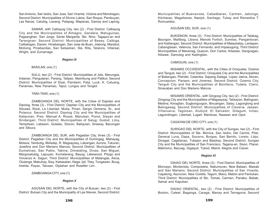San Antonio, San Isidro, San Jose, San Vicente, Victoria and Mondragon; Second District: Municipalities of Silvino Lobos, San Roque, Pambuyan, Las Navas, Catubig, Laoang, Palapag, Mapanas, Gamay and Lapinig.

SAMAR, with Calbayog City, two (2) - First District: Calbayog City and the Municipalities of Almagro, Gandara, Matuguinao, Pagsanghan, San Jorge, Santa Margarita, Sto. Nino, Tagapul-an and Tarangnan; Second District: Municipalities of Basey, Calbiga, Catbalogan, Daram, Hinabangan, San Jose de Buan, Jiabong, Marabut, Motiong, Pinabacdao, San Sebastian, Sta. Rita, Talalora, Villareal, Wright, and Zumarraga.

#### *Region IX*

#### BASILAN, one (1)

SULU, two (2) - First District: Municipalities of Jolo, Marungas, Indanan, Pangutaran, Parang, Talipao, Maimbung and Patikul; Second District: Municipalities of Siasi, Pandami, Pata, Luuk, K. Caluang, Panamao, New Panamao, Tapul, Lungus and Tongkil.

### TAWI-TAWI, one (1)

ZAMBOANGA DEL NORTE, with the Cities of Dapitan and Dipolog, three (3) - First District: Dapitan City and the Municipalities of Sibutad, Rizal, La Libertad, Mutia, Pinan, Sergio Osmena, Sr., and Polanco; Second District: Dipolog City and the Municipalities of Katipunan, Pres. Manuel A. Roxas, Manukan, Ponot, Siayan and Sindangan; Third District: Municipalities of Salug; Godod, Liloy, Tampilisan, Labason, Gutalac, Siocon, Baliquian, Siraway, Bacungan and Sibuco.

ZAMBOANGA DEL SUR, with Pagadian City, three (3) - First District: Pagadian City and the Municipalities of Dumingag, Mahayag, Molave, Tambulig, Midsalip, R. Magsaysay, Labangan, Aurora, Tukuran, Josefina and Don Mariano Marcos; Second District: Municipalities of Dumalinao, San Pablo, Tabina, Dimataling, Dinas, San Miguel, Margosatubig, Lapuyan, Kumalarang, Bayog, Lakewood, Pitogo and Vincenzo A. Sagun; Third District: Municipalities of Malangas, Alicia, Olutanga, Mabuhay, Siay, Kabasalan, Naga, Ipil, Titay, Tungawan, Buug, Imelda, Payao, Talusan, Diplahan and Roseller Lim.

ZAMBOANGA CITY, one (1)

### *Region X*

AGUSAN DEL NORTE, with the City of Butuan, two (2) - First District: Butuan City and the Municipality of Las Nieves, Second District:

Municipalities of Buenavista, Cabadbaran, Carmen, Jabonga, Kitcharao, Magallanes, Nasipit, Santiago, Tubay and Remedios T. Romualdez.

### AGUSAN DEL SUR, one (1)

BUKIDNON, three (3) - First District: Municipalities of Talakag, Baungon, Malitbog, Libona, Manolo Fortich, Sumilao, Pangantocan, and Kalilangan; Second District: Municipalities of Malaybalay, Lantapan, Cabanglasan, Valencia, San Fernando, and Impasugong; Third District: Municipalities of Maramag, Quezon, Don Carlos, Kitaotao, Dangcagan, Kibawe, Damulog and Kadingilan.

### CAMIGUIN, one (1)

MISAMIS OCCIDENTAL, with the Cities of Oroquieta, Ozamiz and Tangub, two (2) - First District: Oroquieta City and the Municipalities of Baliangao, Plaridel, Calamba, Sapang Dalaga, Lopez Jaena, Aloran, Concepcion, Panaon, and Jimenez; Second District: Ozamiz City, Tangub City and the Municipalities of Bonifacio, Tudela, Clarin, Sinacaban and Don Mariano Marcos.

MISAMIS ORIENTAL, with Gingoog City, two (2) - First District: Gingoog City and the Municipalities of Magsaysay, Talisayan, Balingoan, Medina, Kinogitan, Sugbongcogon, Binuangan, Salay, Lagonglong and Balingasag; Second District: Municipalities of Claveria, Jasaan, Villanueva, Tagoloan, Alubijid, El Salvador, Gitagum, Initao, Laguindingan, Libertad, Lugait, Manticao, Naawan and Opol.

### CAGAYAN DE ORO CITY, one (1)

SURIGAO DEL NORTE, with the City of Surigao, two (2) - First District: Municipalities of Sta. Monica, San Isidro, Del Carme, Pilar, General Luna, Dapa, Socorro, Burgos, San Benito, Loreto, Libjo, Dinagat, Cagdianao, Tubajon and Basilisa; Second District: Surigao City and the Municipalities of San Francisco, Tagana-an, Sison, Placer, Malimono, Bacuag, Gigaquit, Tubod, Mainit, Alegria and Claver.

### *Region XI*

DAVAO DEL NORTE, three (3) - First District: Municipalities of Moncayo, Montevista, Compostela, Nabunturan, New Bataan, Mawab and San Mariano; Second District: Municipalities of San Vicente, Capalong, Asuncion, New Corella, Tagum, Maco, Mabini and Pantukan; Third District: Municipalities of Sto. Tomas, Carmen, Panabo, Babak, Samal and Kaputian.

DAVAO ORIENTAL, two (2) - First District: Municipalities of Boston, Cateel, Baganga, Caraga, Manay and Tarragona; Second